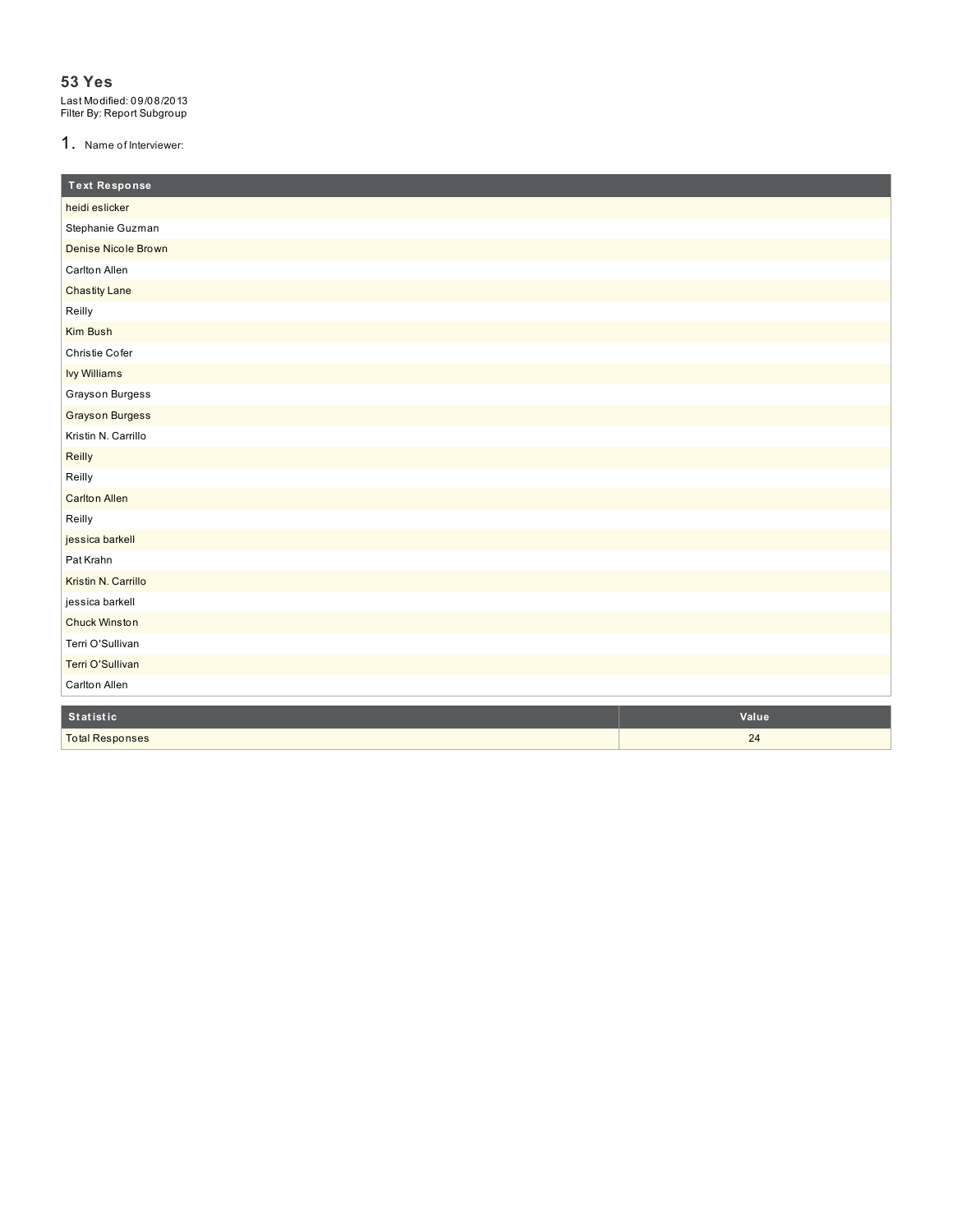#### 1. Name of Interviewer

| <b>Text Response</b>   |       |
|------------------------|-------|
| heidi eslicker         |       |
| Stephanie Guzman       |       |
| Denise Nicole Brown    |       |
| Carlton Allen          |       |
| <b>Chastity Lane</b>   |       |
| Reilly                 |       |
| Kim Bush               |       |
| Christie Cofer         |       |
| <b>Ivy Williams</b>    |       |
| Grayson Burgess        |       |
| <b>Grayson Burgess</b> |       |
| Kristin N. Carrillo    |       |
| Reilly                 |       |
| Reilly                 |       |
| <b>Carlton Allen</b>   |       |
| Reilly                 |       |
| jessica barkell        |       |
| Pat Krahn              |       |
| Kristin N. Carrillo    |       |
| jessica barkell        |       |
| <b>Chuck Winston</b>   |       |
| Terri O'Sullivan       |       |
| Terri O'Sullivan       |       |
| Carlton Allen          |       |
| Statistic              | Value |
| <b>Total Responses</b> | 24    |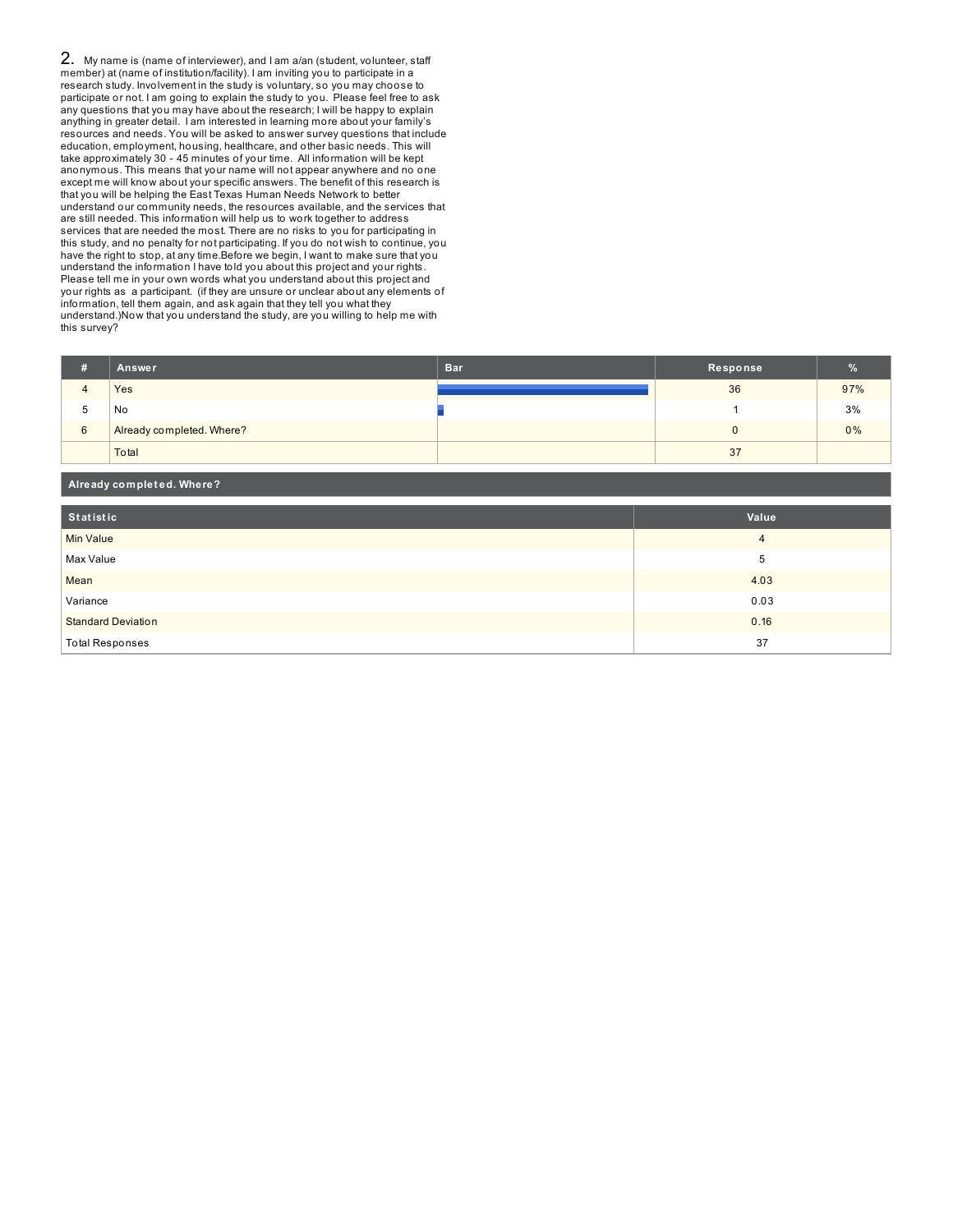2. My name is (name of interviewer), and I am a/an (student, volunteer, staff member) at (name of institution/facility). I am inviting you to participate in a research study. Involvement in the study is voluntary, so you may choose to participate or not. I am going to explain the study to you. Please feel free to ask any questions that you may have about the research; I will be happy to explain anything in greater detail. I am interested in learning more about your family's resources and needs. You will be asked to answer survey questions that include education, employment, housing, healthcare, and other basic needs. This will take approximately 30 - 45 minutes of your time. All information will be kept anonymous. This means that your name will not appear anywhere and no one except me will know about your specific answers. The benefit of this research is that you will be helping the East Texas Human Needs Network to better understand our community needs, the resources available, and the services that are still needed. This information will help us to work together to address services that are needed the most. There are no risks to you for participating in this study, and no penalty for not participating. If you do not wish to continue, you have the right to stop, at any time.Before we begin, I want to make sure that you understand the information I have told you about this project and your rights. Please tell me in your own words what you understand about this project and your rights as a participant. (if they are unsure or unclear about any elements of information, tell them again, and ask again that they tell you what they understand.)Now that you understand the study, are you willing to help me with this survey?

**Already complet ed. Where?**

| я | Answer                    | Bar. | Response | %   |
|---|---------------------------|------|----------|-----|
|   | Yes                       |      | 36       | 97% |
| b | No                        |      |          | 3%  |
| 6 | Already completed. Where? |      |          | 0%  |
|   | Total                     |      | 37       |     |

| --<br>__                  |       |
|---------------------------|-------|
|                           |       |
| Statistic                 | Value |
| Min Value                 | 4     |
| Max Value                 | 5     |
| Mean                      | 4.03  |
| Variance                  | 0.03  |
| <b>Standard Deviation</b> | 0.16  |
| <b>Total Responses</b>    | 37    |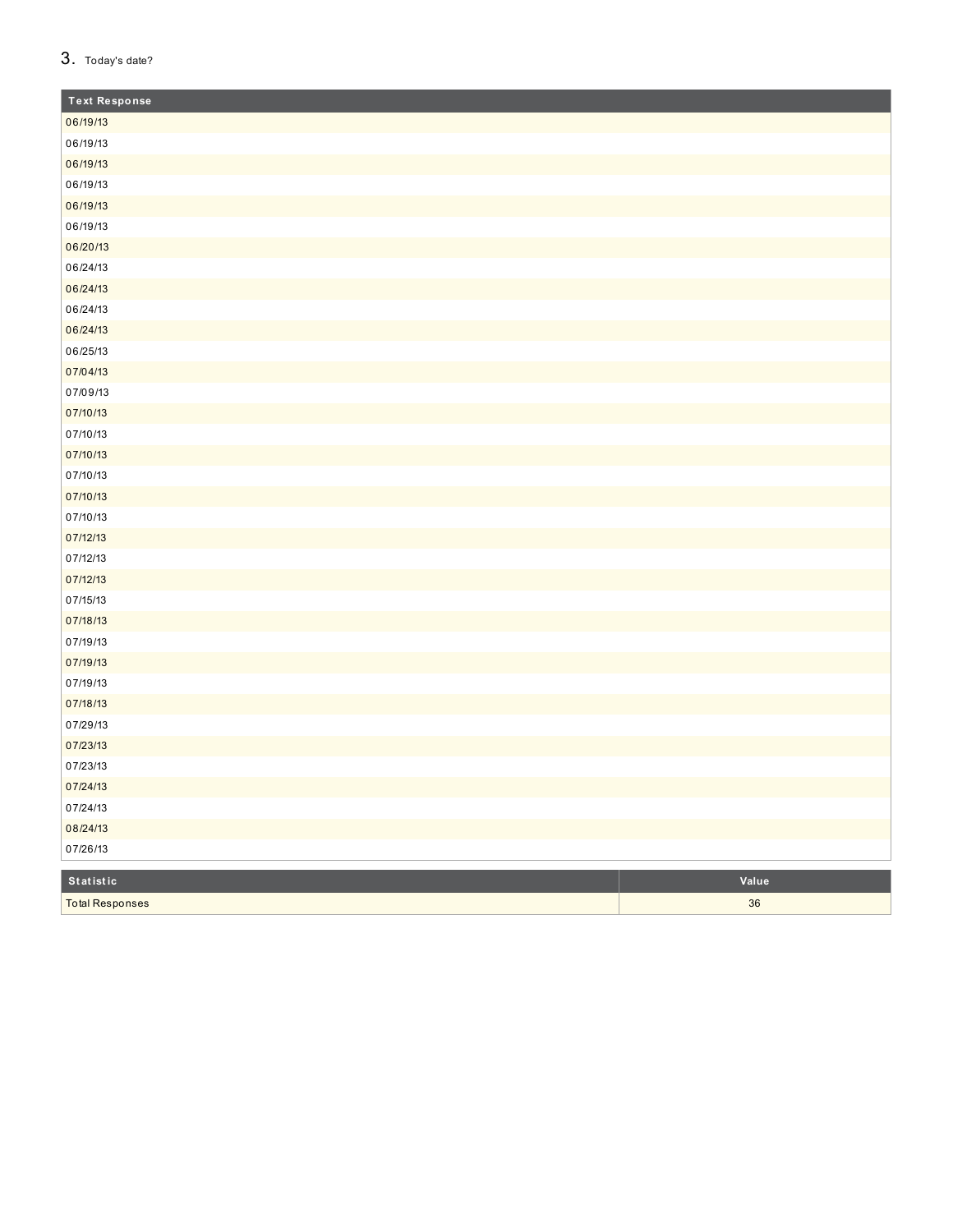## 3. Today's date?

Total Responses

| <b>Text Response</b> |       |
|----------------------|-------|
| 06/19/13             |       |
| 06/19/13             |       |
| 06/19/13             |       |
| 06/19/13             |       |
| 06/19/13             |       |
| 06/19/13             |       |
| 06/20/13             |       |
| 06/24/13             |       |
| 06/24/13             |       |
| 06/24/13             |       |
| 06/24/13             |       |
| 06/25/13             |       |
| 07/04/13             |       |
| 07/09/13             |       |
| 07/10/13             |       |
| 07/10/13             |       |
| 07/10/13             |       |
| 07/10/13             |       |
| 07/10/13             |       |
| 07/10/13             |       |
| 07/12/13             |       |
| 07/12/13             |       |
| 07/12/13             |       |
| 07/15/13             |       |
| 07/18/13             |       |
| 07/19/13             |       |
| 07/19/13             |       |
| 07/19/13             |       |
| 07/18/13             |       |
| 07/29/13             |       |
| 07/23/13             |       |
| 07/23/13             |       |
| 07/24/13             |       |
| 07/24/13             |       |
| 08/24/13             |       |
| 07/26/13             |       |
| Statistic            | Value |

 $\overline{36}$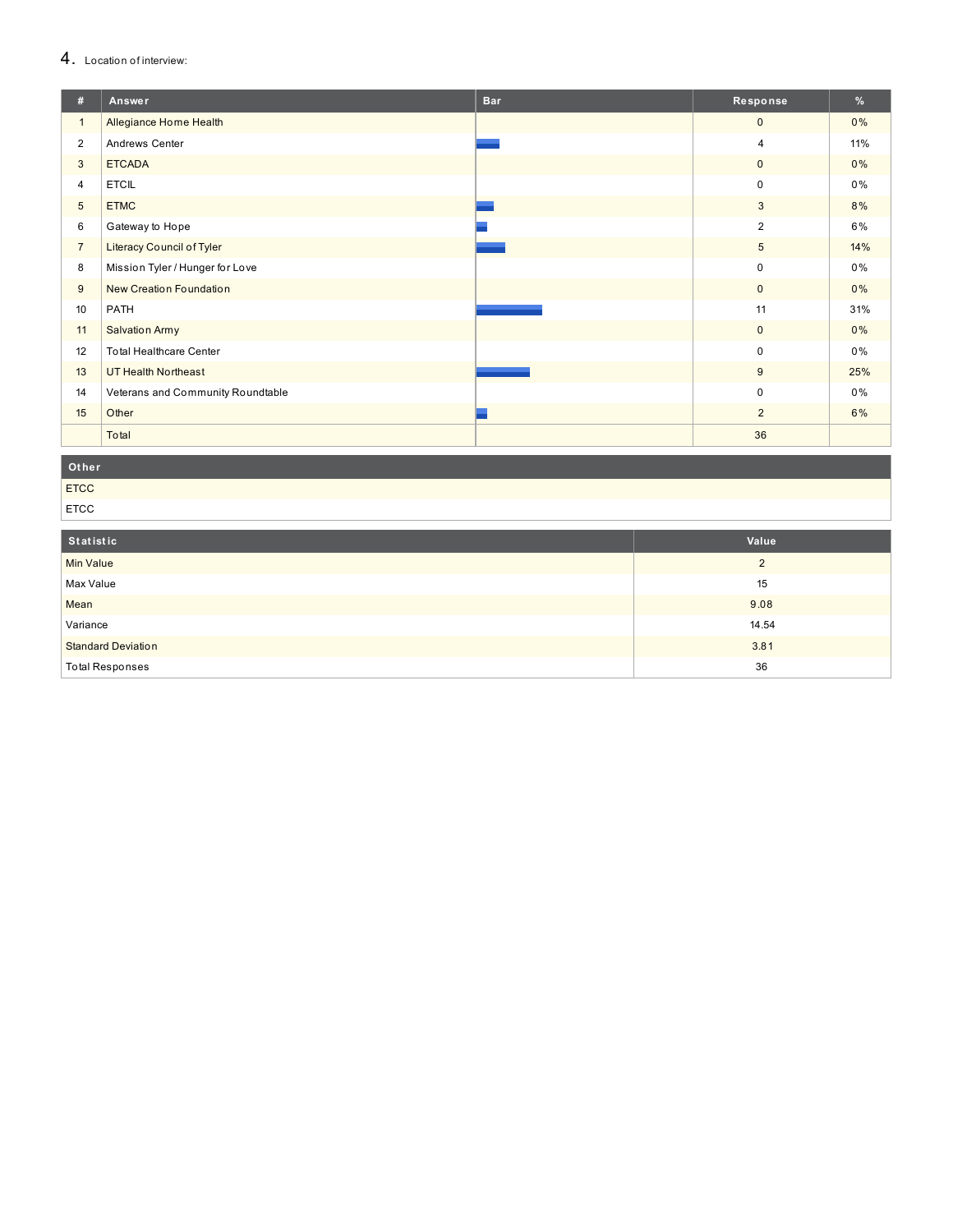# 4. Location of interview:

| #              | Answer                            | <b>Bar</b> | Response       | %     |
|----------------|-----------------------------------|------------|----------------|-------|
| $\mathbf{1}$   | Allegiance Home Health            |            | $\mathbf{0}$   | $0\%$ |
| $\overline{2}$ | Andrews Center                    |            | 4              | 11%   |
| 3              | <b>ETCADA</b>                     |            | $\mathbf{0}$   | 0%    |
| 4              | <b>ETCIL</b>                      |            | 0              | $0\%$ |
| 5              | <b>ETMC</b>                       |            | 3              | 8%    |
| 6              | Gateway to Hope                   |            | 2              | 6%    |
| $\overline{7}$ | Literacy Council of Tyler         |            | 5              | 14%   |
| 8              | Mission Tyler / Hunger for Love   |            | 0              | $0\%$ |
| 9              | New Creation Foundation           |            | $\mathbf{0}$   | $0\%$ |
| 10             | PATH                              |            | 11             | 31%   |
| 11             | <b>Salvation Army</b>             |            | $\mathbf{0}$   | $0\%$ |
| 12             | <b>Total Healthcare Center</b>    |            | 0              | $0\%$ |
| 13             | <b>UT Health Northeast</b>        |            | 9              | 25%   |
| 14             | Veterans and Community Roundtable |            | 0              | 0%    |
| 15             | Other                             |            | $\overline{2}$ | 6%    |
|                | Total                             |            | 36             |       |

Other

ETCC ETCC

| Statistic                 | Value    |
|---------------------------|----------|
| <b>Min Value</b>          | $\Omega$ |
| Max Value                 | 15       |
| Mean                      | 9.08     |
| Variance                  | 14.54    |
| <b>Standard Deviation</b> | 3.81     |
| <b>Total Responses</b>    | 36       |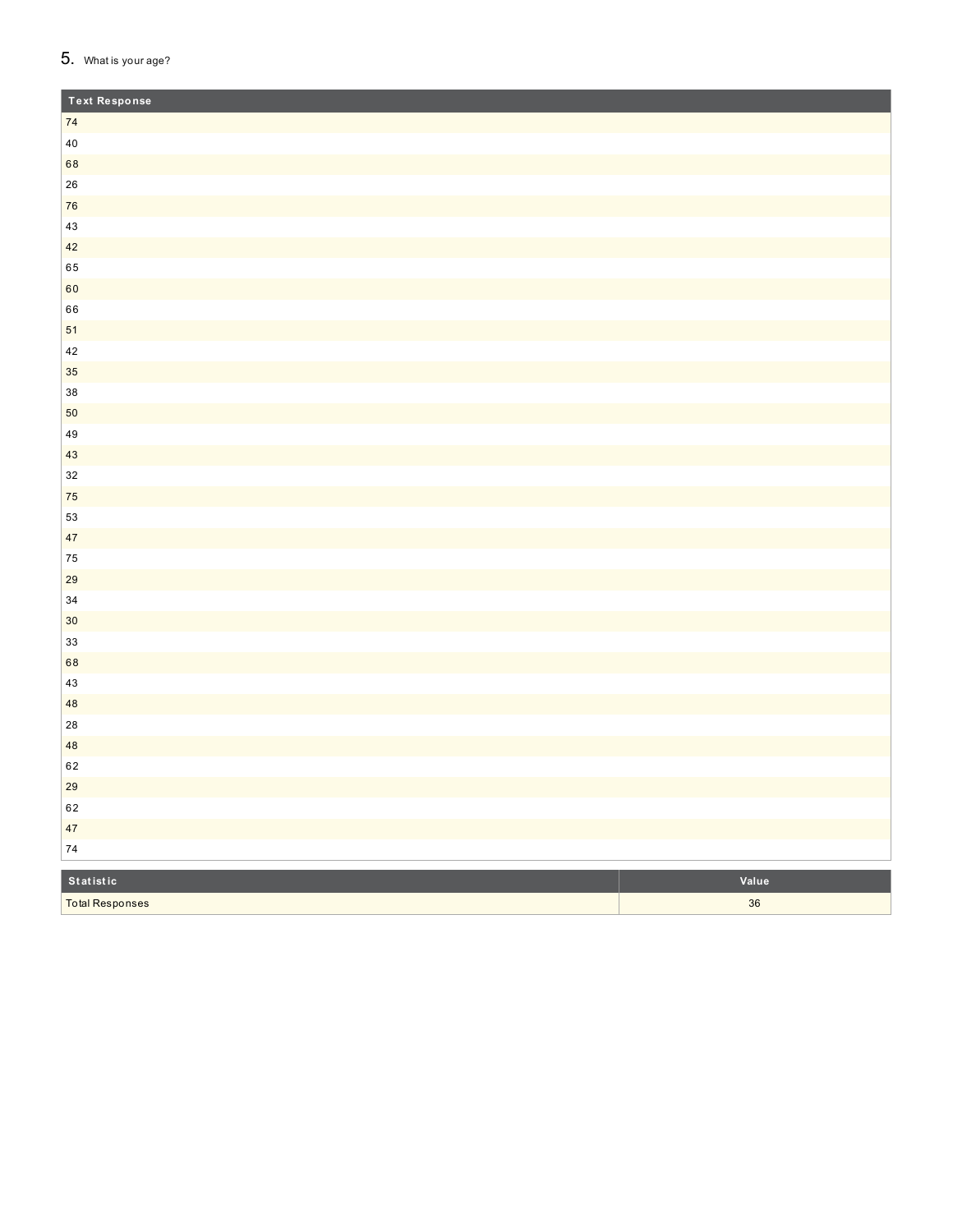# 5. What is your age?

**Total Responses** 

| <b>Text Response</b> |       |
|----------------------|-------|
| 74                   |       |
| $40\,$               |       |
| 68                   |       |
| ${\bf 26}$           |       |
| 76                   |       |
| 43                   |       |
| 42                   |       |
| 65                   |       |
| 60                   |       |
| 66                   |       |
| 51                   |       |
| $42\,$               |       |
| 35                   |       |
| $38\,$               |       |
| 50                   |       |
| $\bf 49$             |       |
| 43                   |       |
| $32\,$               |       |
| 75                   |       |
| 53                   |       |
| 47                   |       |
| 75                   |       |
| 29                   |       |
| $34\,$               |       |
| $30\,$               |       |
| $33\,$               |       |
| 68                   |       |
| $43\,$               |       |
| $48\,$               |       |
| 28                   |       |
| 48                   |       |
| 62                   |       |
| 29                   |       |
| 62                   |       |
| 47                   |       |
| $\bf 74$             |       |
| Statistic            | Value |

 $\overline{36}$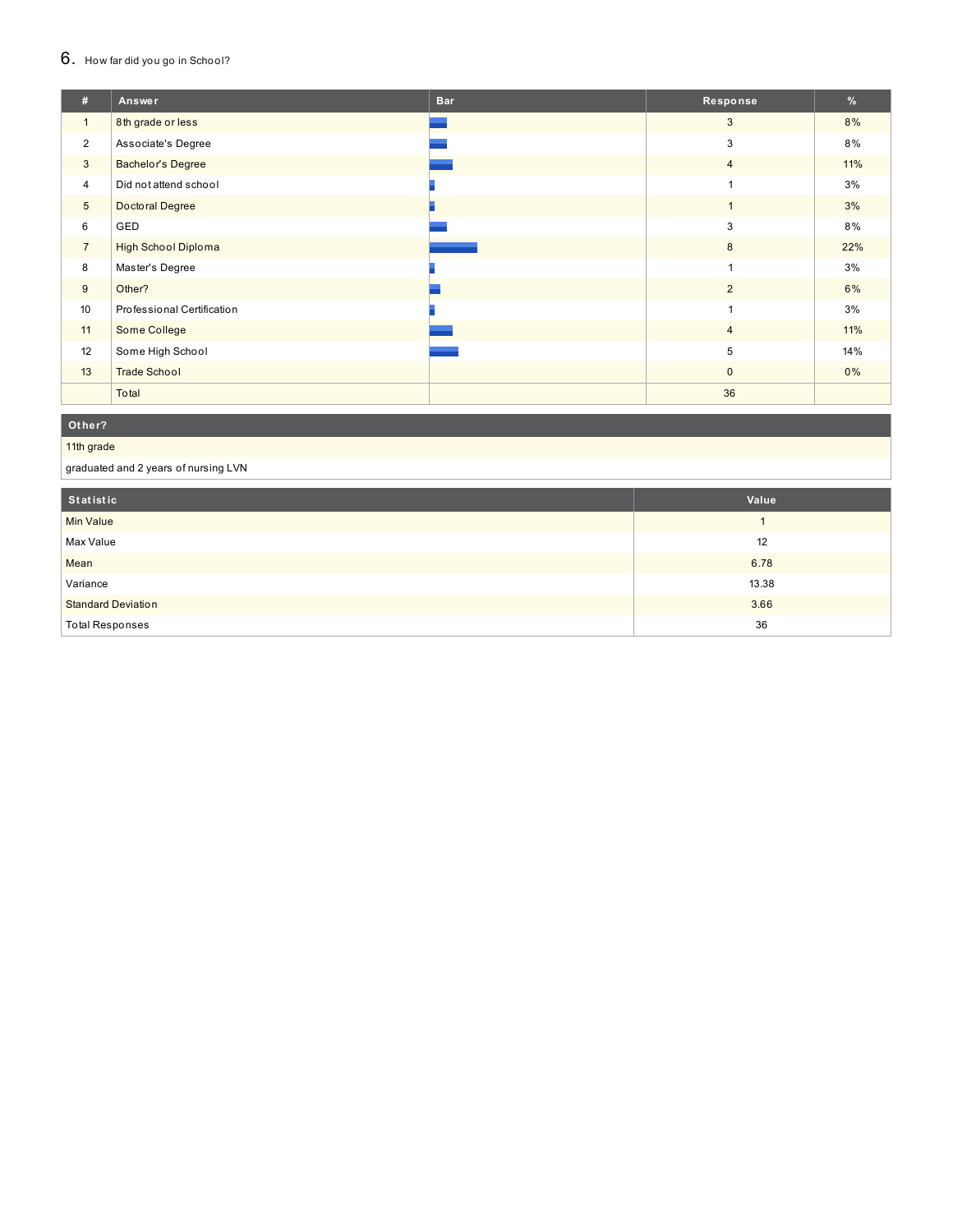#### $6.$  How far did you go in School?

| #               | Answer                     | <b>Bar</b> | Response       | %   |
|-----------------|----------------------------|------------|----------------|-----|
| $\mathbf{1}$    | 8th grade or less          |            | 3              | 8%  |
| $\overline{2}$  | Associate's Degree         |            | 3              | 8%  |
| 3               | <b>Bachelor's Degree</b>   |            | $\overline{4}$ | 11% |
| $\overline{4}$  | Did not attend school      |            |                | 3%  |
| $5\phantom{.0}$ | Doctoral Degree            |            | $\mathbf{1}$   | 3%  |
| 6               | GED                        |            | 3              | 8%  |
| $\overline{7}$  | <b>High School Diploma</b> |            | 8              | 22% |
| 8               | Master's Degree            |            | ٠              | 3%  |
| 9               | Other?                     |            | $\overline{2}$ | 6%  |
| 10              | Professional Certification |            | $\overline{ }$ | 3%  |
| 11              | Some College               |            | $\overline{4}$ | 11% |
| 12              | Some High School           |            | 5              | 14% |
| 13              | <b>Trade School</b>        |            | $\mathbf{0}$   | 0%  |
|                 | Total                      |            | 36             |     |

#### **O t h e r ?**

#### 11th grade

graduated and 2 years of nursing LVN

| Statistic                 | Value |
|---------------------------|-------|
| <b>Min Value</b>          |       |
| Max Value                 | 12    |
| Mean                      | 6.78  |
| Variance                  | 13.38 |
| <b>Standard Deviation</b> | 3.66  |
| <b>Total Responses</b>    | 36    |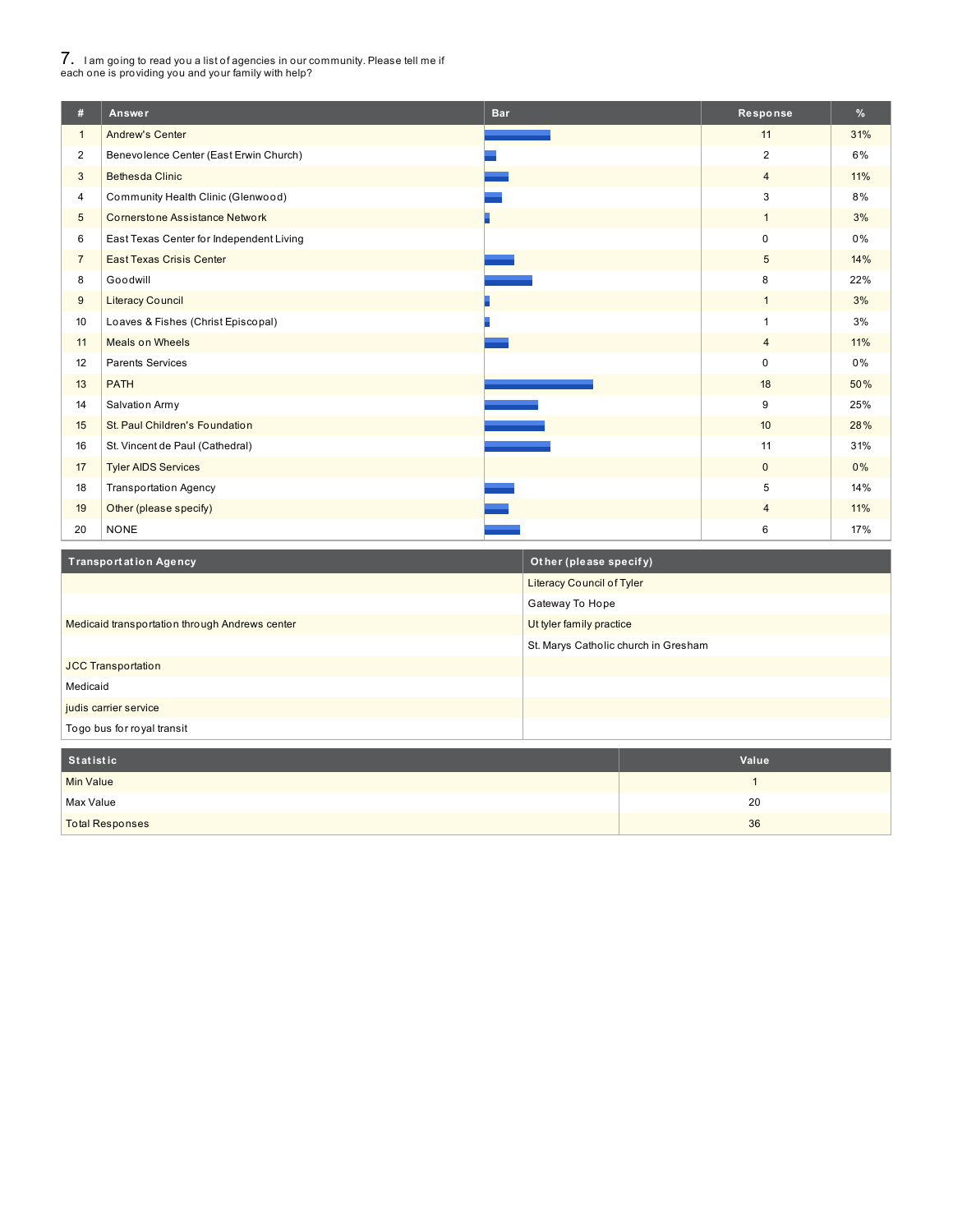# 7. <sup>I</sup> am going to read you <sup>a</sup> list of agencies in our community. Please tell me if each one is providing you and your family with help?

I

| #               | Answer                                   | <b>Bar</b> | Response       | $\frac{9}{6}$ |
|-----------------|------------------------------------------|------------|----------------|---------------|
| $\mathbf{1}$    | <b>Andrew's Center</b>                   |            | 11             | 31%           |
| $\overline{2}$  | Benevolence Center (East Erwin Church)   |            | 2              | 6%            |
| 3               | <b>Bethesda Clinic</b>                   |            | $\overline{4}$ | 11%           |
| 4               | Community Health Clinic (Glenwood)       |            | 3              | 8%            |
| $5\phantom{.0}$ | <b>Cornerstone Assistance Network</b>    |            | $\mathbf{1}$   | 3%            |
| 6               | East Texas Center for Independent Living |            | $\mathbf 0$    | $0\%$         |
| $\overline{7}$  | <b>East Texas Crisis Center</b>          |            | 5              | 14%           |
| 8               | Goodwill                                 |            | 8              | 22%           |
| 9               | <b>Literacy Council</b>                  |            | $\mathbf{1}$   | 3%            |
| 10              | Loaves & Fishes (Christ Episcopal)       |            | $\mathbf{1}$   | 3%            |
| 11              | <b>Meals on Wheels</b>                   |            | $\overline{4}$ | 11%           |
| 12              | <b>Parents Services</b>                  |            | $\mathbf 0$    | $0\%$         |
| 13              | <b>PATH</b>                              |            | 18             | 50%           |
| 14              | Salvation Army                           |            | 9              | 25%           |
| 15              | St. Paul Children's Foundation           |            | 10             | 28%           |
| 16              | St. Vincent de Paul (Cathedral)          |            | 11             | 31%           |
| 17              | <b>Tyler AIDS Services</b>               |            | $\mathbf{0}$   | $0\%$         |
| 18              | Transportation Agency                    |            | 5              | 14%           |
| 19              | Other (please specify)                   |            | 4              | 11%           |
| 20              | <b>NONE</b>                              |            | 6              | 17%           |

| Transportation Agency                          | Other (please specify)               |
|------------------------------------------------|--------------------------------------|
|                                                | <b>Literacy Council of Tyler</b>     |
|                                                | Gateway To Hope                      |
| Medicaid transportation through Andrews center | Ut tyler family practice             |
|                                                | St. Marys Catholic church in Gresham |
| <b>JCC Transportation</b>                      |                                      |
| Medicaid                                       |                                      |
| judis carrier service                          |                                      |
| Togo bus for royal transit                     |                                      |
|                                                |                                      |
| <b>Statistic</b>                               | Value                                |
| <b>Min Value</b>                               |                                      |

| Statistic              | Value |
|------------------------|-------|
| Min Value              |       |
| Max Value              | 20    |
| <b>Total Responses</b> | 36    |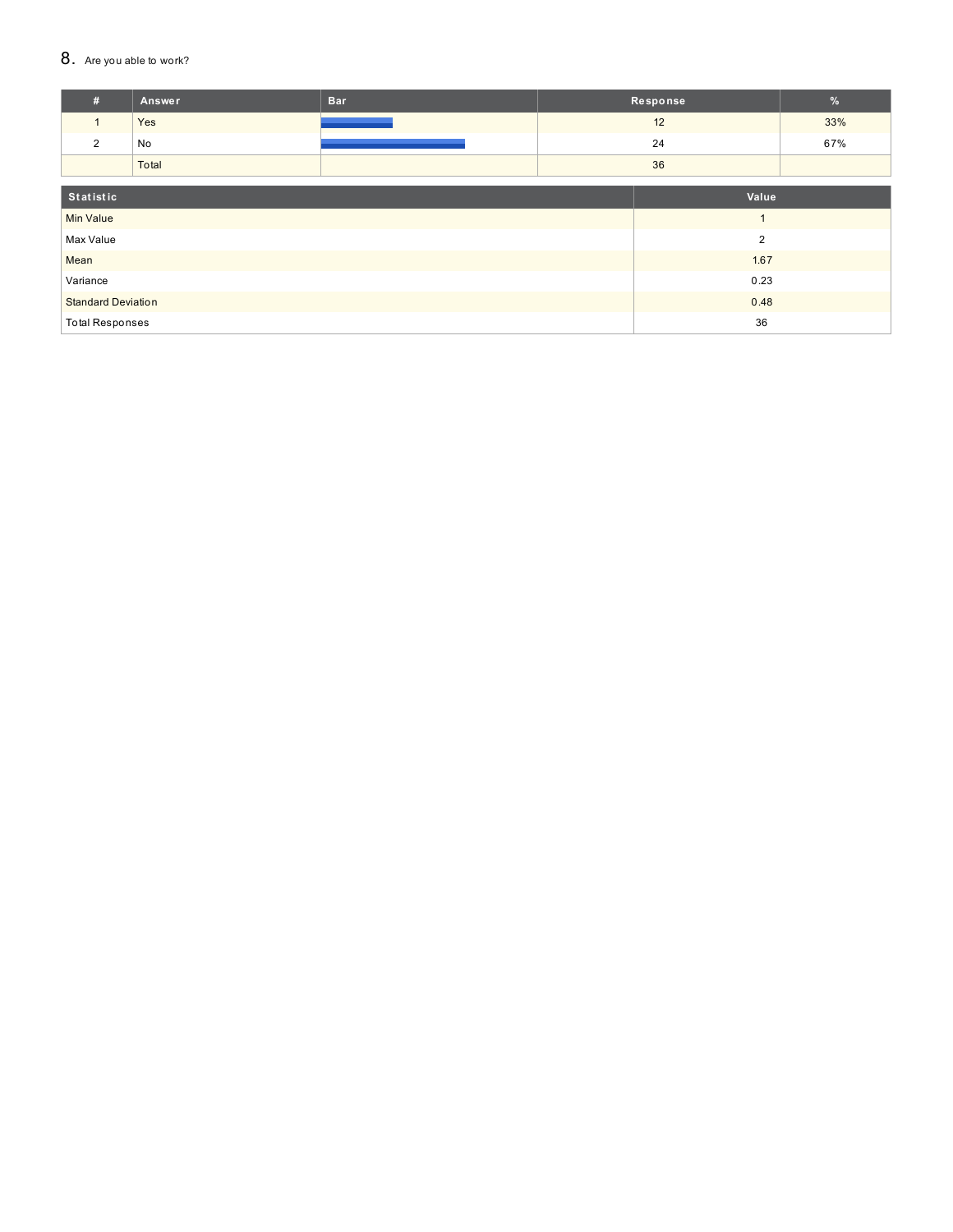### 8. Are you able to work?

| #                         | <b>Answer</b> | <b>Bar</b> |      | Response       | $\frac{9}{6}$ |
|---------------------------|---------------|------------|------|----------------|---------------|
| $\mathbf{1}$              | Yes           |            |      | 12             | 33%           |
| 2                         | No            |            |      | 24             | 67%           |
|                           | Total         |            |      | 36             |               |
|                           |               |            |      |                |               |
| Statistic                 |               |            |      | Value          |               |
| <b>Min Value</b>          |               |            |      |                |               |
| Max Value                 |               |            |      | $\overline{2}$ |               |
| Mean                      |               |            |      | 1.67           |               |
| Variance                  |               | 0.23       |      |                |               |
| <b>Standard Deviation</b> |               |            | 0.48 |                |               |
| <b>Total Responses</b>    |               |            |      | 36             |               |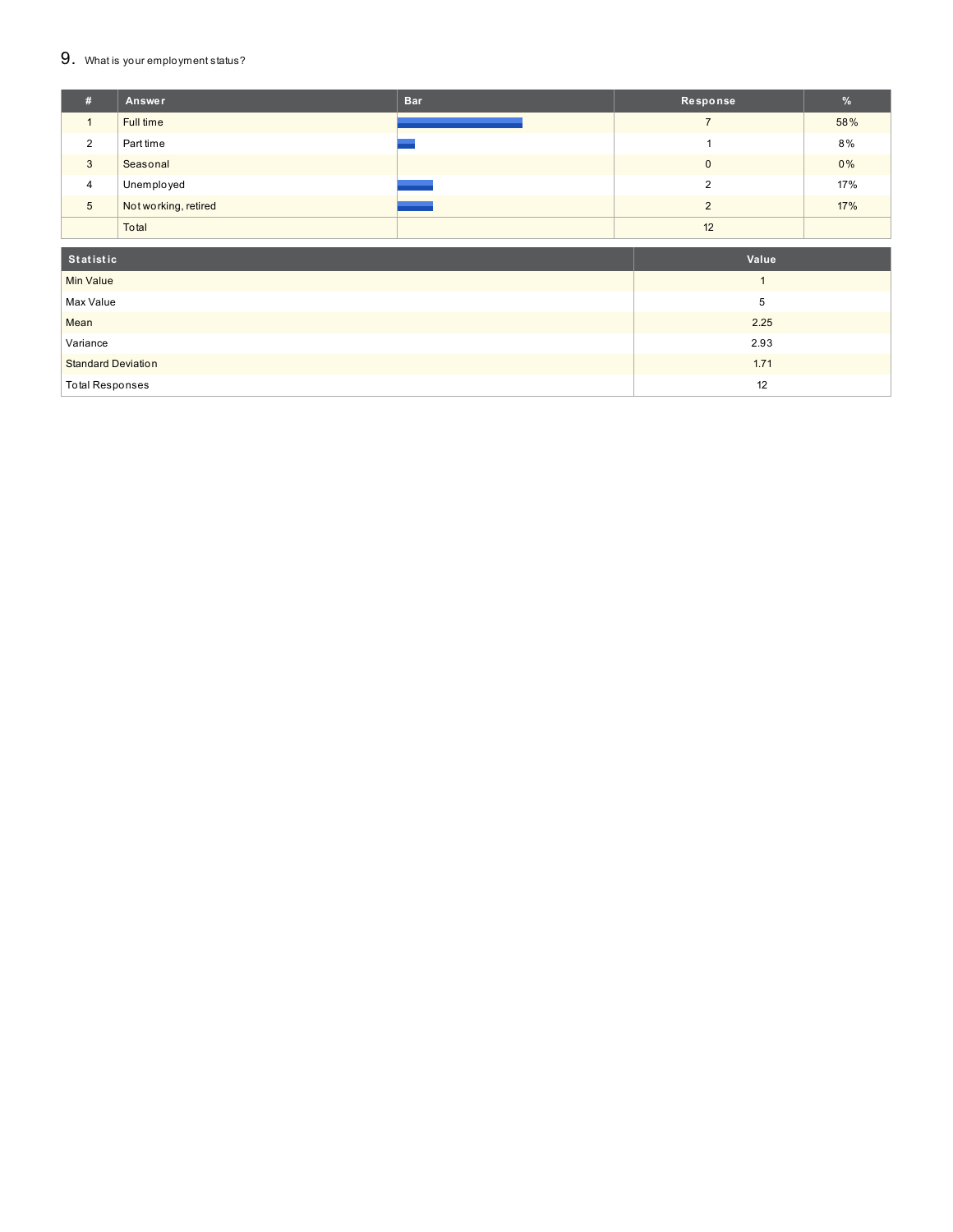#### $9.$  What is your employment status?

| #               | Answer               | <b>Bar</b> | Response     | $\frac{9}{6}$ |
|-----------------|----------------------|------------|--------------|---------------|
|                 | Full time            |            |              | 58%           |
| $\overline{2}$  | Part time            |            |              | 8%            |
| 3               | Seasonal             |            | $\mathbf{0}$ | 0%            |
| $\overline{4}$  | Unemployed           |            | ◠            | 17%           |
| $5\phantom{.0}$ | Not working, retired |            | ◠            | 17%           |
|                 | Total                |            | 12           |               |
|                 |                      |            |              |               |

| Statistic                 | Value |
|---------------------------|-------|
| <b>Min Value</b>          |       |
| Max Value                 | b     |
| Mean                      | 2.25  |
| Variance                  | 2.93  |
| <b>Standard Deviation</b> | 1.71  |
| <b>Total Responses</b>    | 12    |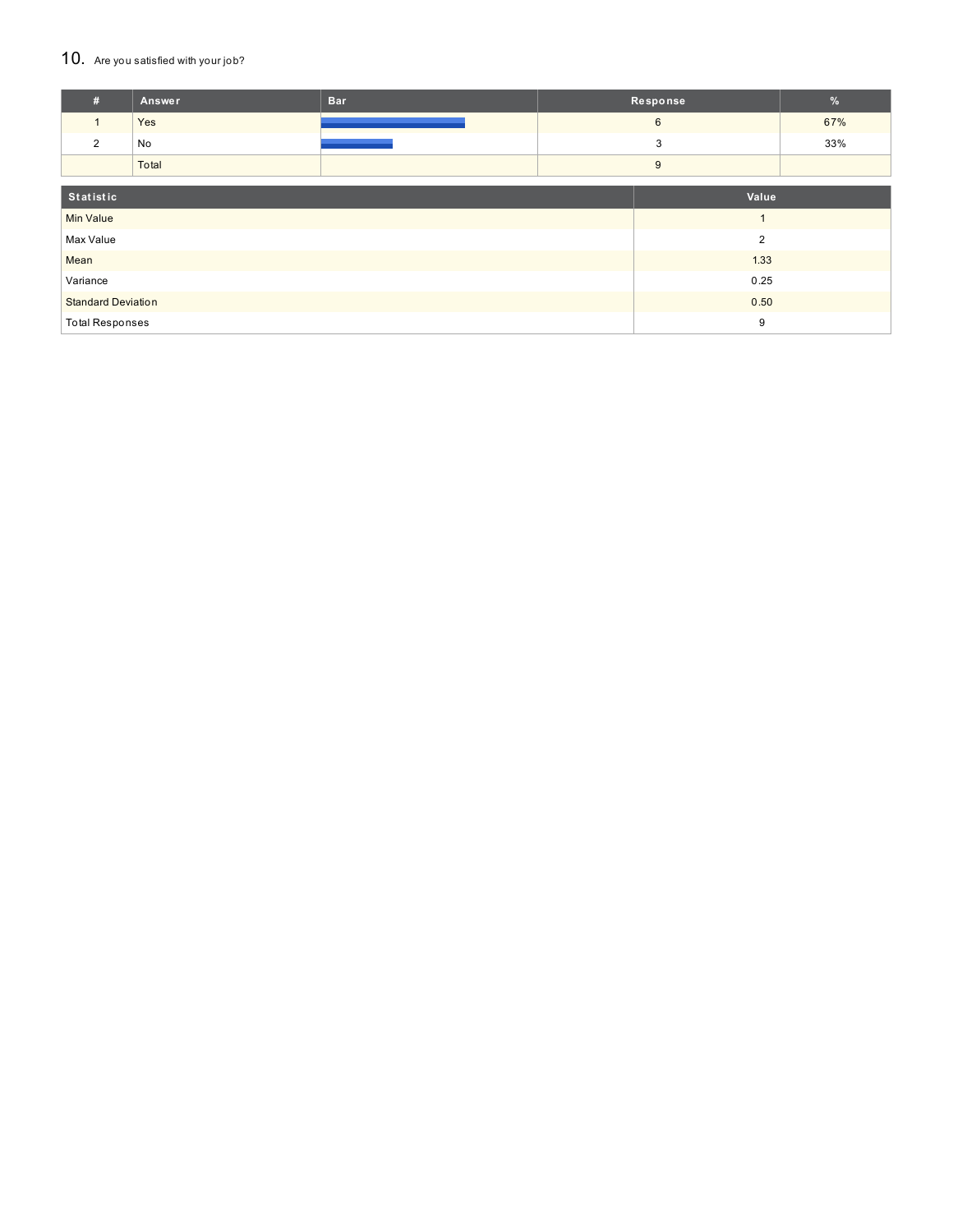### 10. Are you satisfied with your job?

| #                         | <b>Answer</b> | <b>Bar</b> |      | Response        | $\frac{9}{6}$ |
|---------------------------|---------------|------------|------|-----------------|---------------|
| 1                         | Yes           |            |      | $6\phantom{.}6$ | 67%           |
| 2                         | No            |            |      | 3               | 33%           |
|                           | Total         |            |      | 9               |               |
|                           |               |            |      |                 |               |
| Statistic                 |               |            |      | Value           |               |
| <b>Min Value</b>          |               |            |      |                 |               |
| Max Value                 |               |            |      | $\overline{2}$  |               |
| Mean                      |               |            |      | 1.33            |               |
| Variance                  |               |            | 0.25 |                 |               |
| <b>Standard Deviation</b> |               |            | 0.50 |                 |               |
| <b>Total Responses</b>    |               |            | 9    |                 |               |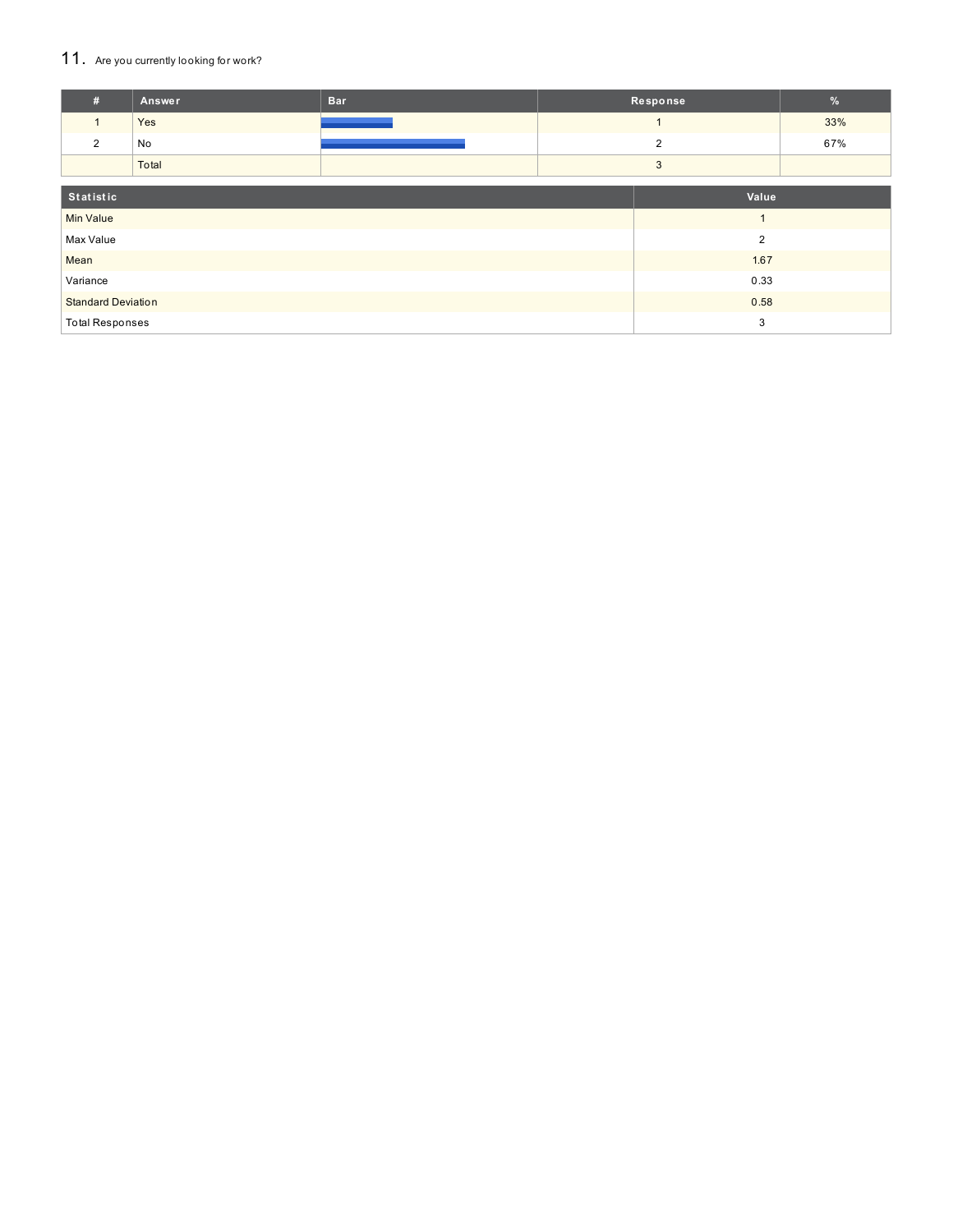## 11. Are you currently looking for work?

| #                         | Answer | <b>Bar</b> |      | Response       | $\frac{9}{6}$ |
|---------------------------|--------|------------|------|----------------|---------------|
| $\mathbf{1}$              | Yes    |            |      |                | 33%           |
| 2                         | No     |            |      | $\overline{2}$ | 67%           |
|                           | Total  |            |      | 3              |               |
| Statistic                 |        |            |      | Value          |               |
| <b>Min Value</b>          |        |            |      |                |               |
| Max Value                 |        |            |      | $\overline{2}$ |               |
| Mean                      |        |            |      | 1.67           |               |
| Variance                  |        | 0.33       |      |                |               |
| <b>Standard Deviation</b> |        |            | 0.58 |                |               |
| <b>Total Responses</b>    |        |            |      | 3              |               |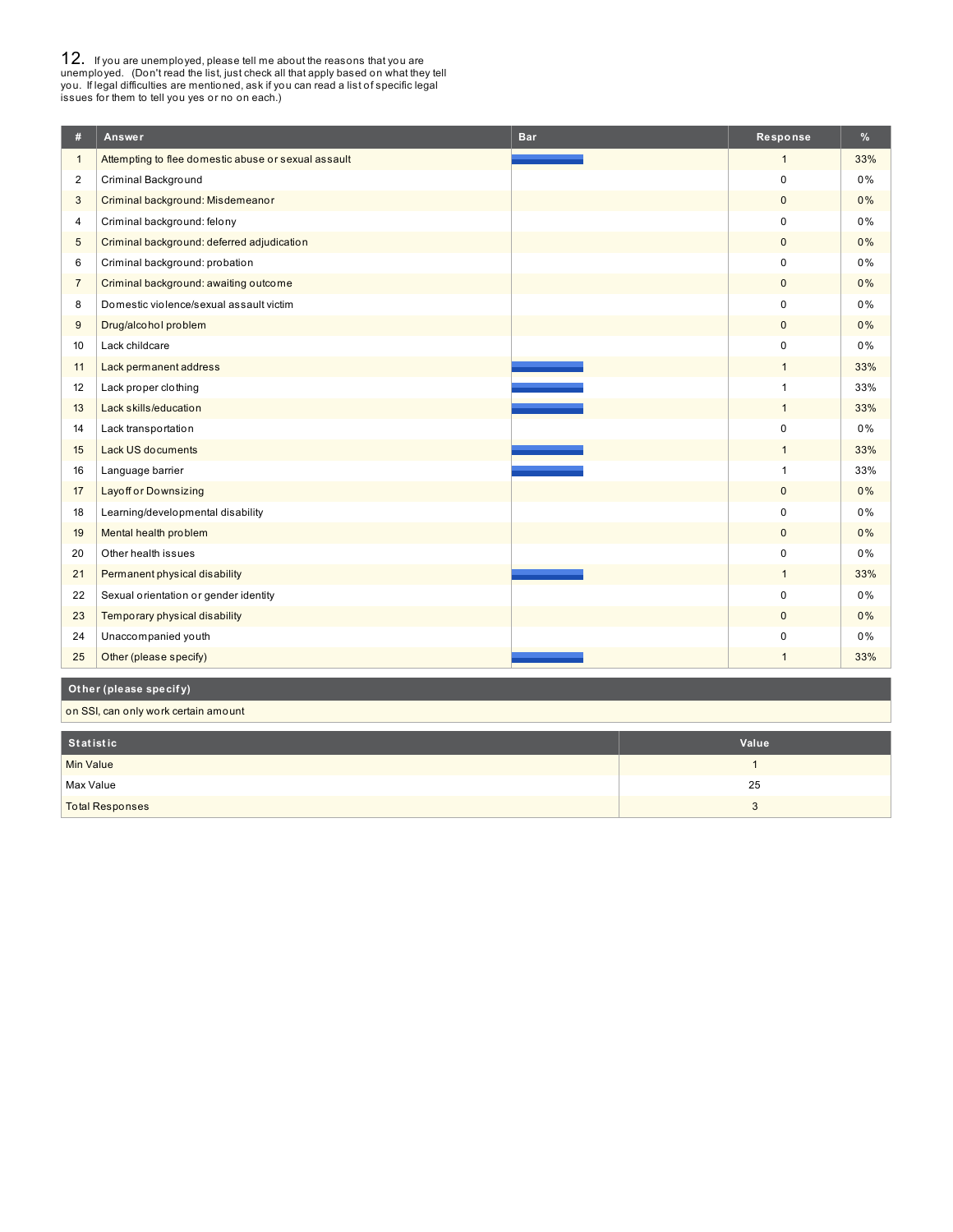**12.** If you are unemployed, please tell me about the reasons that you are unemployed. (Don't read the list, just check all that apply based on what they tell you. If legal difficulties are mentioned, ask if you can read a

| #              | Answer                                              | <b>Bar</b> | Response       | %     |
|----------------|-----------------------------------------------------|------------|----------------|-------|
| $\mathbf{1}$   | Attempting to flee domestic abuse or sexual assault |            | $\mathbf{1}$   | 33%   |
| 2              | Criminal Background                                 |            | $\mathbf 0$    | 0%    |
| 3              | Criminal background: Misdemeanor                    |            | $\mathbf{0}$   | 0%    |
| 4              | Criminal background: felony                         |            | $\mathbf 0$    | 0%    |
| 5              | Criminal background: deferred adjudication          |            | $\mathbf{0}$   | 0%    |
| 6              | Criminal background: probation                      |            | 0              | 0%    |
| $\overline{7}$ | Criminal background: awaiting outcome               |            | $\mathbf{0}$   | 0%    |
| 8              | Domestic violence/sexual assault victim             |            | $\Omega$       | 0%    |
| 9              | Drug/alcohol problem                                |            | $\mathbf{0}$   | 0%    |
| 10             | Lack childcare                                      |            | 0              | $0\%$ |
| 11             | Lack permanent address                              |            | $\mathbf{1}$   | 33%   |
| 12             | Lack proper clothing                                |            | $\overline{1}$ | 33%   |
| 13             | Lack skills/education                               |            | $\mathbf{1}$   | 33%   |
| 14             | Lack transportation                                 |            | 0              | 0%    |
| 15             | Lack US documents                                   |            | $\mathbf{1}$   | 33%   |
| 16             | Language barrier                                    |            | $\mathbf{1}$   | 33%   |
| 17             | <b>Layoff or Downsizing</b>                         |            | $\mathbf 0$    | 0%    |
| 18             | Learning/developmental disability                   |            | $\mathbf 0$    | 0%    |
| 19             | Mental health problem                               |            | $\mathbf{0}$   | 0%    |
| 20             | Other health issues                                 |            | 0              | 0%    |
| 21             | Permanent physical disability                       |            | $\mathbf{1}$   | 33%   |
| 22             | Sexual orientation or gender identity               |            | $\Omega$       | 0%    |
| 23             | Temporary physical disability                       |            | $\mathbf 0$    | 0%    |
| 24             | Unaccompanied youth                                 |            | 0              | 0%    |
| 25             | Other (please specify)                              |            | $\mathbf{1}$   | 33%   |
|                | Other (please specify)                              |            |                |       |

on SSI, can only work certain amount

| Statistic              | Value |
|------------------------|-------|
| Min Value              |       |
| Max Value              | 25    |
| <b>Total Responses</b> |       |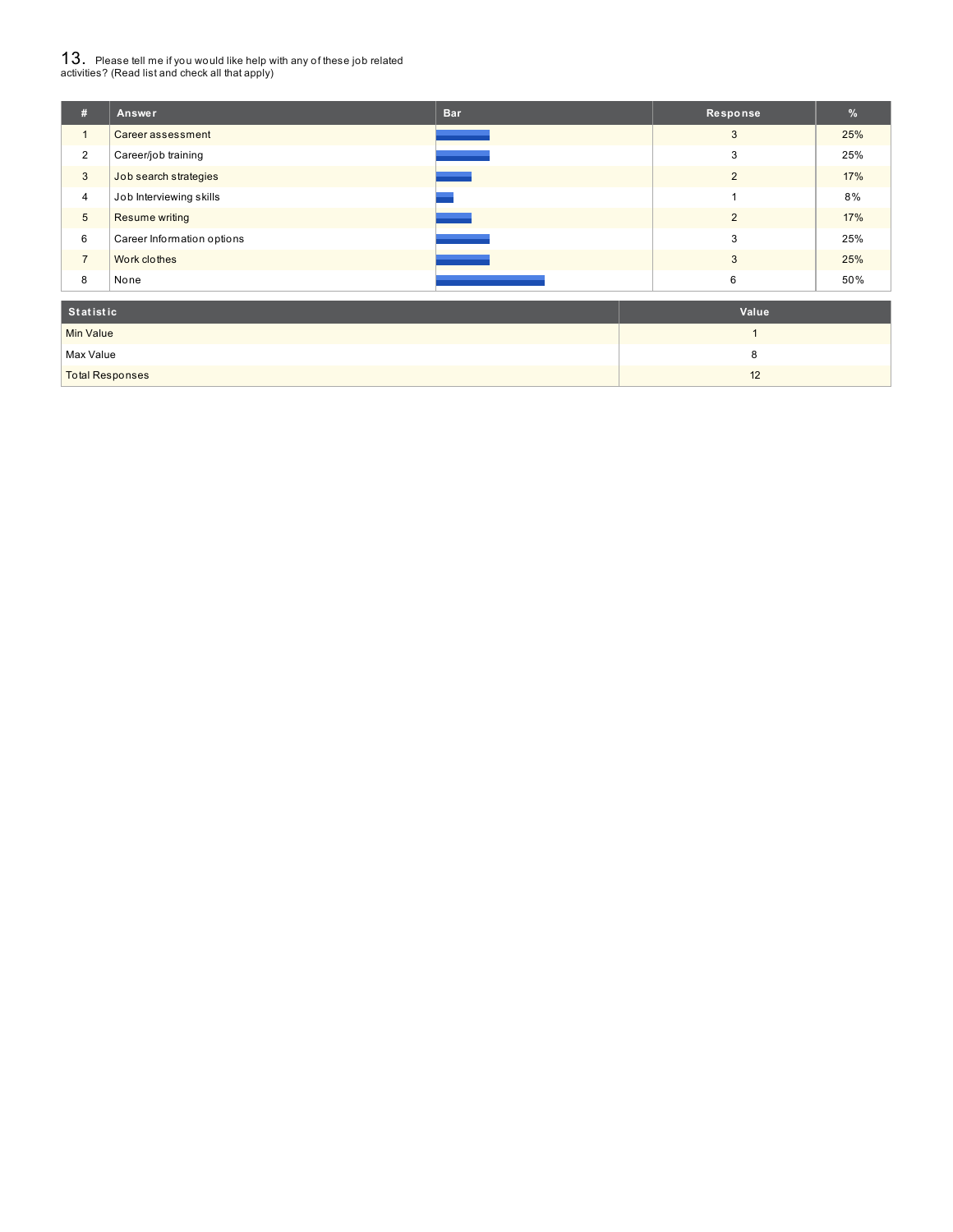# $13_\cdot$  Please tell me if you would like help with any of these job related<br>activities? (Read list and check all that apply)

| #               | Answer                     | <b>Bar</b> | Response       | %   |
|-----------------|----------------------------|------------|----------------|-----|
| $\overline{1}$  | Career assessment          |            | 3              | 25% |
| $\overline{2}$  | Career/job training        |            | 3              | 25% |
| 3               | Job search strategies      |            | $\overline{2}$ | 17% |
| $\overline{4}$  | Job Interviewing skills    |            |                | 8%  |
| $5\phantom{.0}$ | Resume writing             |            | $\overline{2}$ | 17% |
| 6               | Career Information options |            | 3              | 25% |
| $\overline{7}$  | Work clothes               |            | 3              | 25% |
| 8               | None                       |            | 6              | 50% |
| Statistic       |                            |            | Value          |     |

| <b>U</b> Utatistic     | value    |
|------------------------|----------|
| <b>Min Value</b>       |          |
| Max Value              |          |
| <b>Total Responses</b> | 10<br>12 |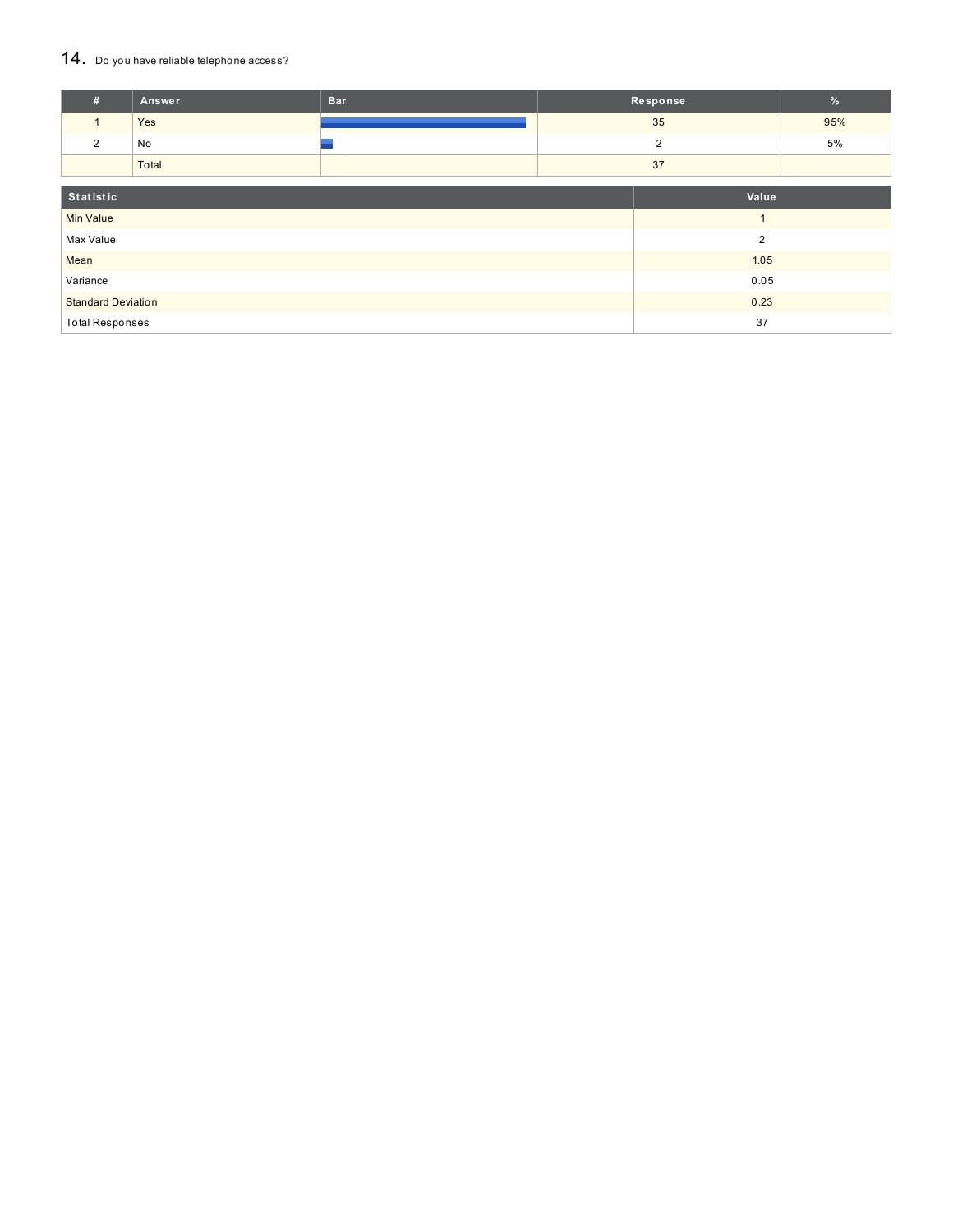### 14. Do you have reliable telephone access?

| #                         | Answer | <b>Bar</b> | Response |                | %   |
|---------------------------|--------|------------|----------|----------------|-----|
| $\mathbf{1}$              | Yes    |            |          | 35             | 95% |
| 2                         | No     |            |          | $\overline{2}$ | 5%  |
|                           | Total  |            | 37       |                |     |
| Statistic<br>Value        |        |            |          |                |     |
| <b>Min Value</b>          |        |            |          | $\overline{A}$ |     |
| Max Value                 |        |            |          | $\overline{2}$ |     |
| Mean                      |        |            |          | 1.05           |     |
| Variance                  |        |            | 0.05     |                |     |
| <b>Standard Deviation</b> |        |            | 0.23     |                |     |
| <b>Total Responses</b>    |        |            |          | 37             |     |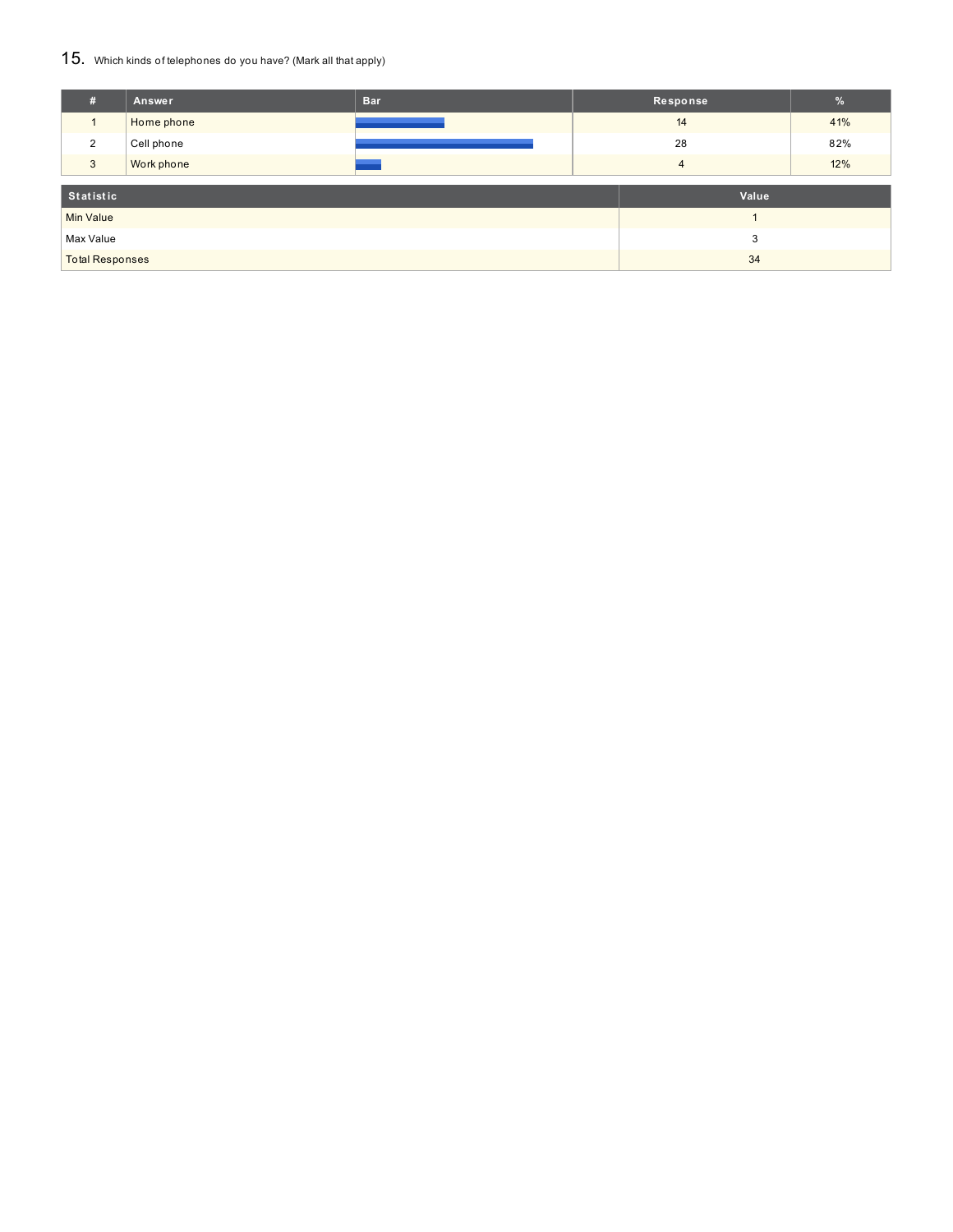## 15. Which kinds of telephones do you have? (Mark all that apply)

| #                      | Answer     | <b>Bar</b> |    | Response | $\frac{9}{6}$ |
|------------------------|------------|------------|----|----------|---------------|
|                        | Home phone |            |    | 14       | 41%           |
| 2                      | Cell phone |            | 28 |          | 82%           |
| 3                      | Work phone |            | 4  |          | 12%           |
| Statistic              |            |            |    | Value    |               |
|                        |            |            |    |          |               |
| <b>Min Value</b>       |            |            |    |          |               |
| Max Value<br>3         |            |            |    |          |               |
| <b>Total Responses</b> |            |            |    | 34       |               |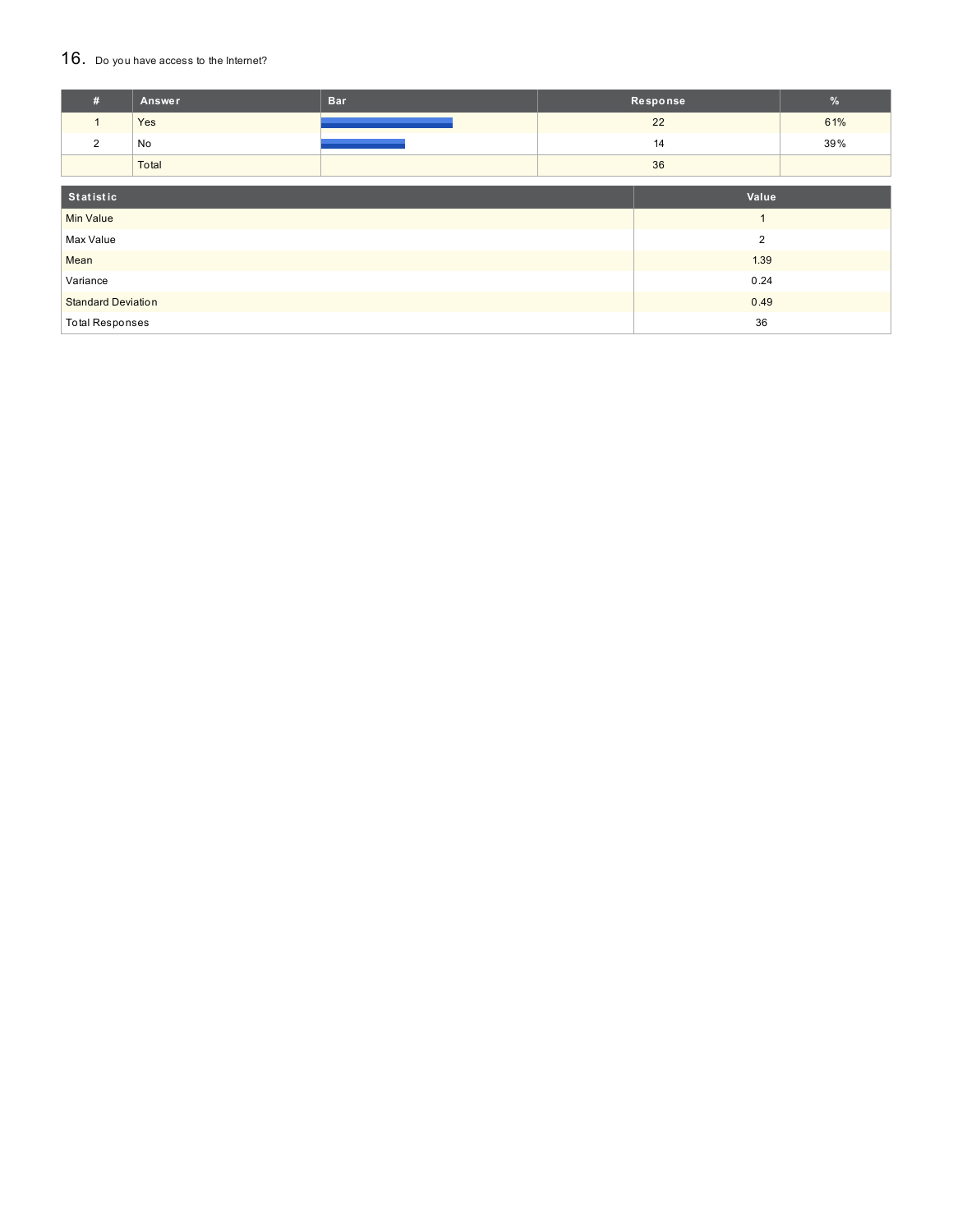## 16. Do you have access to the Internet?

| #                         | Answer                 | <b>Bar</b> |       | Response       | $\frac{9}{6}$ |
|---------------------------|------------------------|------------|-------|----------------|---------------|
| $\mathbf{1}$              | Yes                    |            |       | 22             | 61%           |
| $\overline{2}$            | No                     |            |       | 14             | 39%           |
|                           | Total                  |            | 36    |                |               |
| Statistic                 |                        |            | Value |                |               |
| <b>Min Value</b>          |                        |            |       | $\overline{A}$ |               |
|                           |                        |            |       |                |               |
| Max Value                 |                        |            |       | $\overline{2}$ |               |
| Mean                      |                        |            |       | 1.39           |               |
| Variance                  |                        |            | 0.24  |                |               |
| <b>Standard Deviation</b> |                        |            | 0.49  |                |               |
|                           | <b>Total Responses</b> |            |       | 36             |               |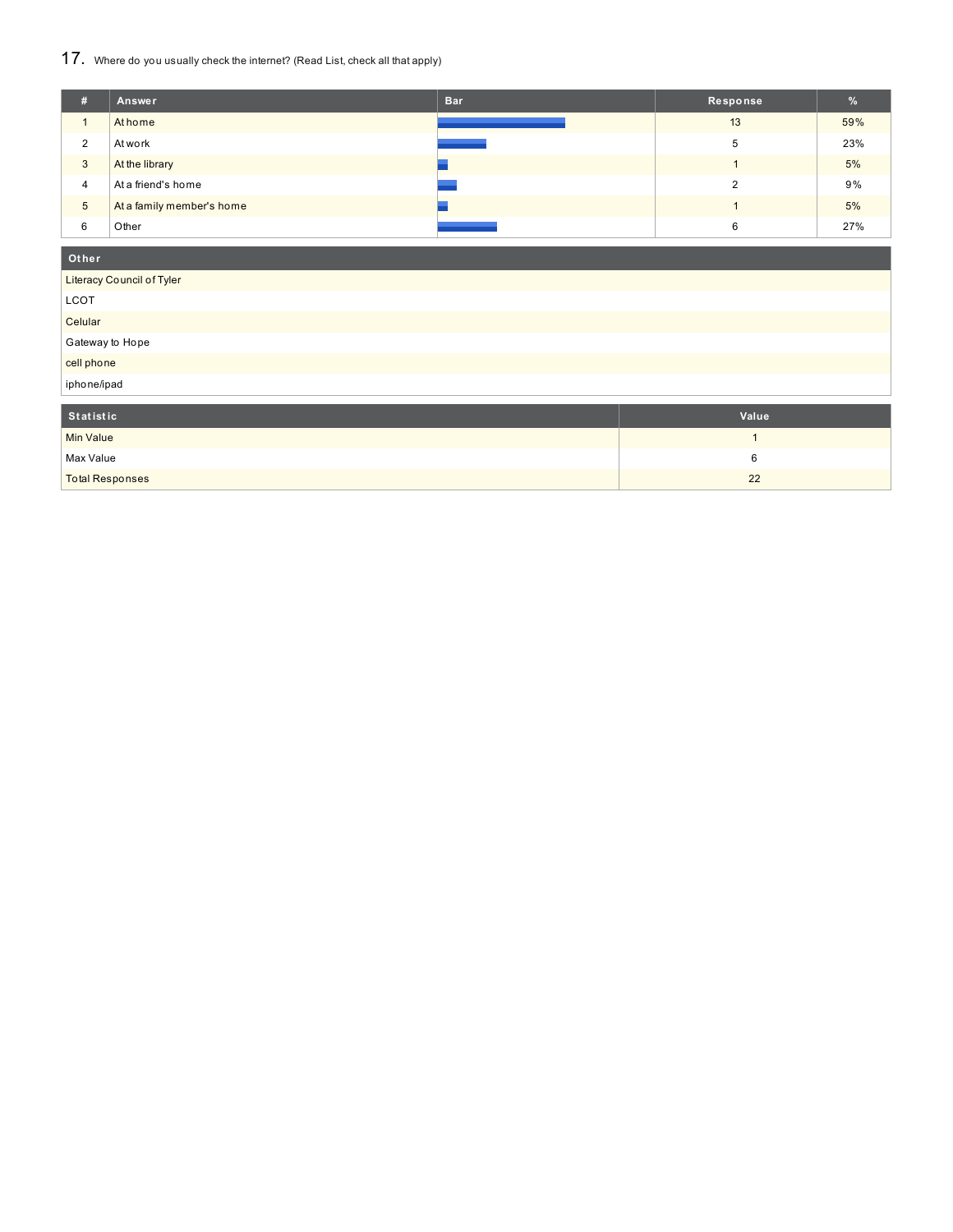## 17. Where do you usually check the internet? (Read List, check all that apply)

| #              | Answer                    | <b>Bar</b> | Response | $\frac{9}{6}$ |
|----------------|---------------------------|------------|----------|---------------|
|                | At home                   |            | 13       | 59%           |
| $\Omega$<br>∠  | At work                   |            | 5        | 23%           |
| 3              | At the library            |            |          | 5%            |
| $\overline{4}$ | At a friend's home        |            | ົ        | 9%            |
| 5              | At a family member's home |            |          | 5%            |
| 6              | Other                     |            | 6        | 27%           |

## **Ot her**

| Value |
|-------|
|       |

| Statistic              | Value <sup>®</sup> |
|------------------------|--------------------|
| Min Value              |                    |
| Max Value              |                    |
| <b>Total Responses</b> | 22                 |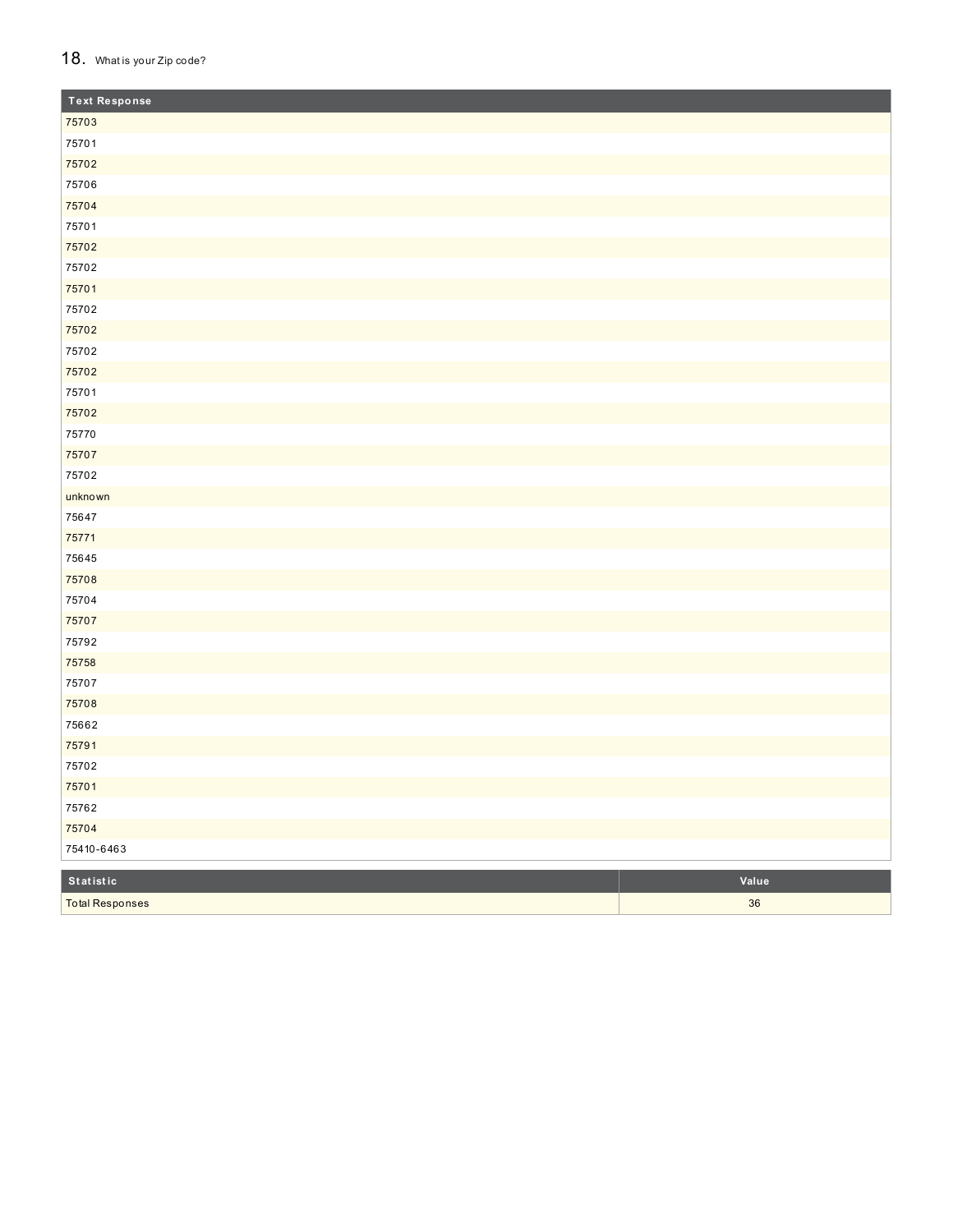### 18. What is your Zip code?

| <b>Text Response</b> |       |
|----------------------|-------|
| 75703                |       |
| 75701                |       |
| 75702                |       |
| 75706                |       |
| 75704                |       |
| 75701                |       |
| 75702                |       |
| 75702                |       |
| 75701                |       |
| 75702                |       |
| 75702                |       |
| 75702                |       |
| 75702                |       |
| 75701                |       |
| 75702                |       |
| 75770                |       |
| 75707                |       |
| 75702                |       |
| unknown              |       |
| 75647                |       |
| 75771                |       |
| 75645                |       |
| 75708                |       |
| 75704                |       |
| 75707                |       |
| 75792                |       |
| 75758                |       |
| 75707                |       |
| 75708                |       |
| 75662                |       |
| 75791                |       |
| 75702                |       |
| 75701                |       |
| 75762                |       |
| 75704                |       |
| 75410-6463           |       |
| $S$ tatistic         | Value |

| Statistic              | Value' |
|------------------------|--------|
| <b>Total Responses</b> | 36     |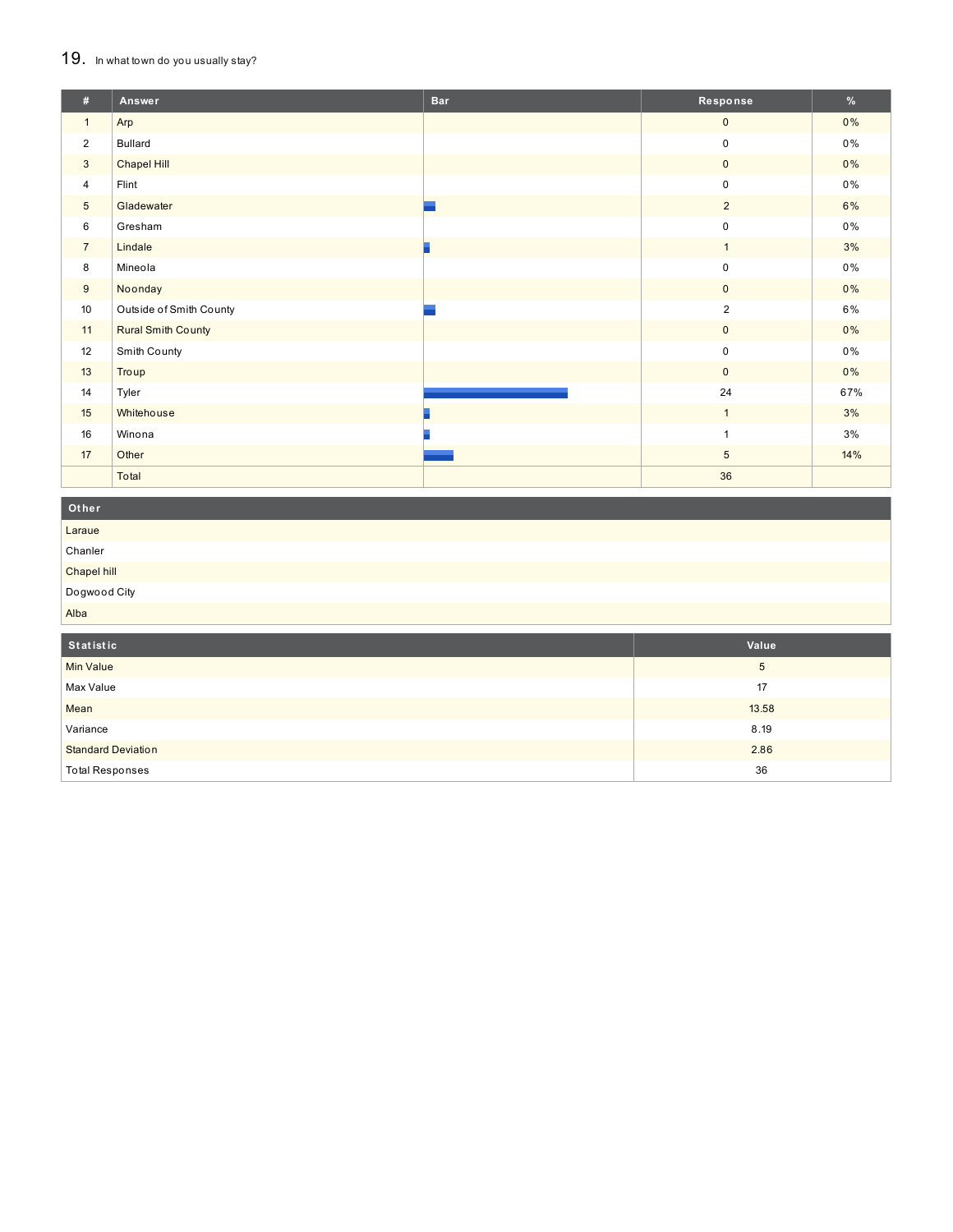## 19. In what town do you usually stay?

**Total Responses** 

| #               | Answer                    | <b>Bar</b> | Response       | %     |
|-----------------|---------------------------|------------|----------------|-------|
| $\mathbf{1}$    | Arp                       |            | $\mathbf{0}$   | $0\%$ |
| $\overline{2}$  | <b>Bullard</b>            |            | $\pmb{0}$      | $0\%$ |
| 3               | <b>Chapel Hill</b>        |            | $\overline{0}$ | 0%    |
| $\overline{4}$  | Flint                     |            | $\mathsf 0$    | $0\%$ |
| $5\phantom{.0}$ | Gladewater                |            | $\overline{2}$ | 6%    |
| 6               | Gresham                   |            | $\mathsf 0$    | $0\%$ |
| $\overline{7}$  | Lindale                   |            | $\mathbf{1}$   | 3%    |
| 8               | Mineola                   |            | $\mathsf 0$    | $0\%$ |
| 9               | Noonday                   |            | $\overline{0}$ | 0%    |
| 10              | Outside of Smith County   |            | $\overline{2}$ | 6%    |
| 11              | <b>Rural Smith County</b> |            | $\overline{0}$ | $0\%$ |
| 12              | Smith County              |            | $\mathsf 0$    | 0%    |
| 13              | Troup                     |            | $\mathbf{0}$   | $0\%$ |
| 14              | Tyler                     |            | 24             | 67%   |
| 15              | Whitehouse                |            | $\mathbf{1}$   | 3%    |
| 16              | Winona                    |            | 1              | 3%    |
| 17              | Other                     |            | 5              | 14%   |
|                 | Total                     |            | 36             |       |
| Other           |                           |            |                |       |

| Laraue           |       |
|------------------|-------|
| Chanler          |       |
| Chapel hill      |       |
| Dogwood City     |       |
| Alba             |       |
|                  |       |
|                  |       |
| Statistic        | Value |
| <b>Min Value</b> | 5     |
| Max Value        | 17    |
| Mean             | 13.58 |
| Variance         | 8.19  |

36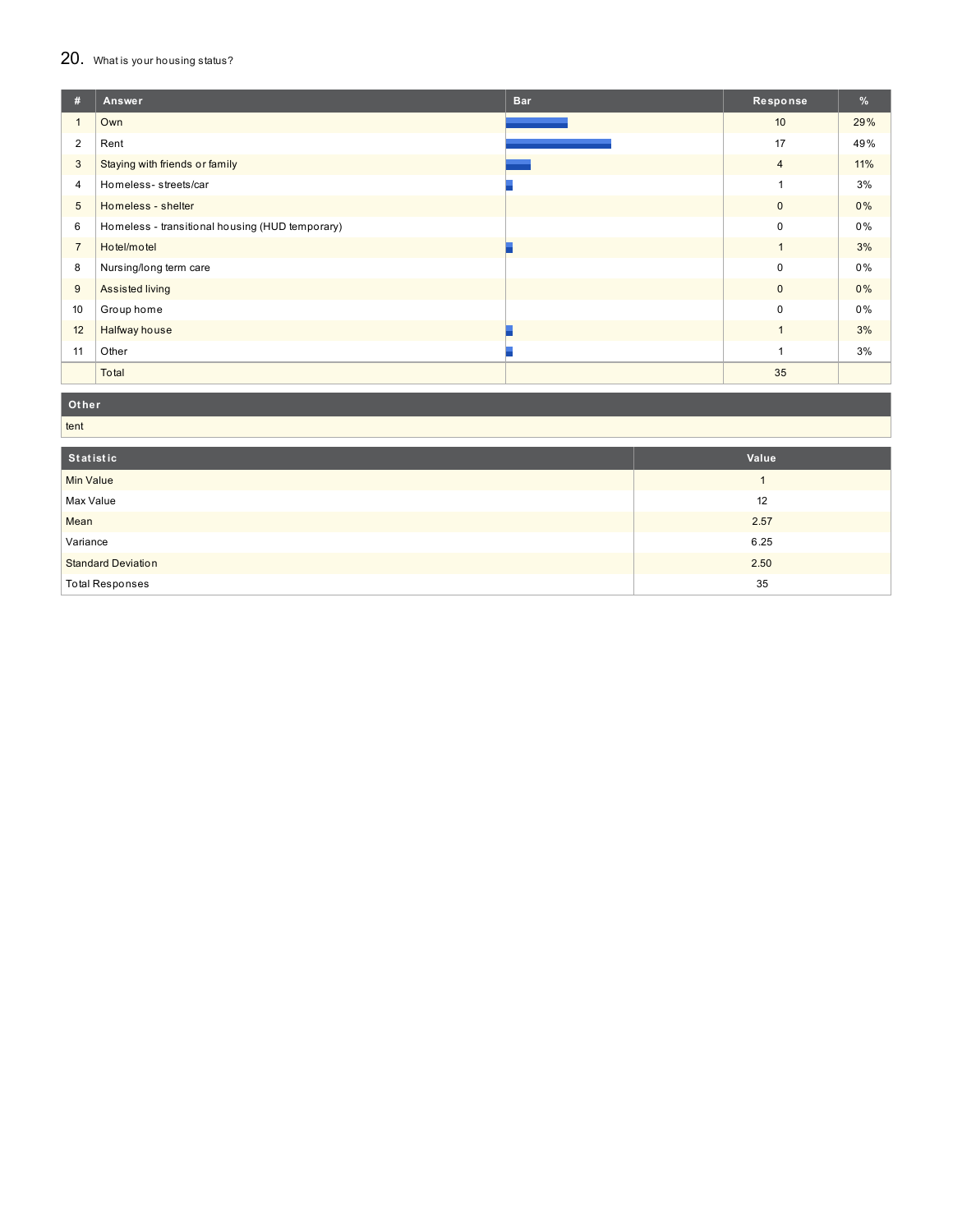# 20. What is your housing status?

| #              | Answer                                          | <b>Bar</b> | Response       | %   |
|----------------|-------------------------------------------------|------------|----------------|-----|
|                | Own                                             |            | 10             | 29% |
| 2              | Rent                                            |            | 17             | 49% |
| 3              | Staying with friends or family                  |            | $\overline{4}$ | 11% |
| $\overline{4}$ | Homeless-streets/car                            |            |                | 3%  |
| 5              | Homeless - shelter                              |            | 0              | 0%  |
| 6              | Homeless - transitional housing (HUD temporary) |            | 0              | 0%  |
| $\overline{7}$ | Hotel/motel                                     |            |                | 3%  |
| 8              | Nursing/long term care                          |            | 0              | 0%  |
| 9              | Assisted living                                 |            | 0              | 0%  |
| 10             | Group home                                      |            | 0              | 0%  |
| 12             | Halfway house                                   |            |                | 3%  |
| 11             | Other                                           |            |                | 3%  |
|                | Total                                           |            | 35             |     |

**Ot her**

| tent                      |       |  |
|---------------------------|-------|--|
| Statistic                 | Value |  |
| <b>Min Value</b>          |       |  |
| Max Value                 | 12    |  |
| Mean                      | 2.57  |  |
| Variance                  | 6.25  |  |
| <b>Standard Deviation</b> | 2.50  |  |
| <b>Total Responses</b>    | 35    |  |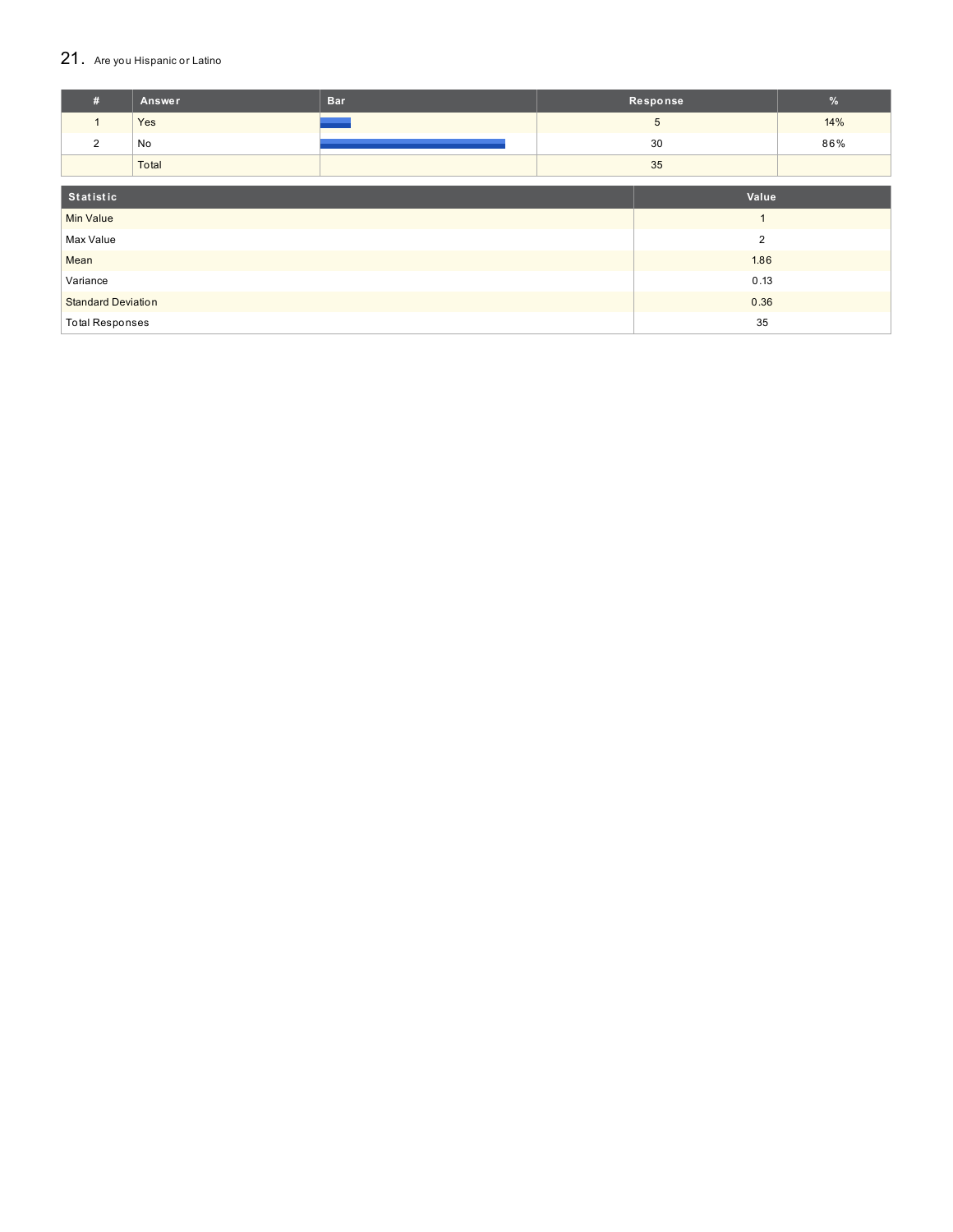## 21. Are you Hispanic or Latino

| #                         | <b>Answer</b> | <b>Bar</b>     |    | Response       | $\frac{9}{6}$ |
|---------------------------|---------------|----------------|----|----------------|---------------|
| $\mathbf{1}$              | Yes           |                |    | $\overline{5}$ | 14%           |
| 2                         | No            |                |    | 30             | 86%           |
|                           | Total         |                |    | 35             |               |
|                           |               |                |    |                |               |
| Statistic                 |               |                |    | Value          |               |
| <b>Min Value</b>          |               |                |    |                |               |
| Max Value                 |               | $\overline{2}$ |    |                |               |
| Mean                      |               | 1.86           |    |                |               |
| Variance                  |               | 0.13           |    |                |               |
| <b>Standard Deviation</b> |               | 0.36           |    |                |               |
| <b>Total Responses</b>    |               |                | 35 |                |               |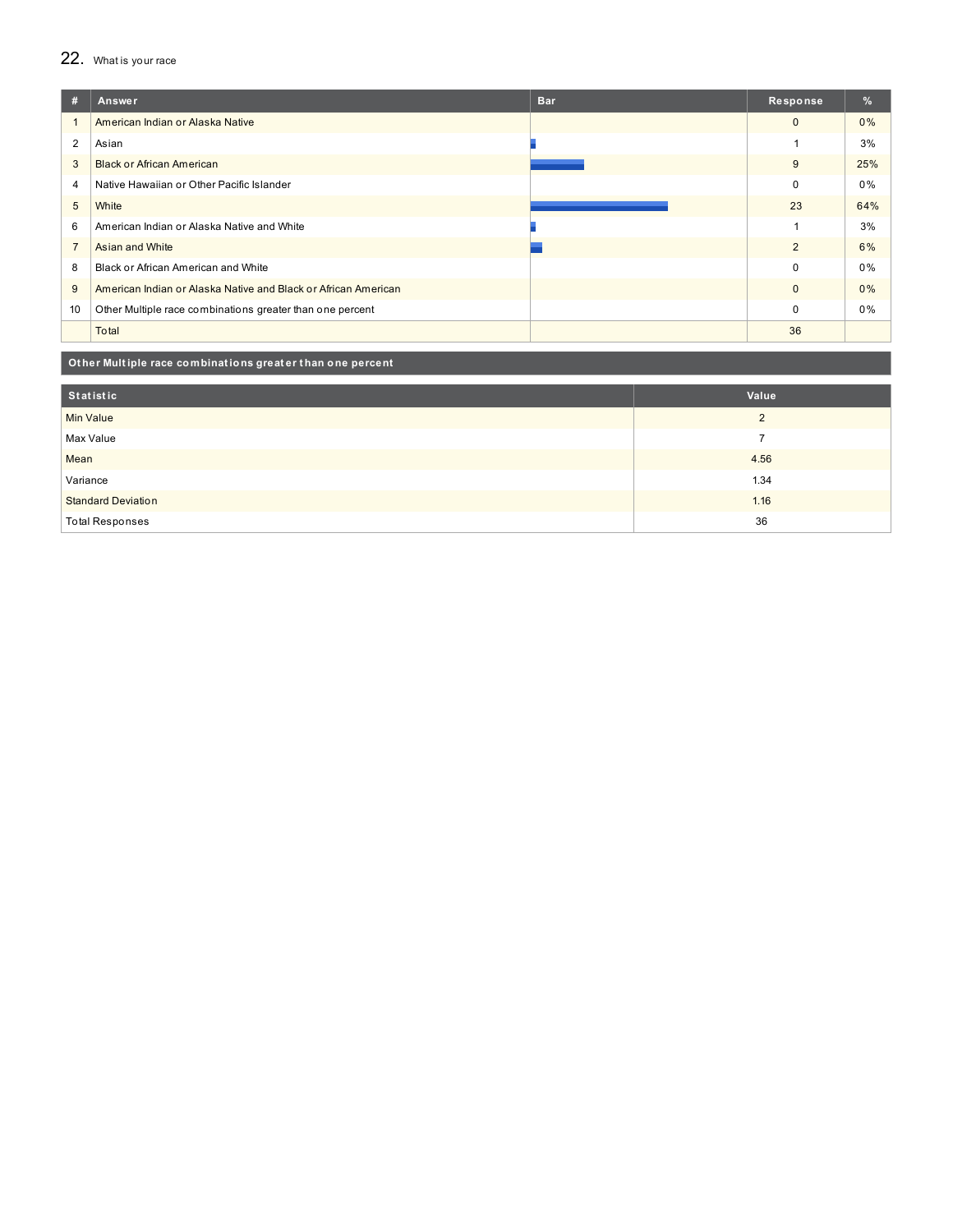## 22. What is your race

| #              | Answer                                                         | <b>Bar</b> | Response     | $\%$ |
|----------------|----------------------------------------------------------------|------------|--------------|------|
|                | American Indian or Alaska Native                               |            | $\mathbf{0}$ | 0%   |
| 2              | Asian                                                          |            |              | 3%   |
| 3              | <b>Black or African American</b>                               |            | 9            | 25%  |
| 4              | Native Hawaiian or Other Pacific Islander                      |            | $\mathbf 0$  | 0%   |
| 5              | White                                                          |            | 23           | 64%  |
| 6              | American Indian or Alaska Native and White                     |            |              | 3%   |
| $\overline{7}$ | Asian and White                                                |            | 2            | 6%   |
| 8              | Black or African American and White                            |            | $\Omega$     | 0%   |
| 9              | American Indian or Alaska Native and Black or African American |            | $\mathbf{0}$ | 0%   |
| 10             | Other Multiple race combinations greater than one percent      |            | $\Omega$     | 0%   |
|                | Total                                                          |            | 36           |      |

### **Ot her Mult iple race combinat ions great er t han one percent**

| Statistic                                                  | Value                |
|------------------------------------------------------------|----------------------|
| <b>Min Value</b>                                           | $\overline{2}$       |
|                                                            |                      |
|                                                            |                      |
|                                                            |                      |
|                                                            |                      |
| <b>Total Responses</b>                                     | 36                   |
| Max Value<br>Mean<br>Variance<br><b>Standard Deviation</b> | 4.56<br>1.34<br>1.16 |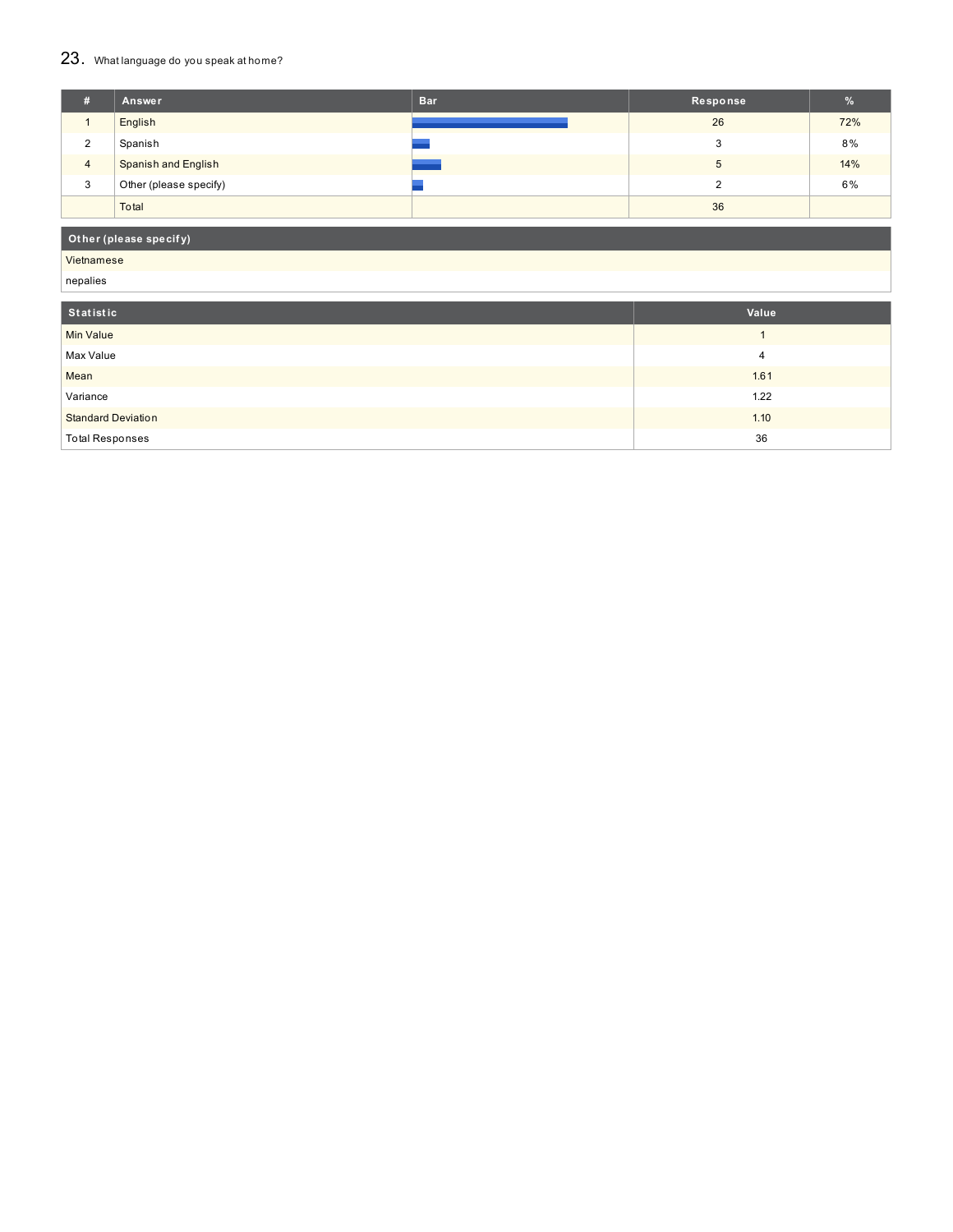# 23. What language do you speak at home?

| #              | Answer                     | <b>Bar</b> | Response | %   |
|----------------|----------------------------|------------|----------|-----|
|                | English                    |            | 26       | 72% |
| $\sim$<br>∠    | Spanish                    |            |          | 8%  |
| $\overline{4}$ | <b>Spanish and English</b> |            |          | 14% |
| 3              | Other (please specify)     |            |          | 6%  |
|                | Total                      |            | 36       |     |

## **Ot her (please specif y)**

Vietnamese nepalies

| nepalles                  |       |
|---------------------------|-------|
|                           |       |
| Statistic                 | Value |
| Min Value                 |       |
| Max Value                 | 4     |
| Mean                      | 1.61  |
| Variance                  | 1.22  |
| <b>Standard Deviation</b> | 1.10  |
| <b>Total Responses</b>    | 36    |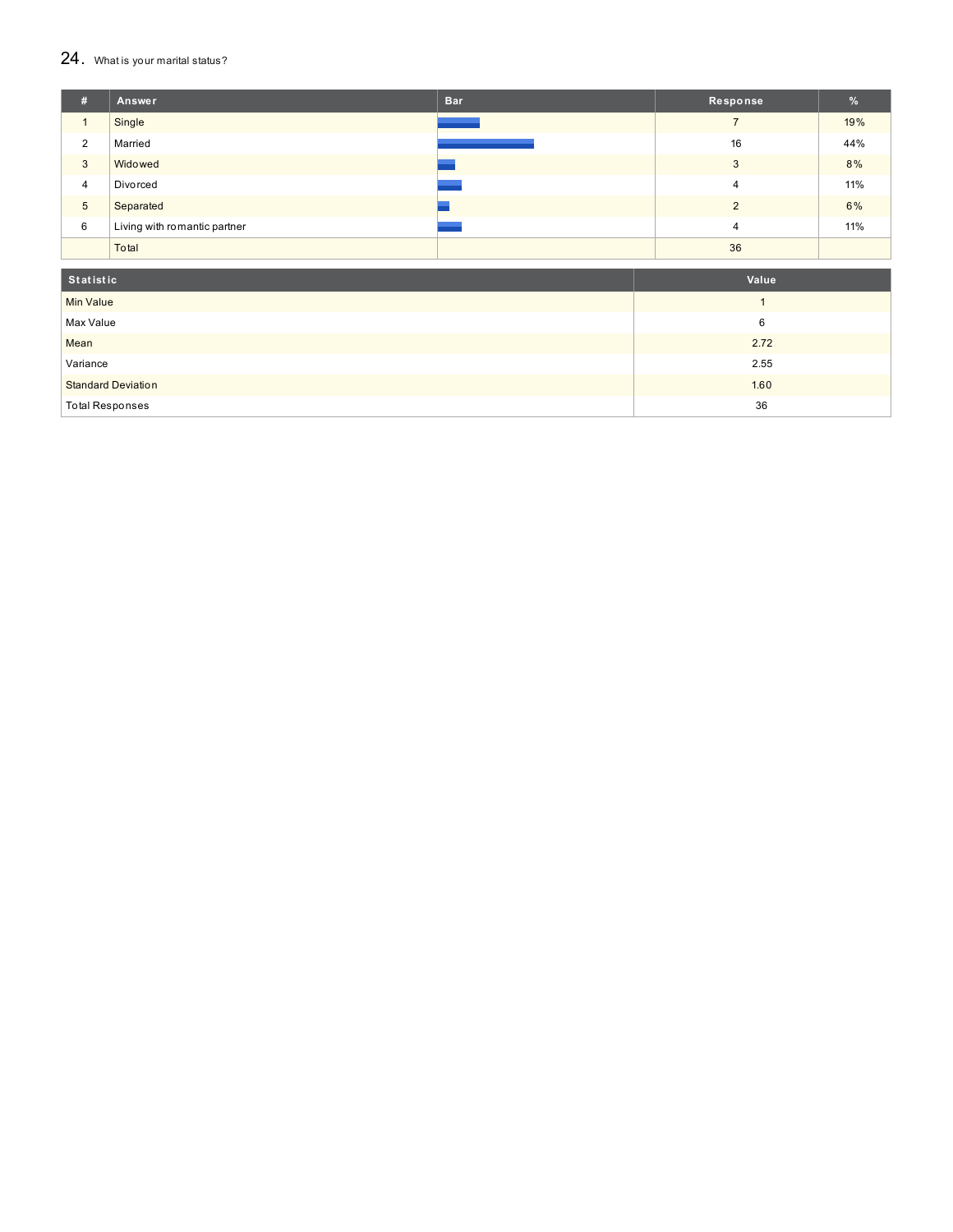### $24.$  What is your marital status?

| #               | Answer                       | <b>Bar</b> | Response       | $\frac{9}{6}$ |
|-----------------|------------------------------|------------|----------------|---------------|
|                 | Single                       |            |                | 19%           |
| $\overline{2}$  | Married                      |            | 16             | 44%           |
| 3               | Widowed                      |            | 3              | 8%            |
| $\overline{4}$  | Divorced                     |            | 4              | 11%           |
| $5\overline{)}$ | Separated                    |            | $\Omega$       | 6%            |
| 6               | Living with romantic partner |            | $\overline{4}$ | 11%           |
|                 | Total                        |            | 36             |               |

| Statistic                 | Value |
|---------------------------|-------|
| <b>Min Value</b>          |       |
| Max Value                 | 6     |
| Mean                      | 2.72  |
| Variance                  | 2.55  |
| <b>Standard Deviation</b> | 1.60  |
| <b>Total Responses</b>    | 36    |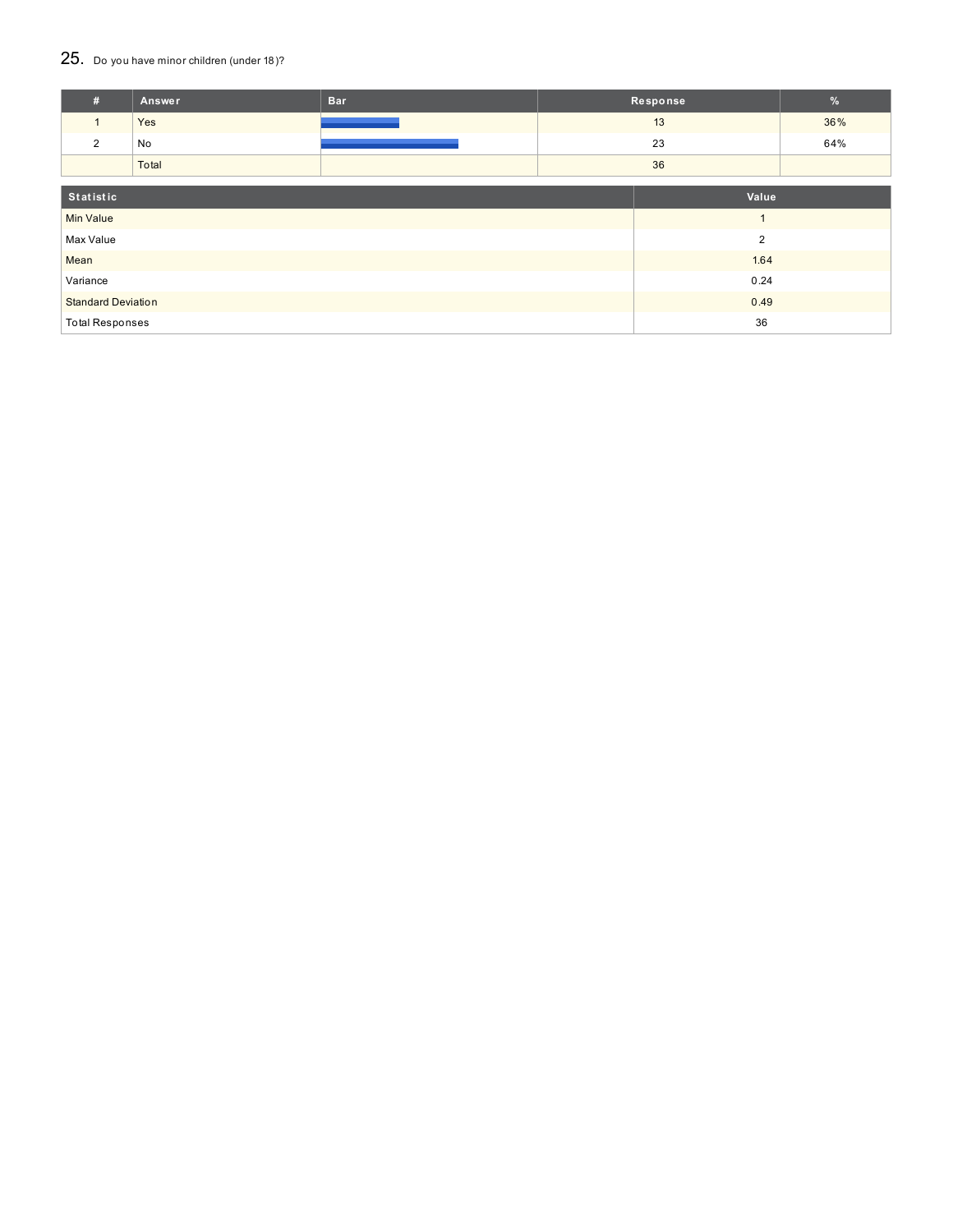## 25. Do you have minor children (under 18)?

| #                         | Answer | <b>Bar</b>     |                | Response | %   |
|---------------------------|--------|----------------|----------------|----------|-----|
| $\mathbf{1}$              | Yes    |                |                | 13       | 36% |
| 2                         | No     |                |                | 23       | 64% |
|                           | Total  |                |                | 36       |     |
| Statistic                 |        |                |                | Value    |     |
| <b>Min Value</b>          |        | $\overline{A}$ |                |          |     |
| Max Value                 |        |                | $\overline{2}$ |          |     |
| Mean                      |        |                |                | 1.64     |     |
| Variance                  |        |                | 0.24           |          |     |
| <b>Standard Deviation</b> |        |                |                | 0.49     |     |
| <b>Total Responses</b>    |        |                |                | 36       |     |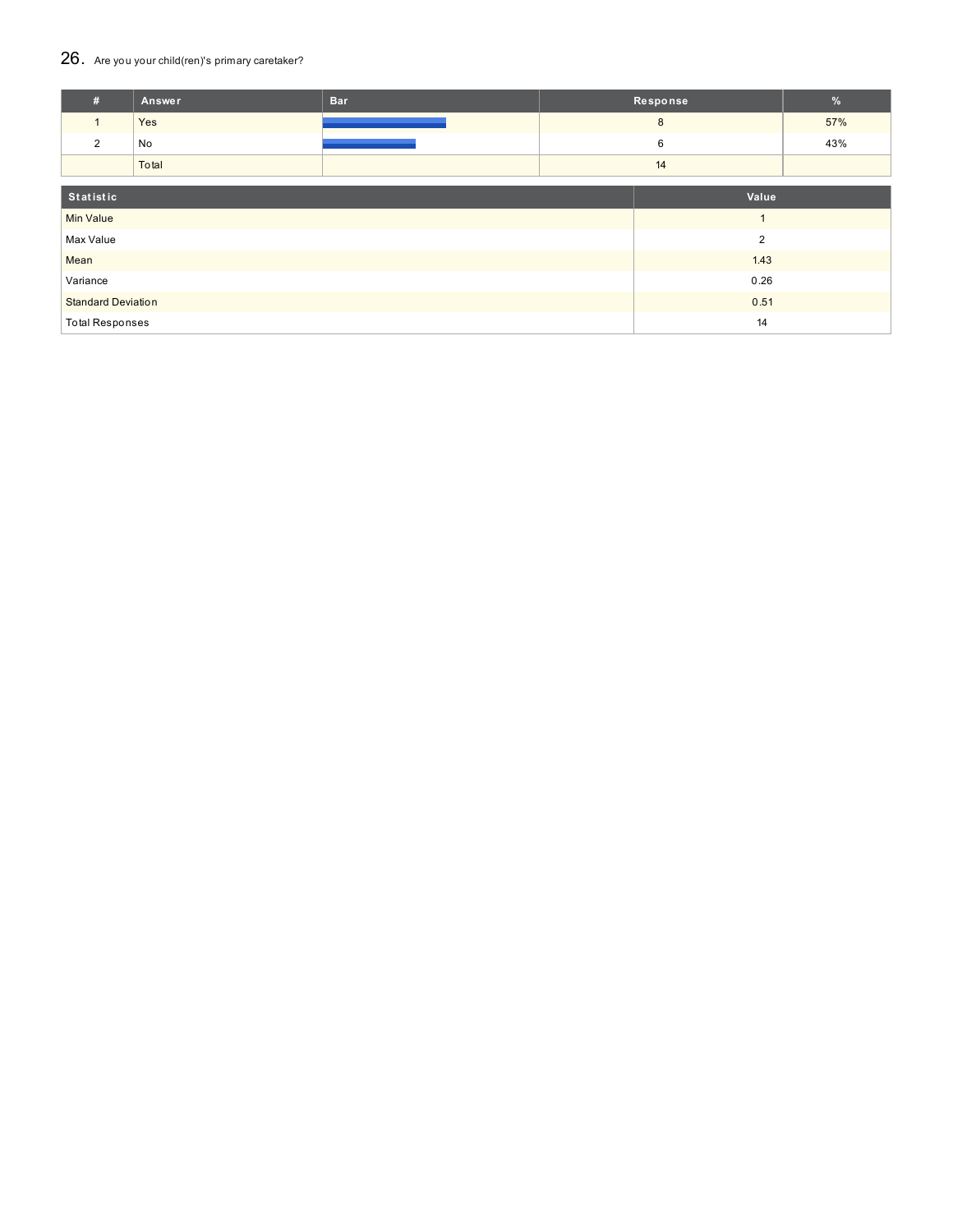## 26. Are you your child(ren)'s primary caretaker?

| #                         | Answer | <b>Bar</b> |      | Response       | %   |
|---------------------------|--------|------------|------|----------------|-----|
| $\mathbf{1}$              | Yes    |            |      | 8              | 57% |
| $\overline{2}$            | No     |            |      | 6              | 43% |
|                           | Total  |            |      | 14             |     |
| Statistic<br>Value        |        |            |      |                |     |
| <b>Min Value</b>          |        |            |      |                |     |
| Max Value                 |        |            |      | $\overline{2}$ |     |
| Mean                      |        |            |      | 1.43           |     |
| Variance                  |        |            | 0.26 |                |     |
| <b>Standard Deviation</b> |        |            | 0.51 |                |     |
| <b>Total Responses</b>    |        |            |      | 14             |     |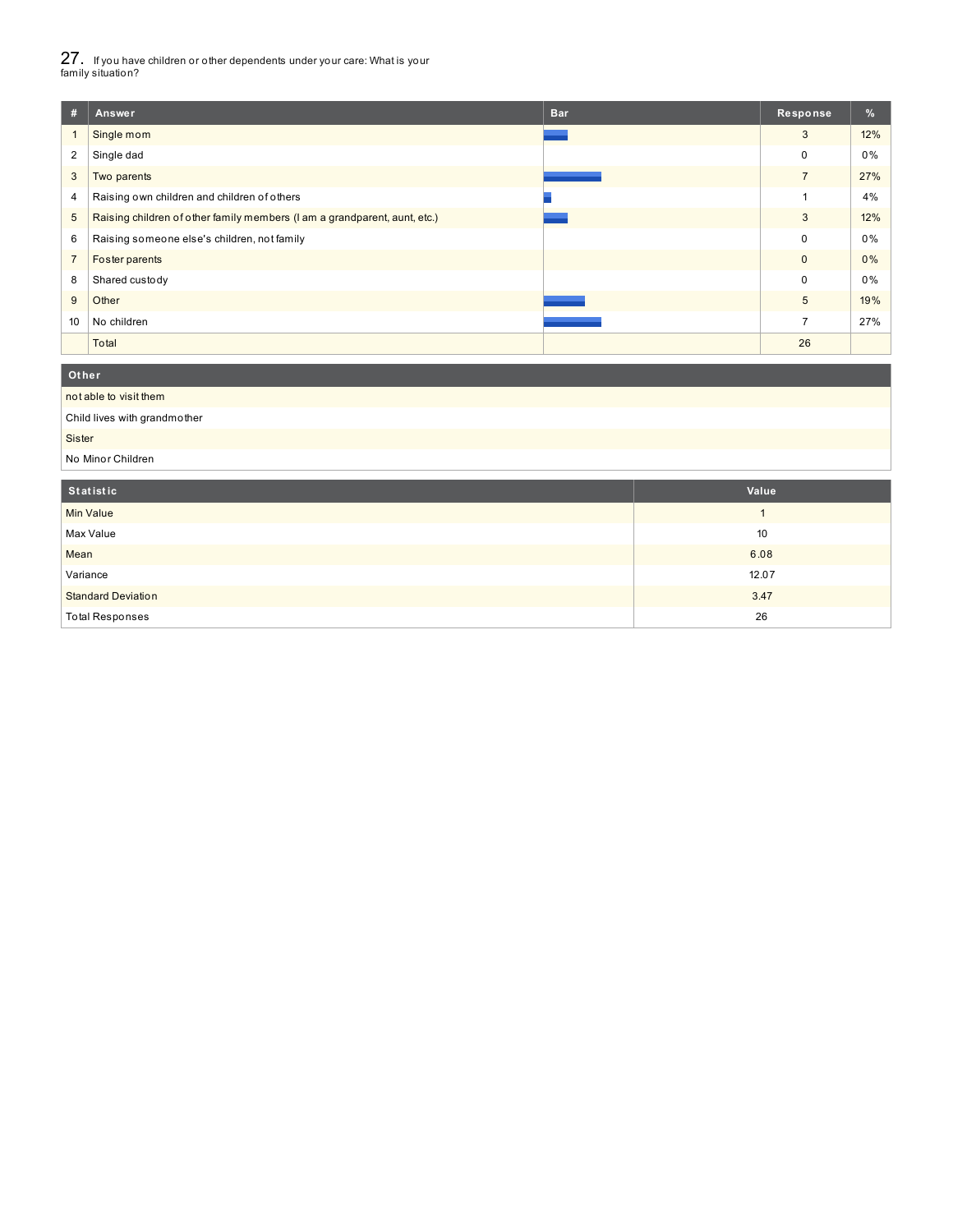27. If you have children or other dependents under your care: What is your family situation?

| #              | Answer                                                                    | <b>Bar</b> | <b>Response</b> | %     |  |  |  |
|----------------|---------------------------------------------------------------------------|------------|-----------------|-------|--|--|--|
| $\mathbf{1}$   | Single mom                                                                |            | 3               | 12%   |  |  |  |
| $\overline{2}$ | Single dad                                                                |            | $\Omega$        | $0\%$ |  |  |  |
| 3              | Two parents                                                               |            | $\overline{7}$  | 27%   |  |  |  |
| 4              | Raising own children and children of others                               |            |                 | 4%    |  |  |  |
| 5              | Raising children of other family members (I am a grandparent, aunt, etc.) |            | 3               | 12%   |  |  |  |
| 6              | Raising someone else's children, not family                               |            | 0               | 0%    |  |  |  |
| $\overline{7}$ | Foster parents                                                            |            | $\mathbf{0}$    | $0\%$ |  |  |  |
| 8              | Shared custody                                                            |            | $\mathbf 0$     | 0%    |  |  |  |
| 9              | Other                                                                     |            | 5               | 19%   |  |  |  |
| 10             | No children                                                               |            | $\overline{7}$  | 27%   |  |  |  |
|                | Total                                                                     |            | 26              |       |  |  |  |
|                | Other                                                                     |            |                 |       |  |  |  |
|                | not able to visit them                                                    |            |                 |       |  |  |  |
|                | Child lives with grandmother                                              |            |                 |       |  |  |  |
|                | Sister                                                                    |            |                 |       |  |  |  |
|                | No Minor Children                                                         |            |                 |       |  |  |  |

| Statistic                 | Value |
|---------------------------|-------|
| <b>Min Value</b>          |       |
| Max Value                 | 10    |
| Mean                      | 6.08  |
| Variance                  | 12.07 |
| <b>Standard Deviation</b> | 3.47  |
| <b>Total Responses</b>    | 26    |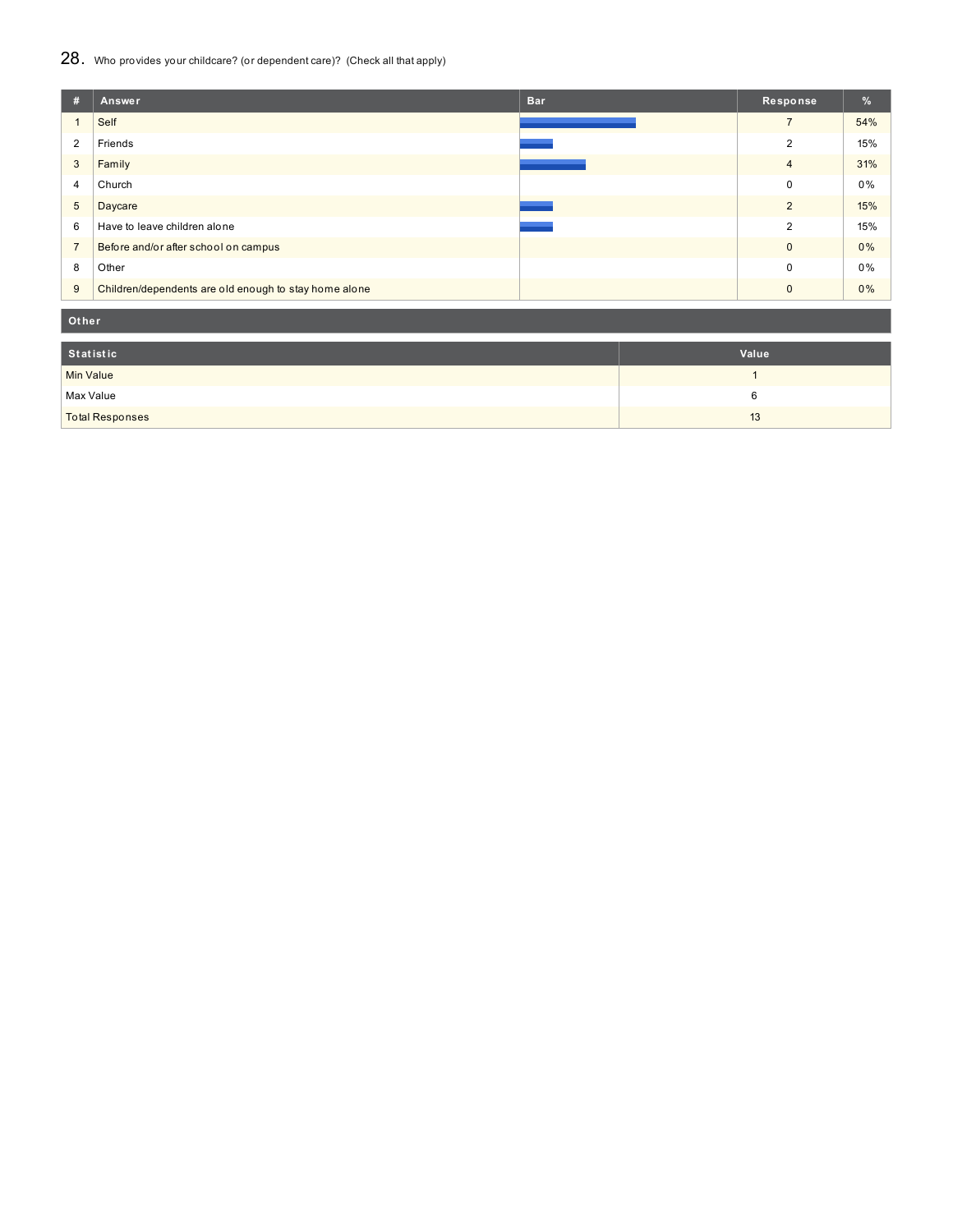## 28. Who provides your childcare? (or dependent care)? (Check all that apply)

| #              | <b>Bar</b><br>Answer                                  | Response       | $\%$ |
|----------------|-------------------------------------------------------|----------------|------|
|                | Self                                                  | $\overline{ }$ | 54%  |
| $\overline{2}$ | Friends                                               | 2              | 15%  |
| 3              | Family                                                | $\overline{4}$ | 31%  |
| 4              | Church                                                | $\Omega$       | 0%   |
| 5              | Daycare                                               | $\overline{2}$ | 15%  |
| 6              | Have to leave children alone                          | 2              | 15%  |
| $\overline{7}$ | Before and/or after school on campus                  | $\Omega$       | 0%   |
| 8              | Other                                                 | $\Omega$       | 0%   |
| 9              | Children/dependents are old enough to stay home alone | $\Omega$       | 0%   |

**Ot her**

| Statistic              | Value |
|------------------------|-------|
| <b>Min Value</b>       |       |
| Max Value              |       |
| <b>Total Responses</b> | 13    |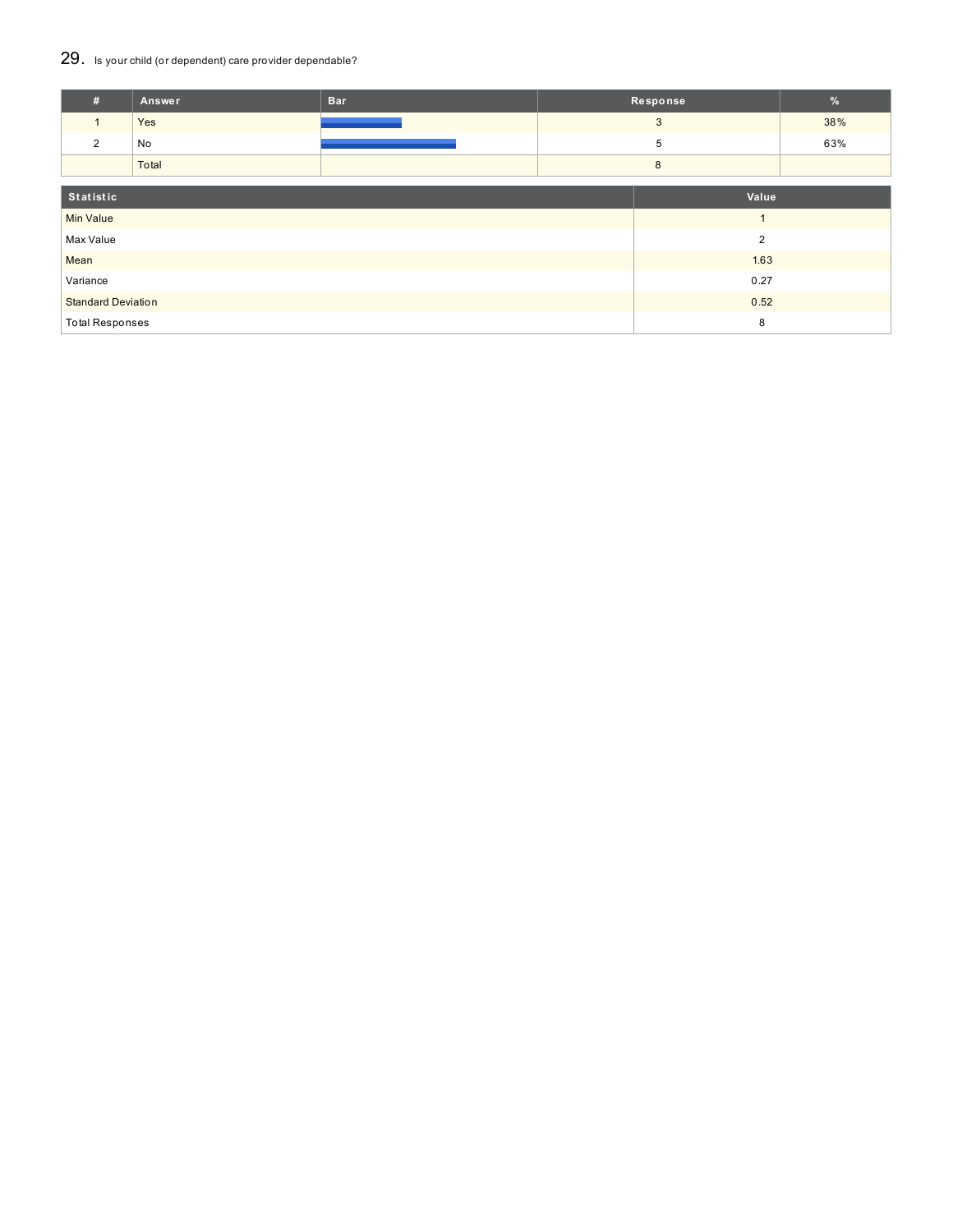## 29. Is your child (or dependent) care provider dependable?

| #                         | Answer | <b>Bar</b> |                | Response       | %   |
|---------------------------|--------|------------|----------------|----------------|-----|
| $\mathbf{1}$              | Yes    |            |                | 3              | 38% |
| 2                         | No     |            |                | 5              | 63% |
|                           | Total  |            |                | 8              |     |
| Statistic                 |        |            |                | Value          |     |
| <b>Min Value</b>          |        |            | $\overline{ }$ |                |     |
| Max Value                 |        |            |                | $\overline{2}$ |     |
| Mean                      |        |            | 1.63           |                |     |
| Variance                  |        |            | 0.27           |                |     |
| <b>Standard Deviation</b> |        |            | 0.52           |                |     |
| <b>Total Responses</b>    |        |            |                | 8              |     |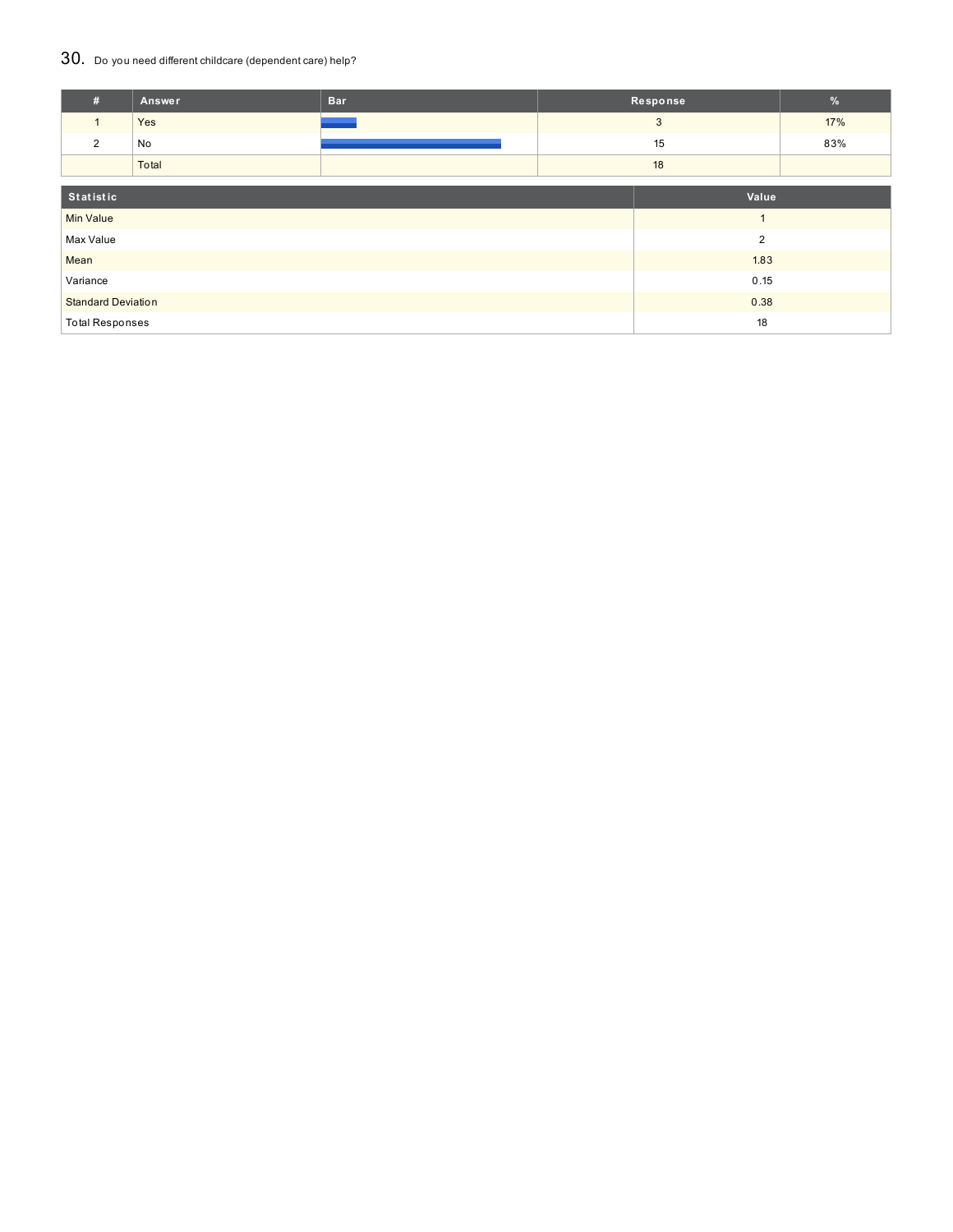## 30. Do you need different childcare (dependent care) help?

| #                         | <b>Answer</b>          | <b>Bar</b> |      | Response       | $\%$ |
|---------------------------|------------------------|------------|------|----------------|------|
| $\mathbf{1}$              | Yes                    |            |      | 3              | 17%  |
| 2                         | No                     |            |      | 15             | 83%  |
|                           | Total                  |            |      | 18             |      |
|                           |                        |            |      |                |      |
|                           | Statistic              |            |      | Value          |      |
| <b>Min Value</b>          |                        |            |      |                |      |
| Max Value                 |                        |            |      | $\overline{2}$ |      |
| Mean                      |                        |            |      | 1.83           |      |
| Variance                  |                        |            | 0.15 |                |      |
| <b>Standard Deviation</b> |                        |            | 0.38 |                |      |
|                           | <b>Total Responses</b> |            |      | 18             |      |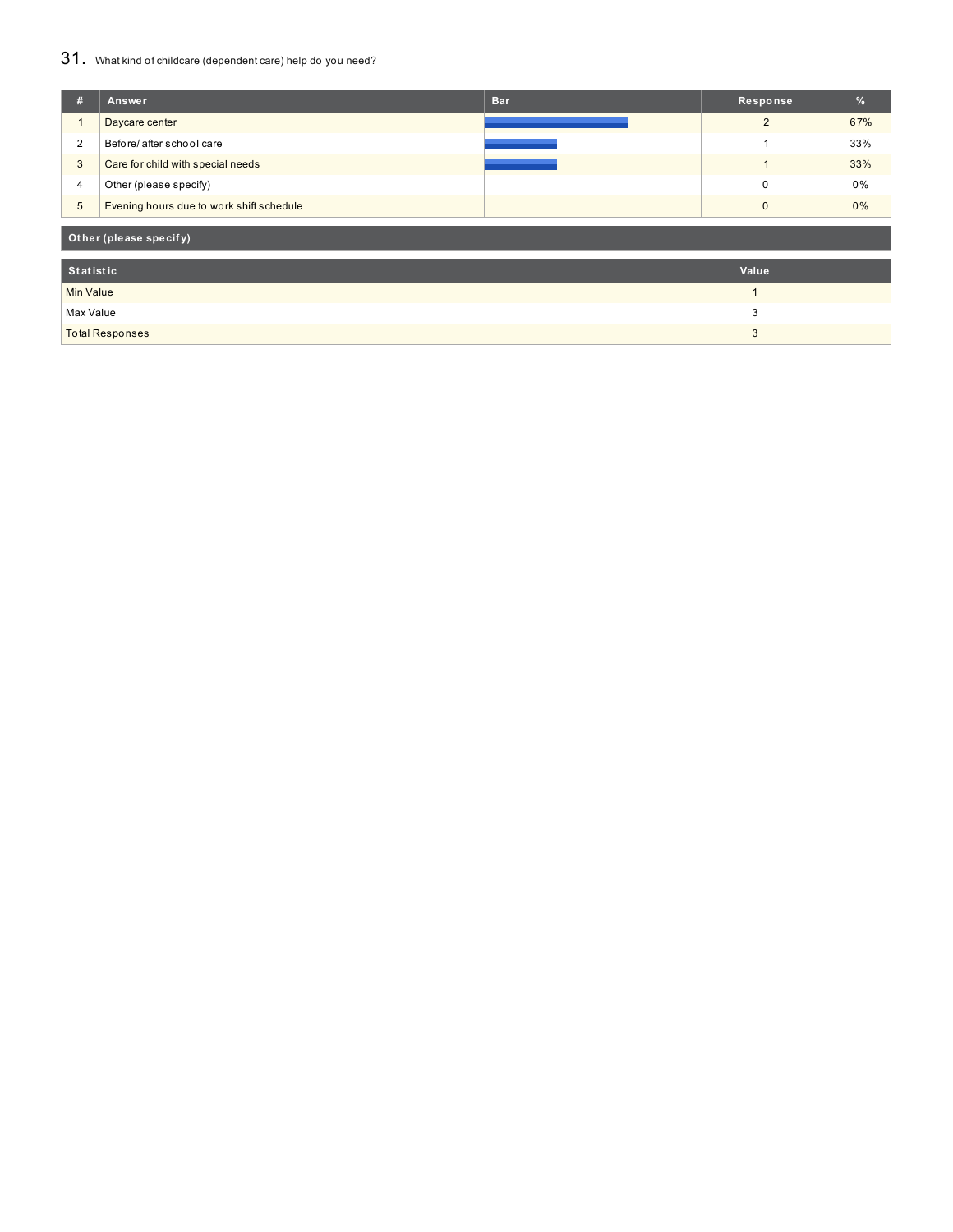## 31. What kind of childcare (dependent care) help do you need?

| #                | Answer                                   | <b>Bar</b> | Response       | $\frac{9}{6}$ |
|------------------|------------------------------------------|------------|----------------|---------------|
|                  | Daycare center                           |            | 2              | 67%           |
| $\overline{2}$   | Before/ after school care                |            |                | 33%           |
| 3                | Care for child with special needs        |            |                | 33%           |
| 4                | Other (please specify)                   |            | 0              | 0%            |
| $\overline{5}$   | Evening hours due to work shift schedule |            | $\mathbf{0}$   | 0%            |
|                  | Other (please specify)                   |            |                |               |
| <b>Statistic</b> |                                          |            | Value          |               |
| <b>Min Value</b> |                                          |            | $\overline{ }$ |               |
| Max Value        |                                          |            | 3              |               |
|                  | <b>Total Responses</b>                   |            | 3              |               |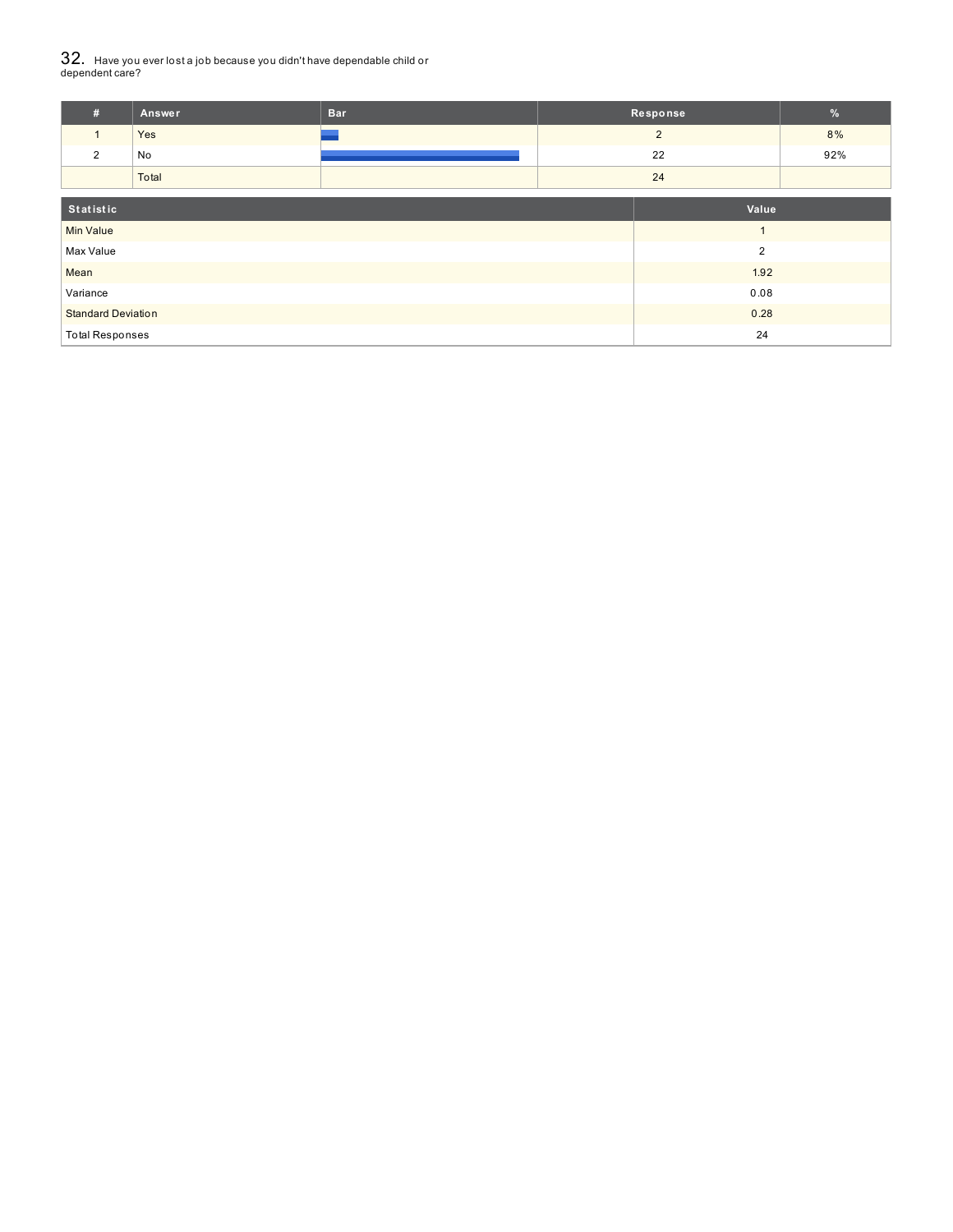# $32_\cdot\,$  Have you ever lost a job because you didn't have dependable child or<br>dependent care?

| #                         | Answer | <b>Bar</b> |      | Response       | $\sqrt{2}$ |
|---------------------------|--------|------------|------|----------------|------------|
| $\mathbf{1}$              | Yes    |            |      | $\overline{2}$ | 8%         |
| $\overline{2}$            | No     |            |      | 22             | 92%        |
|                           | Total  |            |      |                |            |
| Statistic                 |        |            |      | Value          |            |
| <b>Min Value</b>          |        |            |      | $\overline{A}$ |            |
| Max Value                 |        |            |      | $\overline{2}$ |            |
| Mean                      |        |            |      | 1.92           |            |
| Variance                  |        |            | 0.08 |                |            |
| <b>Standard Deviation</b> |        |            |      | 0.28           |            |
| <b>Total Responses</b>    |        |            |      | 24             |            |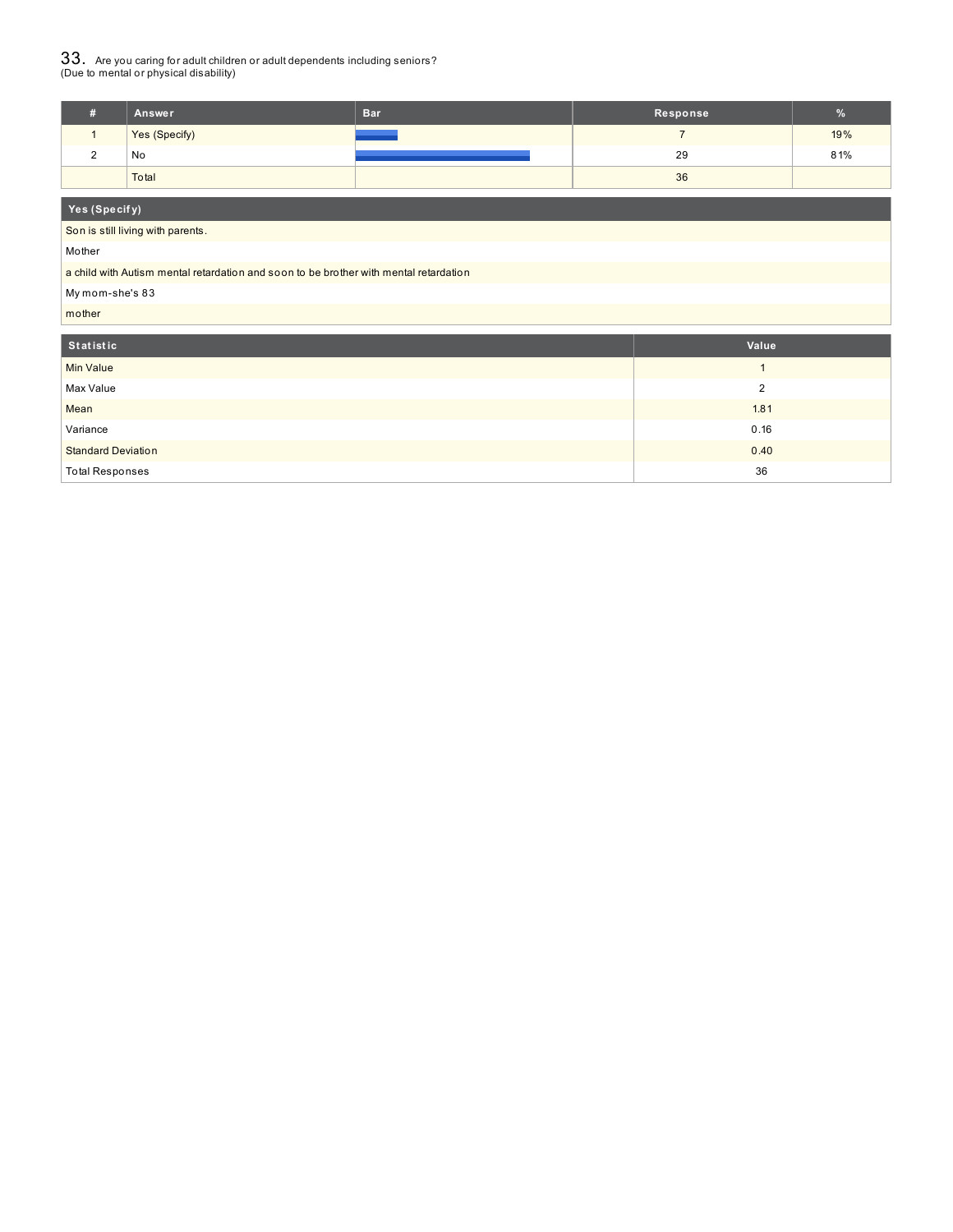$33_\cdot$  Are you caring for adult children or adult dependents including seniors?<br>(Due to mental or physical disability)

| Answer        | <b>Bar</b> | Response | $\%$ |
|---------------|------------|----------|------|
| Yes (Specify) |            |          | 19%  |
| No            |            | 29       | 81%  |
| Total         |            | 36       |      |

#### **Yes (Specif y)**

Son is still living with parents.

Mother

a child with Autism mental retardation and soon to be brother with mental retardation

My mom-she's 83

mother

| Statistic                 | Value |
|---------------------------|-------|
| Min Value                 |       |
| Max Value                 | C     |
| Mean                      | 1.81  |
| Variance                  | 0.16  |
| <b>Standard Deviation</b> | 0.40  |
| <b>Total Responses</b>    | 36    |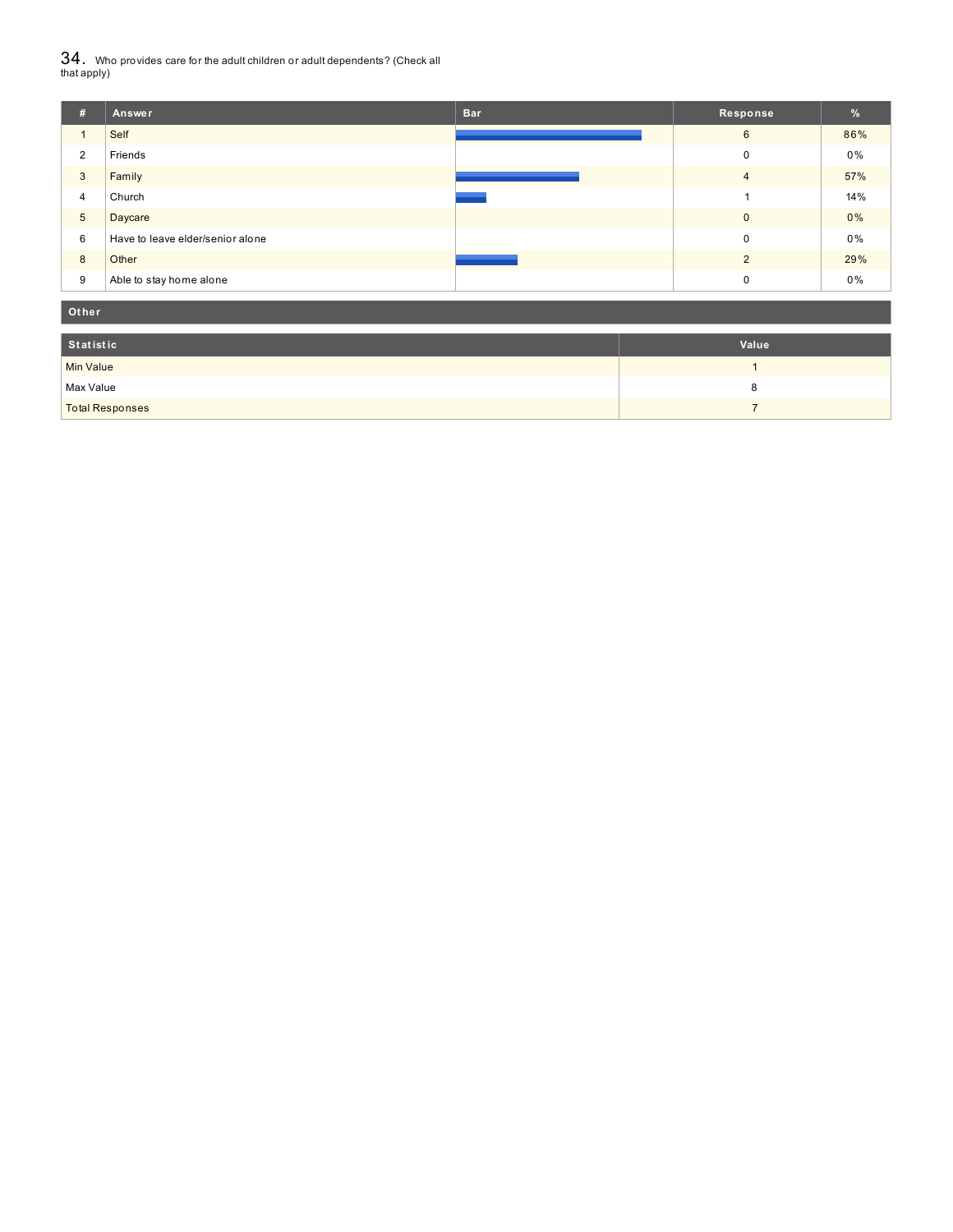${\bf 34}$  . Who provides care for the adult children or adult dependents? (Check all<br>that apply)

| #               | Answer                           | <b>Bar</b> | Response       | $\frac{9}{6}$ |
|-----------------|----------------------------------|------------|----------------|---------------|
|                 | Self                             |            | 6              | 86%           |
| 2               | Friends                          |            | $\mathbf 0$    | 0%            |
| 3               | Family                           |            | $\overline{4}$ | 57%           |
| 4               | Church                           |            |                | 14%           |
| $5\phantom{.0}$ | Daycare                          |            | $\mathbf{0}$   | 0%            |
| 6               | Have to leave elder/senior alone |            | $\mathbf 0$    | $0\%$         |
| 8               | Other                            |            | $\mathcal{D}$  | 29%           |
| 9               | Able to stay home alone          |            | 0              | $0\%$         |

| Other                  |       |  |  |  |  |
|------------------------|-------|--|--|--|--|
| Statistic              | Value |  |  |  |  |
| <b>Min Value</b>       |       |  |  |  |  |
| Max Value              | o     |  |  |  |  |
| <b>Total Responses</b> |       |  |  |  |  |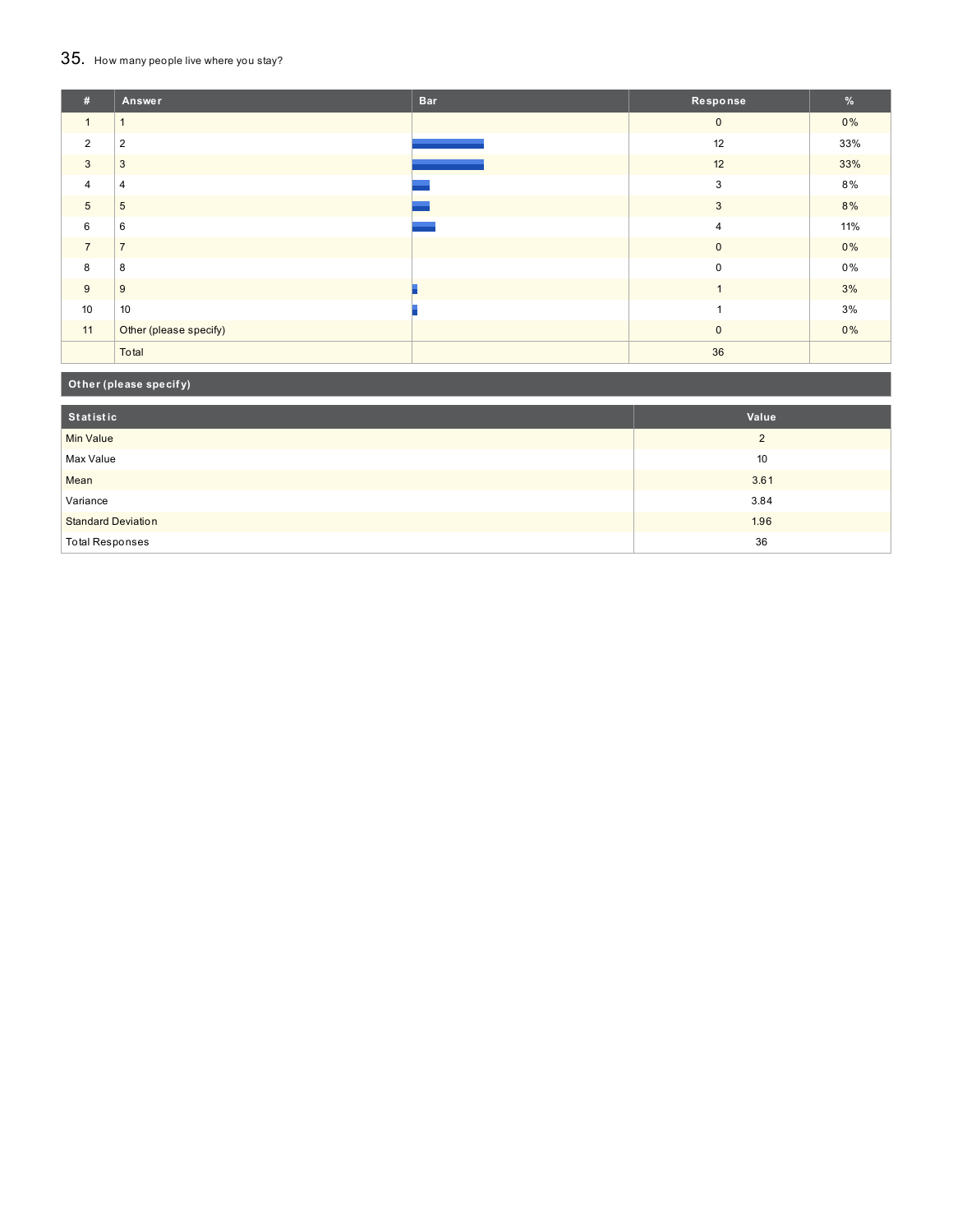## 35. How many people live where you stay?

| #              | Answer                 | <b>Bar</b> | Response       | $\frac{9}{6}$ |
|----------------|------------------------|------------|----------------|---------------|
| $\mathbf{1}$   |                        |            | $\mathbf 0$    | $0\%$         |
| $\overline{2}$ | $\overline{2}$         |            | 12             | 33%           |
| $\mathbf{3}$   | 3                      |            | 12             | 33%           |
| $\overline{4}$ | 4                      |            | 3              | 8%            |
| $\overline{5}$ | 5                      |            | 3              | 8%            |
| 6              | 6                      |            | $\overline{4}$ | 11%           |
| $\overline{7}$ | $\overline{ }$         |            | $\mathbf 0$    | $0\%$         |
| 8              | 8                      |            | $\mathbf 0$    | $0\%$         |
| 9              | 9                      |            | $\overline{1}$ | 3%            |
| 10             | 10                     |            | $\overline{a}$ | 3%            |
| 11             | Other (please specify) |            | $\mathbf{0}$   | $0\%$         |
|                | Total                  |            | 36             |               |

## **Ot her (please specif y)**

| Statistic                 | Value    |
|---------------------------|----------|
| Min Value                 | $\Omega$ |
| Max Value                 | 10       |
| Mean                      | 3.61     |
| Variance                  | 3.84     |
| <b>Standard Deviation</b> | 1.96     |
| Total Responses           | 36       |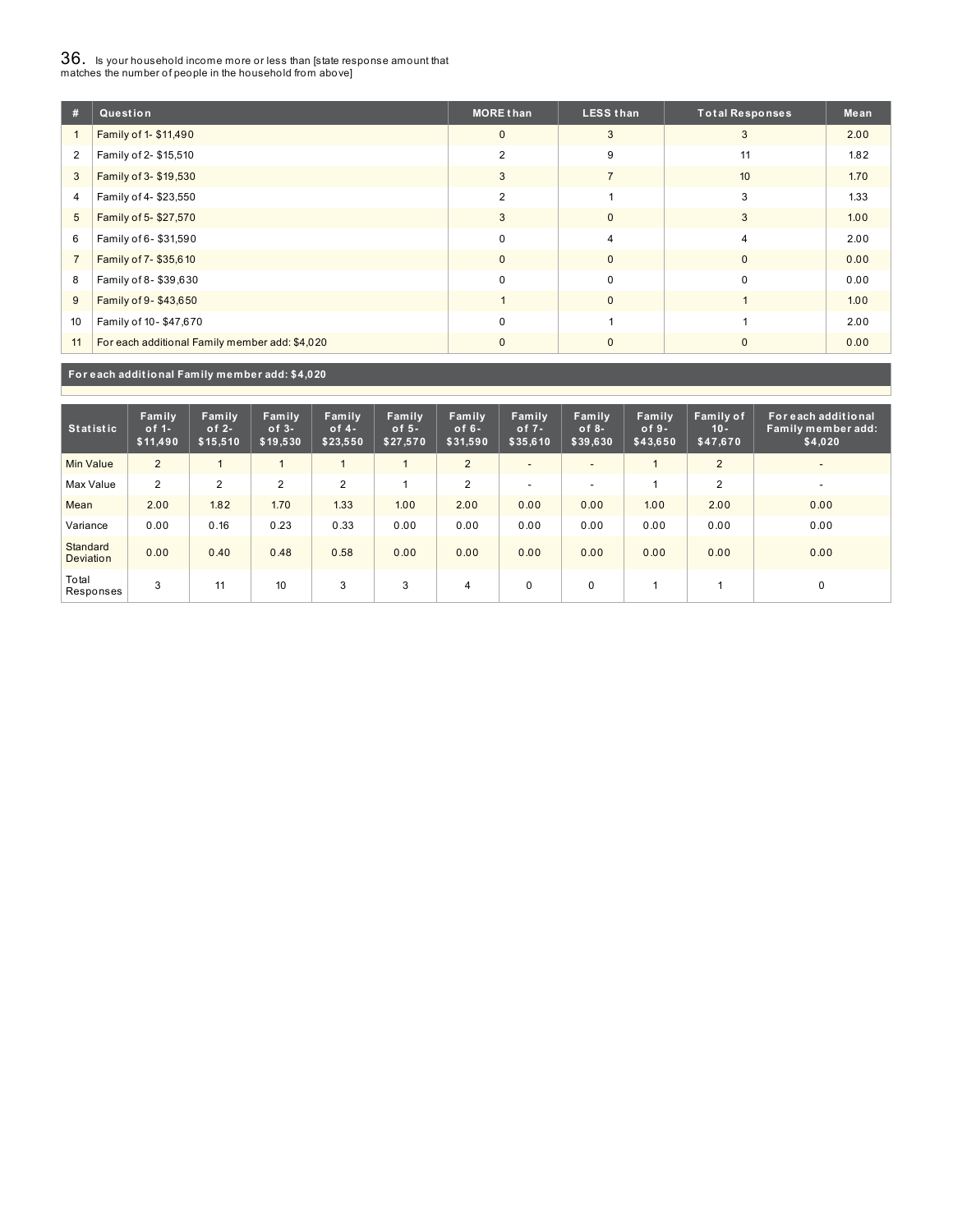# $36_\cdot$  is your household income more or less than [state response amount that<br>matches the number of people in the household from above]

| #              | Question                                       | <b>MORE than</b> | <b>LESS than</b> | <b>Total Responses</b> | Mean |
|----------------|------------------------------------------------|------------------|------------------|------------------------|------|
|                | Family of 1- \$11,490                          | $\mathbf{0}$     | 3                | 3                      | 2.00 |
| $\overline{2}$ | Family of 2- \$15,510                          | $\overline{2}$   | 9                | 11                     | 1.82 |
| 3              | Family of 3- \$19,530                          | 3                | $\overline{7}$   | 10 <sup>10</sup>       | 1.70 |
| 4              | Family of 4-\$23,550                           | $\overline{2}$   |                  | 3                      | 1.33 |
| 5              | Family of 5-\$27,570                           | 3                | $\mathbf{0}$     | 3                      | 1.00 |
| 6              | Family of 6-\$31,590                           | $\Omega$         | $\overline{4}$   | 4                      | 2.00 |
| $\overline{7}$ | Family of 7-\$35,610                           | $\mathbf{0}$     | $\mathbf{0}$     | $\mathbf{0}$           | 0.00 |
| 8              | Family of 8-\$39,630                           | 0                | $\mathbf 0$      | 0                      | 0.00 |
| 9              | Family of 9-\$43,650                           |                  | $\mathbf{0}$     |                        | 1.00 |
| 10             | Family of 10-\$47,670                          | $\mathbf 0$      |                  |                        | 2.00 |
| 11             | For each additional Family member add: \$4,020 | $\Omega$         | $\mathbf{0}$     | $\Omega$               | 0.00 |

**For each addit ional Family member add: \$4,020**

| <b>Statistic</b>             | Family<br>of $1-$<br>\$11,490 | Family<br>of $2-$<br>\$15,510 | Family<br>$of 3-$<br>\$19,530 | Family<br>of $4-$<br>\$23,550 | Family<br>of $5-$<br>\$27,570 | Family<br>of $6-$<br>\$31,590 | Family<br>of $7 -$<br>\$35,610 | Family<br>$of 8-$<br>\$39,630 | Family<br>$of 9-$<br>\$43,650 | Family of<br>$10 -$<br>\$47,670 | For each additional<br>Family member add:<br>\$4,020 |
|------------------------------|-------------------------------|-------------------------------|-------------------------------|-------------------------------|-------------------------------|-------------------------------|--------------------------------|-------------------------------|-------------------------------|---------------------------------|------------------------------------------------------|
| <b>Min Value</b>             | 2                             |                               |                               |                               |                               | 2                             | $\overline{\phantom{a}}$       | -                             |                               | $\overline{2}$                  | $\overline{\phantom{0}}$                             |
| Max Value                    | 2                             | 2                             | 2                             | $\overline{2}$                |                               | $\overline{2}$                | $\overline{\phantom{a}}$       | -                             |                               | $\overline{2}$                  | <b>.</b>                                             |
| Mean                         | 2.00                          | 1.82                          | 1.70                          | 1.33                          | 1.00                          | 2.00                          | 0.00                           | 0.00                          | 1.00                          | 2.00                            | 0.00                                                 |
| Variance                     | 0.00                          | 0.16                          | 0.23                          | 0.33                          | 0.00                          | 0.00                          | 0.00                           | 0.00                          | 0.00                          | 0.00                            | 0.00                                                 |
| Standard<br><b>Deviation</b> | 0.00                          | 0.40                          | 0.48                          | 0.58                          | 0.00                          | 0.00                          | 0.00                           | 0.00                          | 0.00                          | 0.00                            | 0.00                                                 |
| Total<br>Responses           | 3                             | 11                            | 10                            | 3                             | 3                             | 4                             | $\mathbf 0$                    | 0                             |                               |                                 | 0                                                    |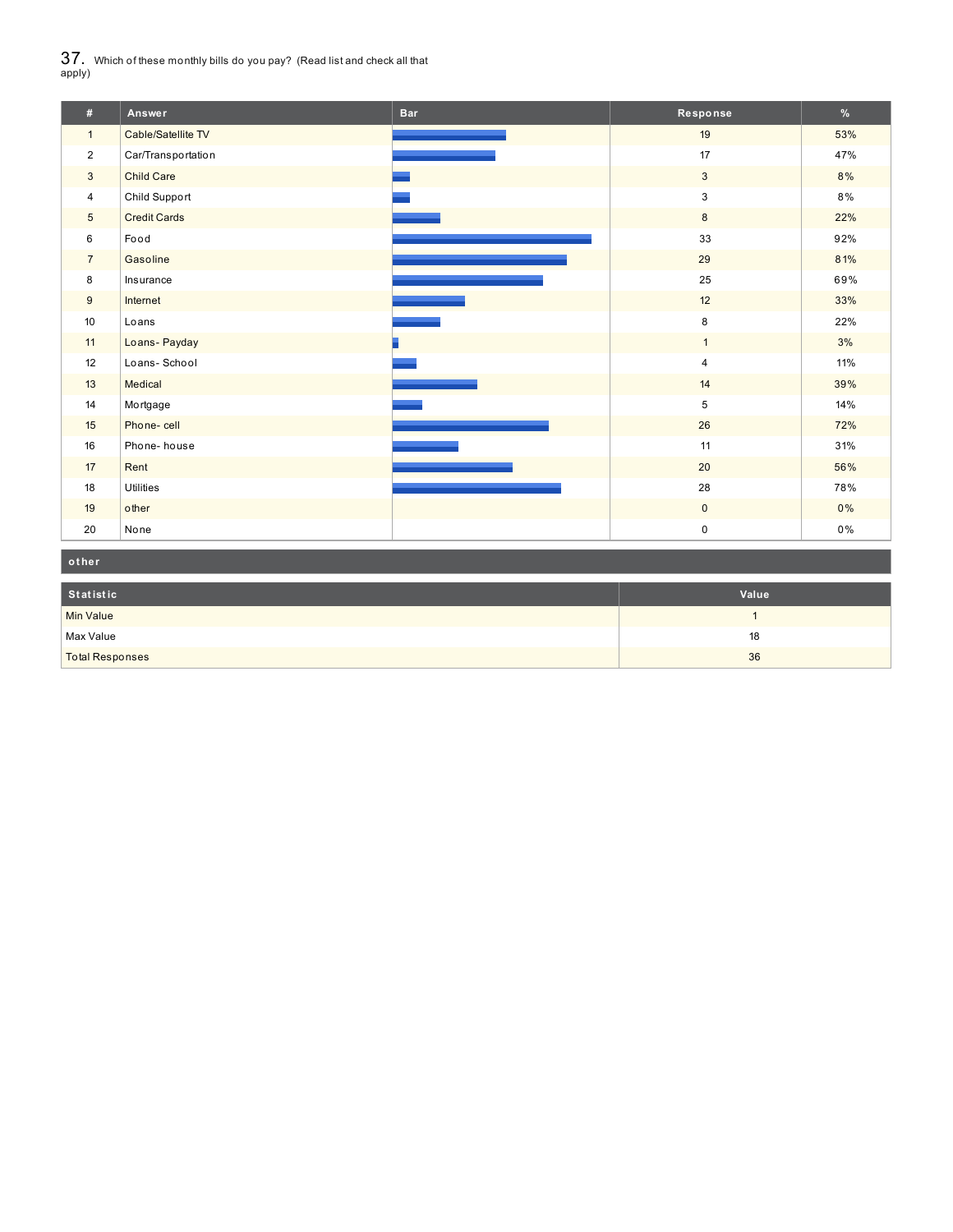$37_\cdot$  Which of these monthly bills do you pay? (Read list and check all that apply)

| #               | Answer              | <b>Bar</b> | Response     | %   |
|-----------------|---------------------|------------|--------------|-----|
| $\mathbf{1}$    | Cable/Satellite TV  |            | 19           | 53% |
| $\overline{2}$  | Car/Transportation  |            | 17           | 47% |
| $\mathbf{3}$    | <b>Child Care</b>   |            | $\mathbf{3}$ | 8%  |
| $\overline{4}$  | Child Support       |            | 3            | 8%  |
| $5\overline{)}$ | <b>Credit Cards</b> |            | 8            | 22% |
| 6               | Food                |            | 33           | 92% |
| $\overline{7}$  | Gasoline            |            | 29           | 81% |
| 8               | Insurance           |            | 25           | 69% |
| 9               | Internet            |            | 12           | 33% |
| 10              | Loans               |            | 8            | 22% |
| 11              | Loans-Payday        |            | $\mathbf{1}$ | 3%  |
| 12              | Loans-School        |            | 4            | 11% |
| 13              | Medical             |            | 14           | 39% |
| 14              | Mortgage            |            | 5            | 14% |
| 15              | Phone-cell          |            | 26           | 72% |
| 16              | Phone-house         |            | 11           | 31% |
| 17              | Rent                |            | 20           | 56% |
| 18              | <b>Utilities</b>    |            | 28           | 78% |
| 19              | other               |            | $\mathbf 0$  | 0%  |
| 20              | None                |            | $\pmb{0}$    | 0%  |

| other                  |       |
|------------------------|-------|
| Statistic              | Value |
| Min Value              |       |
| Max Value              | 18    |
| <b>Total Responses</b> | 36    |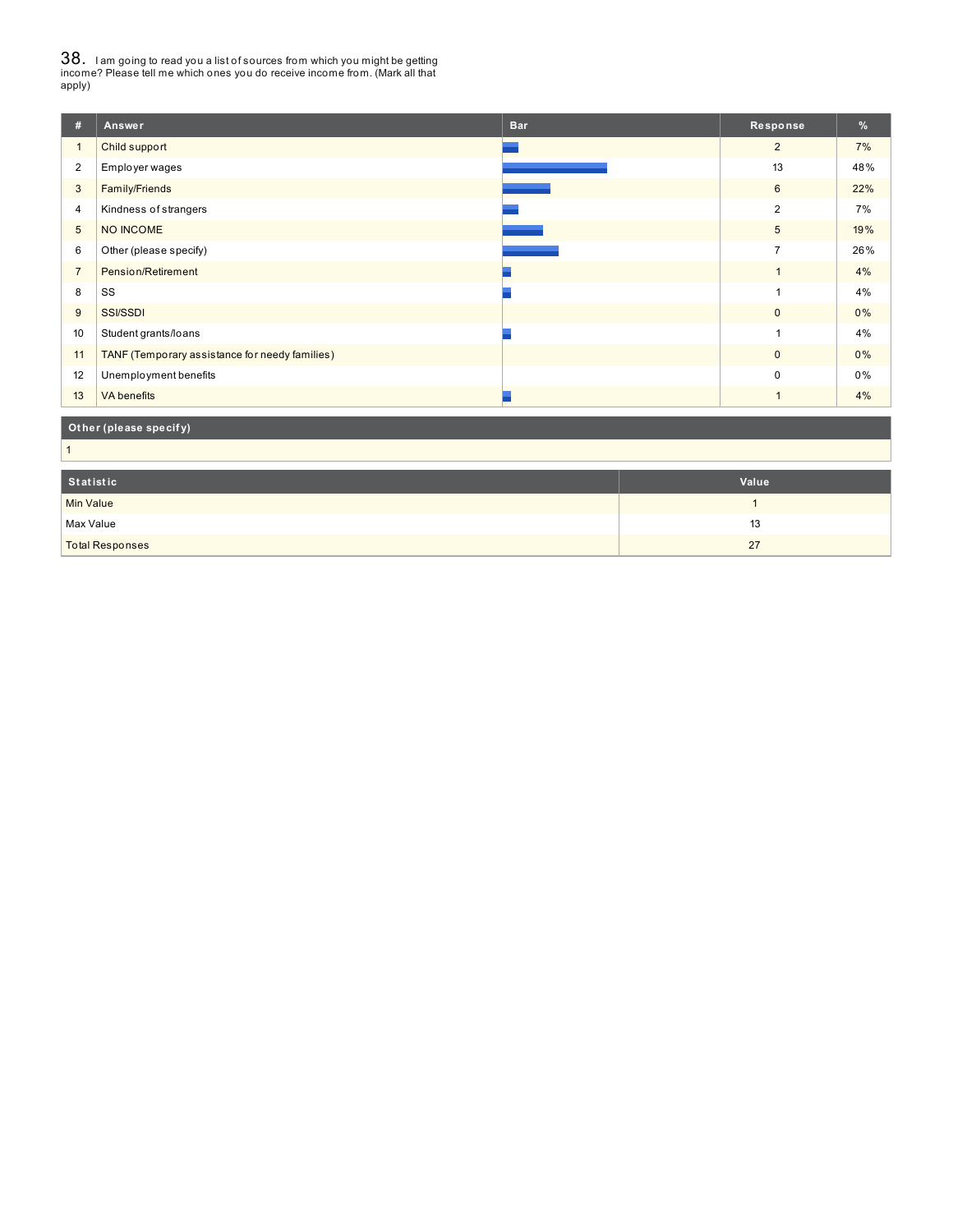38. <sup>I</sup> am going to read you <sup>a</sup> list of sources from which you might be getting income? Please tell me which ones you do receive income from. (Mark all that apply)

| #                | Answer                                         | <b>Bar</b> | Response       | %     |
|------------------|------------------------------------------------|------------|----------------|-------|
| $\mathbf{1}$     | Child support                                  |            | $\overline{2}$ | 7%    |
| $\overline{2}$   | Employer wages                                 |            | 13             | 48%   |
| 3                | Family/Friends                                 |            | 6              | 22%   |
| 4                | Kindness of strangers                          |            | $\overline{2}$ | 7%    |
| $5\phantom{.0}$  | NO INCOME                                      |            | $\sqrt{5}$     | 19%   |
| 6                | Other (please specify)                         |            | $\overline{7}$ | 26%   |
| $\overline{7}$   | Pension/Retirement                             |            | $\mathbf{1}$   | 4%    |
| 8                | SS                                             |            | $\overline{1}$ | 4%    |
| 9                | <b>SSI/SSDI</b>                                |            | $\mathbf 0$    | $0\%$ |
| 10               | Student grants/loans                           |            | 1              | 4%    |
| 11               | TANF (Temporary assistance for needy families) |            | $\mathbf 0$    | 0%    |
| 12               | Unemployment benefits                          |            | $\mathbf 0$    | 0%    |
| 13               | <b>VA</b> benefits                             |            | $\mathbf{1}$   | 4%    |
|                  | Other (please specify)                         |            |                |       |
| $\mathbf{1}$     |                                                |            |                |       |
| Statistic        |                                                |            | Value          |       |
| <b>Min Value</b> |                                                |            | $\overline{1}$ |       |

| Min Value              |           |
|------------------------|-----------|
| Max Value              | . .<br>13 |
| <b>Total Responses</b> |           |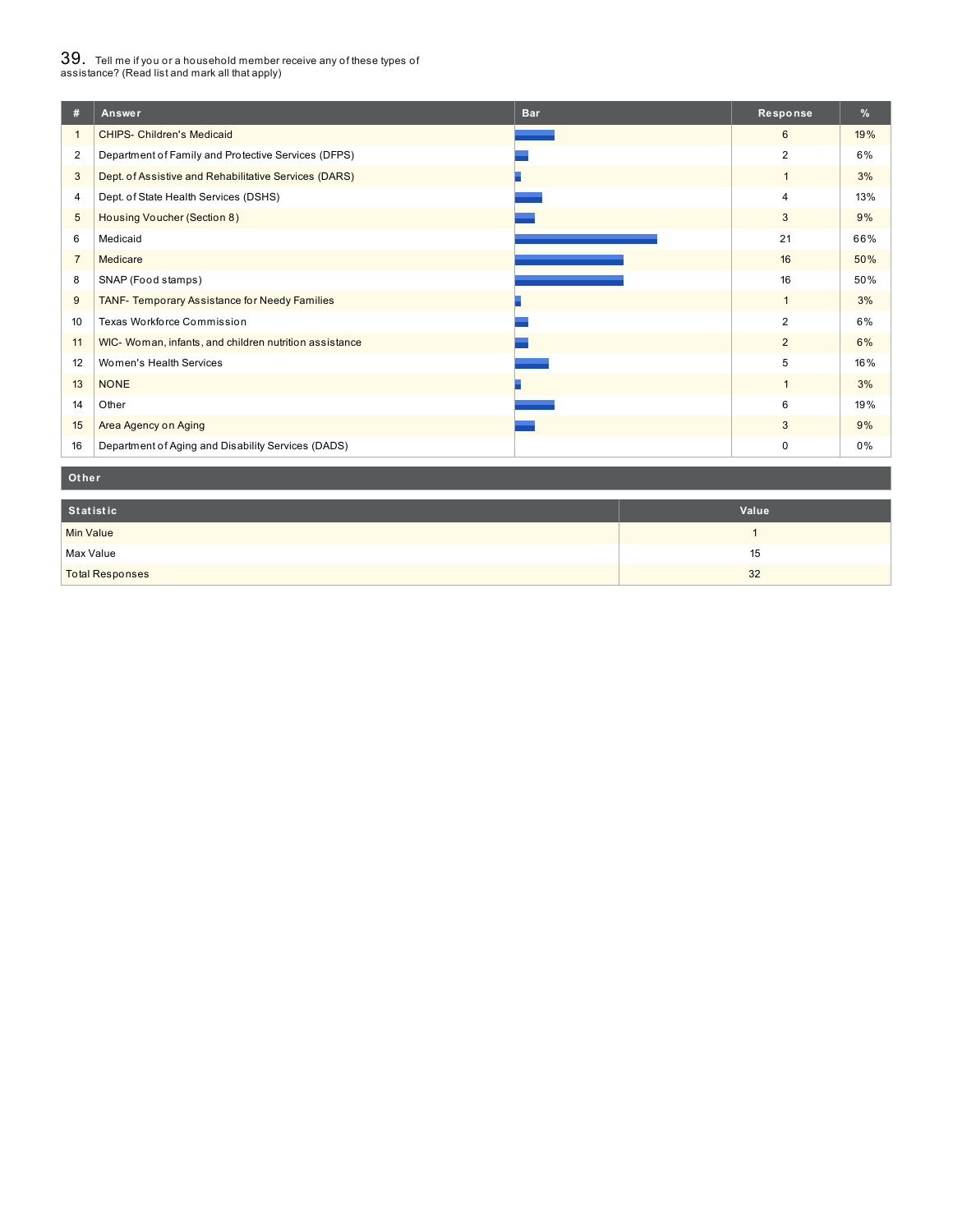# $39_\cdot$  Tell me if you or a household member receive any of these types of<br>assistance? (Read list and mark all that apply)

|                | <b>Bar</b><br>Answer                                   | Response       | %     |
|----------------|--------------------------------------------------------|----------------|-------|
|                | <b>CHIPS- Children's Medicaid</b>                      | 6              | 19%   |
| 2              | Department of Family and Protective Services (DFPS)    | $\overline{2}$ | 6%    |
| 3              | Dept. of Assistive and Rehabilitative Services (DARS)  | $\mathbf{1}$   | 3%    |
| 4              | Dept. of State Health Services (DSHS)                  | 4              | 13%   |
| 5              | Housing Voucher (Section 8)                            | 3              | 9%    |
| 6              | Medicaid                                               | 21             | 66%   |
| $\overline{7}$ | Medicare                                               | 16             | 50%   |
| 8              | SNAP (Food stamps)                                     | 16             | 50%   |
| 9              | TANF- Temporary Assistance for Needy Families          | $\mathbf{1}$   | 3%    |
| 10             | Texas Workforce Commission                             | $\overline{2}$ | 6%    |
| 11             | WIC- Woman, infants, and children nutrition assistance | 2              | 6%    |
| 12             | Women's Health Services                                | 5              | 16%   |
| 13             | <b>NONE</b>                                            | $\overline{1}$ | 3%    |
| 14             | Other                                                  | 6              | 19%   |
| 15             | Area Agency on Aging                                   | $\mathbf{3}$   | 9%    |
| 16             | Department of Aging and Disability Services (DADS)     | 0              | $0\%$ |

#### **Ot her**

| Statistic              | Value |
|------------------------|-------|
| <b>Min Value</b>       |       |
| Max Value              | 15    |
| <b>Total Responses</b> | 32    |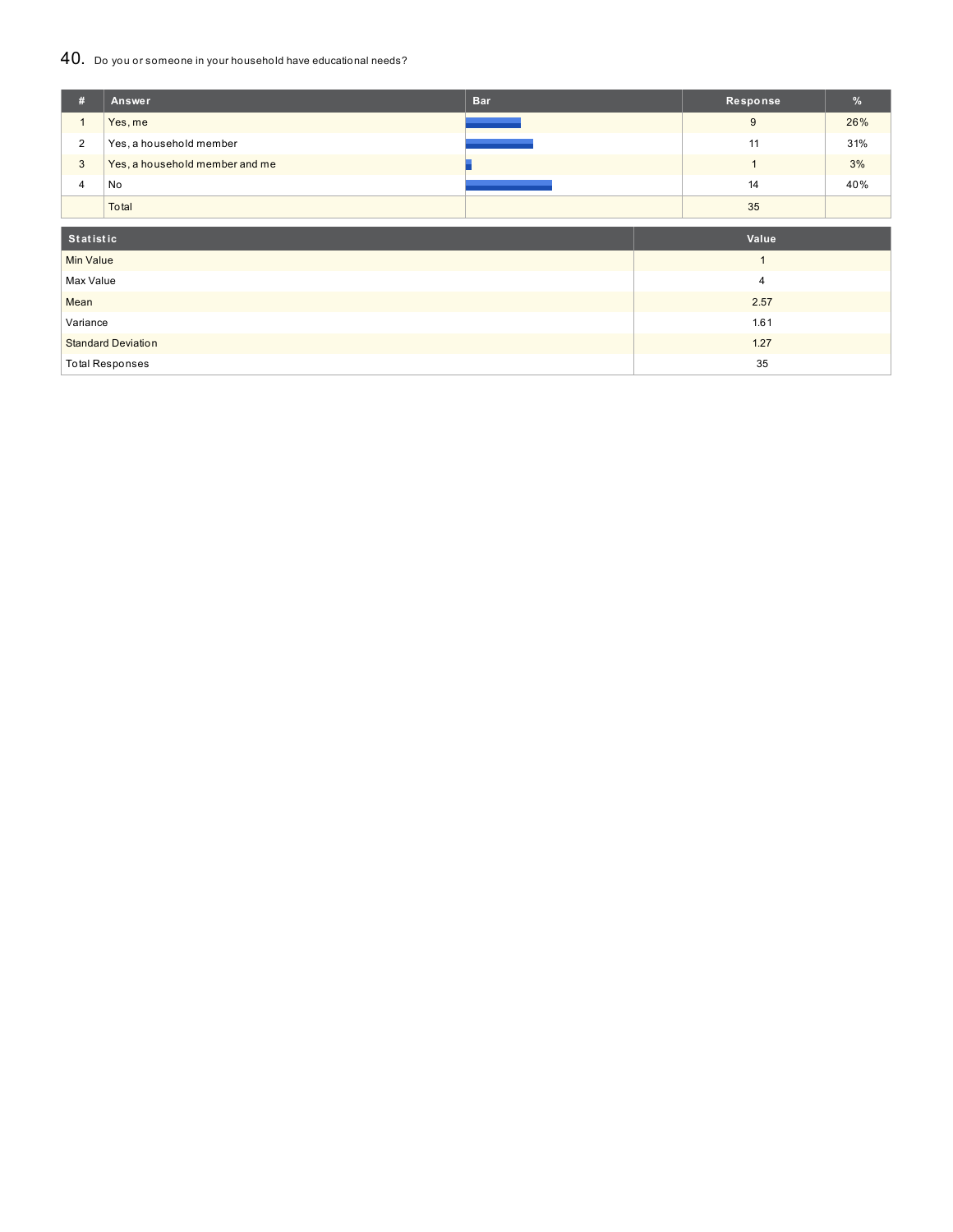## 40. Do you or someone in your household have educational needs?

| #                         | Answer                         | <b>Bar</b> | Response       | %   |
|---------------------------|--------------------------------|------------|----------------|-----|
| $\mathbf{1}$              | Yes, me                        |            | 9              | 26% |
| $\overline{2}$            | Yes, a household member        |            | 11             | 31% |
| 3                         | Yes, a household member and me |            |                | 3%  |
| 4                         | No                             |            | 14             | 40% |
|                           | Total                          |            | 35             |     |
|                           |                                |            |                |     |
| Statistic                 |                                |            | Value          |     |
| <b>Min Value</b>          |                                |            | $\overline{1}$ |     |
| Max Value                 |                                |            | $\overline{4}$ |     |
| Mean                      |                                |            | 2.57           |     |
| Variance                  |                                |            | 1.61           |     |
| <b>Standard Deviation</b> |                                |            | 1.27           |     |
| <b>Total Responses</b>    |                                |            | 35             |     |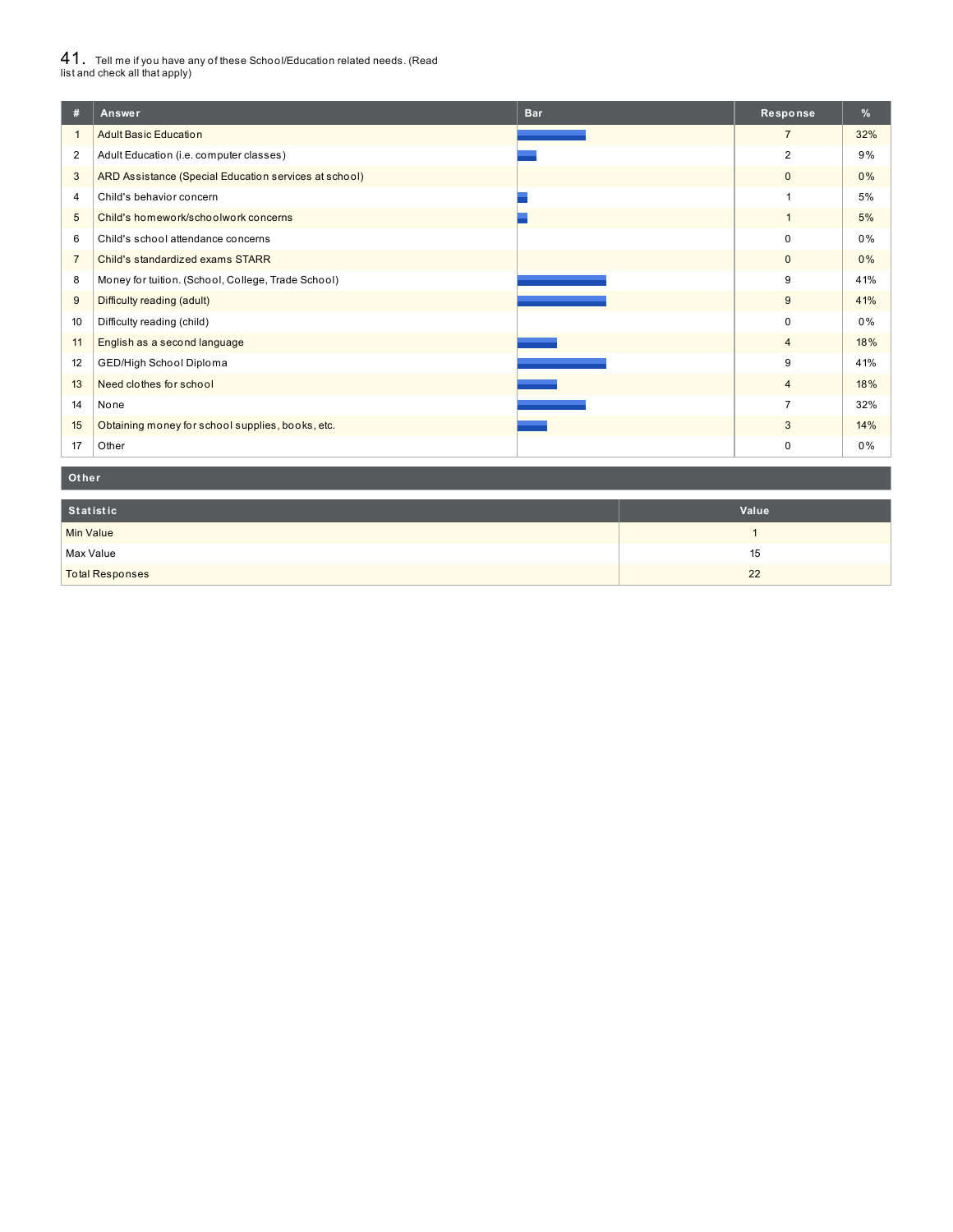# $41_\cdot$  Tell me if you have any of these School/Education related needs. (Read<br>list and check all that apply)

| #              | Answer                                                | <b>Bar</b> | Response       | %     |
|----------------|-------------------------------------------------------|------------|----------------|-------|
|                | <b>Adult Basic Education</b>                          |            | $\overline{7}$ | 32%   |
| $\overline{2}$ | Adult Education (i.e. computer classes)               |            | $\overline{2}$ | 9%    |
| 3              | ARD Assistance (Special Education services at school) |            | $\mathbf{0}$   | 0%    |
| 4              | Child's behavior concern                              |            |                | 5%    |
| 5              | Child's homework/schoolwork concerns                  |            |                | 5%    |
| 6              | Child's school attendance concerns                    |            | $\Omega$       | 0%    |
| $\overline{7}$ | Child's standardized exams STARR                      |            | $\mathbf{0}$   | 0%    |
| 8              | Money for tuition. (School, College, Trade School)    |            | 9              | 41%   |
| 9              | Difficulty reading (adult)                            |            | 9              | 41%   |
| 10             | Difficulty reading (child)                            |            | $\Omega$       | 0%    |
| 11             | English as a second language                          |            | $\overline{4}$ | 18%   |
| 12             | GED/High School Diploma                               |            | 9              | 41%   |
| 13             | Need clothes for school                               |            | $\overline{4}$ | 18%   |
| 14             | None                                                  |            | $\overline{7}$ | 32%   |
| 15             | Obtaining money for school supplies, books, etc.      |            | 3              | 14%   |
| 17             | Other                                                 |            | 0              | $0\%$ |

#### **Ot her**

| Statistic              | Value |
|------------------------|-------|
| <b>Min Value</b>       |       |
| Max Value              | 15    |
| <b>Total Responses</b> | 22    |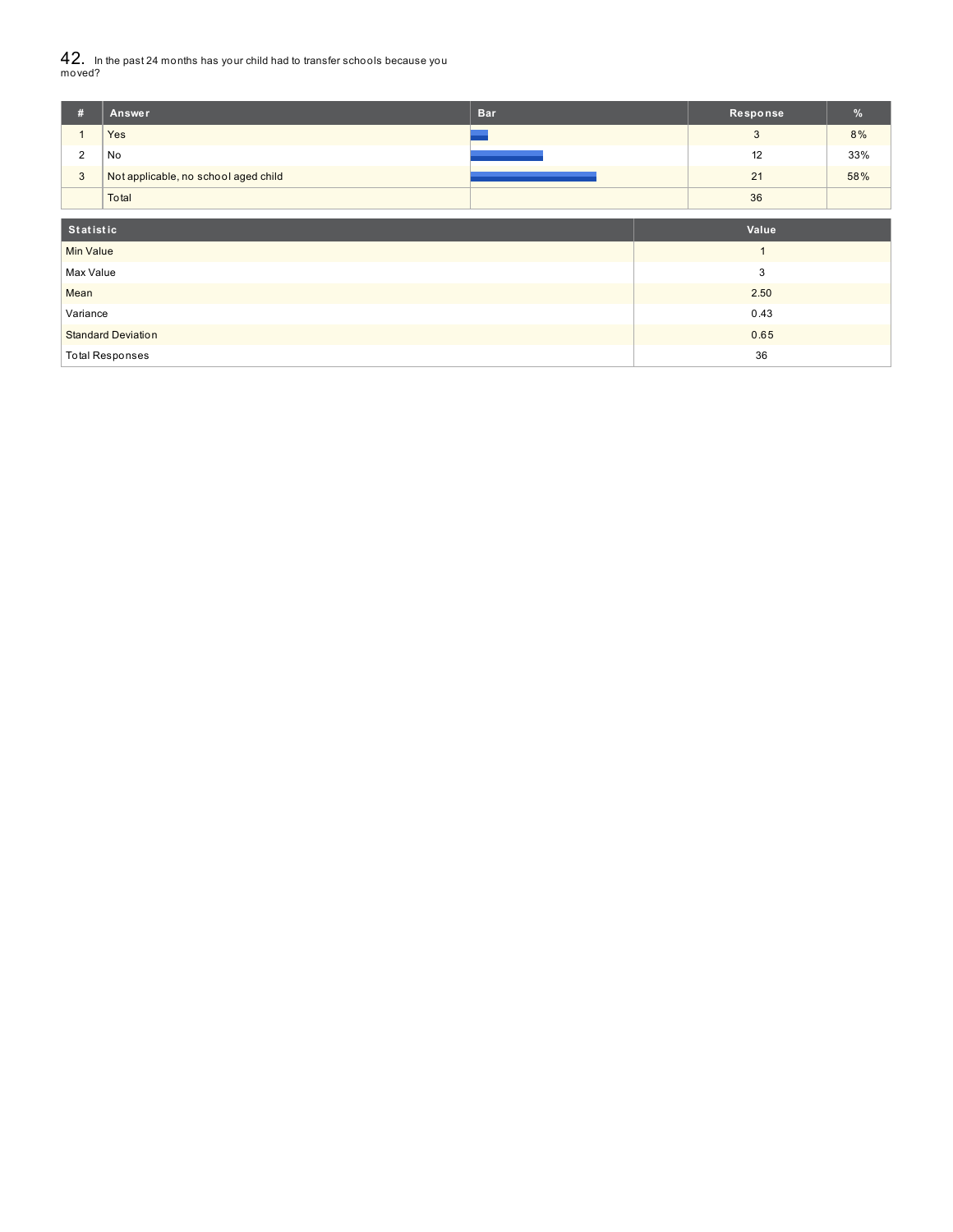$42_\cdot$  In the past 24 months has your child had to transfer schools because you<br>moved?

| #                         | Answer                               | <b>Bar</b> | Response | $\frac{9}{6}$ |
|---------------------------|--------------------------------------|------------|----------|---------------|
|                           | Yes                                  |            | 3        | 8%            |
| $\overline{2}$            | No                                   |            | 12       | 33%           |
| $\mathbf{3}$              | Not applicable, no school aged child |            | 21       | 58%           |
|                           | Total                                |            | 36       |               |
| <b>Statistic</b>          |                                      |            | Value    |               |
|                           |                                      |            |          |               |
| <b>Min Value</b>          |                                      |            |          |               |
| Max Value                 |                                      |            | 3        |               |
| Mean                      |                                      |            | 2.50     |               |
| Variance                  |                                      |            | 0.43     |               |
| <b>Standard Deviation</b> |                                      |            | 0.65     |               |
|                           | <b>Total Responses</b>               |            | 36       |               |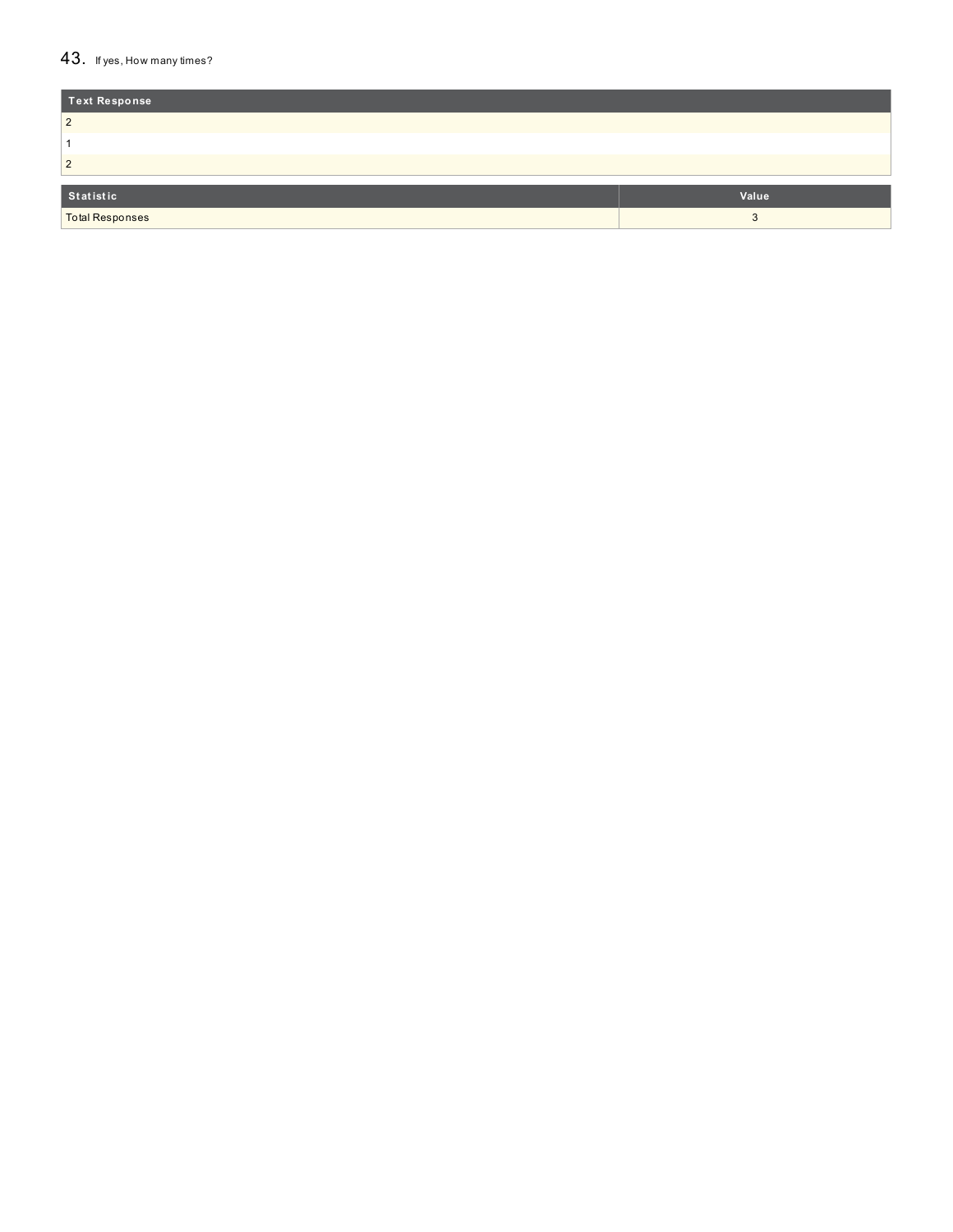### 43. If yes, How many times?

| Text Response          |       |
|------------------------|-------|
| $\overline{2}$         |       |
|                        |       |
| $\overline{2}$         |       |
| Statistic              | Value |
|                        |       |
| <b>Total Responses</b> |       |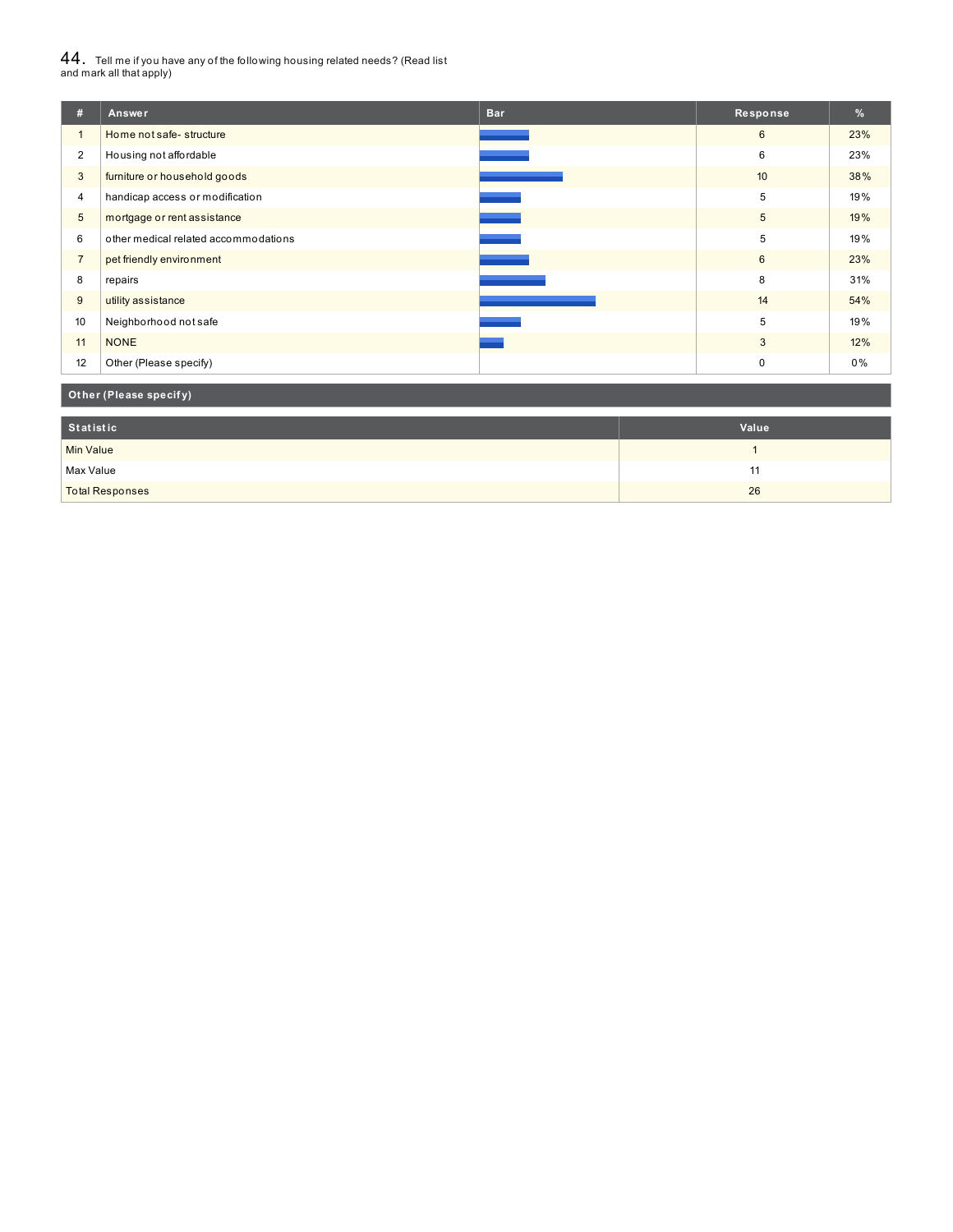# $44_\cdot$  Tell me if you have any of the following housing related needs? (Read list<br>and mark all that apply)

| #              | Answer                               | <b>Bar</b> | Response    | %   |
|----------------|--------------------------------------|------------|-------------|-----|
| $\overline{1}$ | Home not safe-structure              |            | 6           | 23% |
| $\overline{2}$ | Housing not affordable               |            | 6           | 23% |
| 3              | furniture or household goods         |            | 10          | 38% |
| 4              | handicap access or modification      |            | 5           | 19% |
| 5              | mortgage or rent assistance          |            | 5           | 19% |
| 6              | other medical related accommodations |            | 5           | 19% |
| $\overline{7}$ | pet friendly environment             |            | 6           | 23% |
| 8              | repairs                              |            | 8           | 31% |
| 9              | utility assistance                   |            | 14          | 54% |
| 10             | Neighborhood not safe                |            | 5           | 19% |
| 11             | <b>NONE</b>                          |            | 3           | 12% |
| 12             | Other (Please specify)               |            | $\mathbf 0$ | 0%  |

## **Ot her (Please specif y)**

| Statistic              | Value |
|------------------------|-------|
| <b>Min Value</b>       |       |
| Max Value              |       |
| <b>Total Responses</b> | 26    |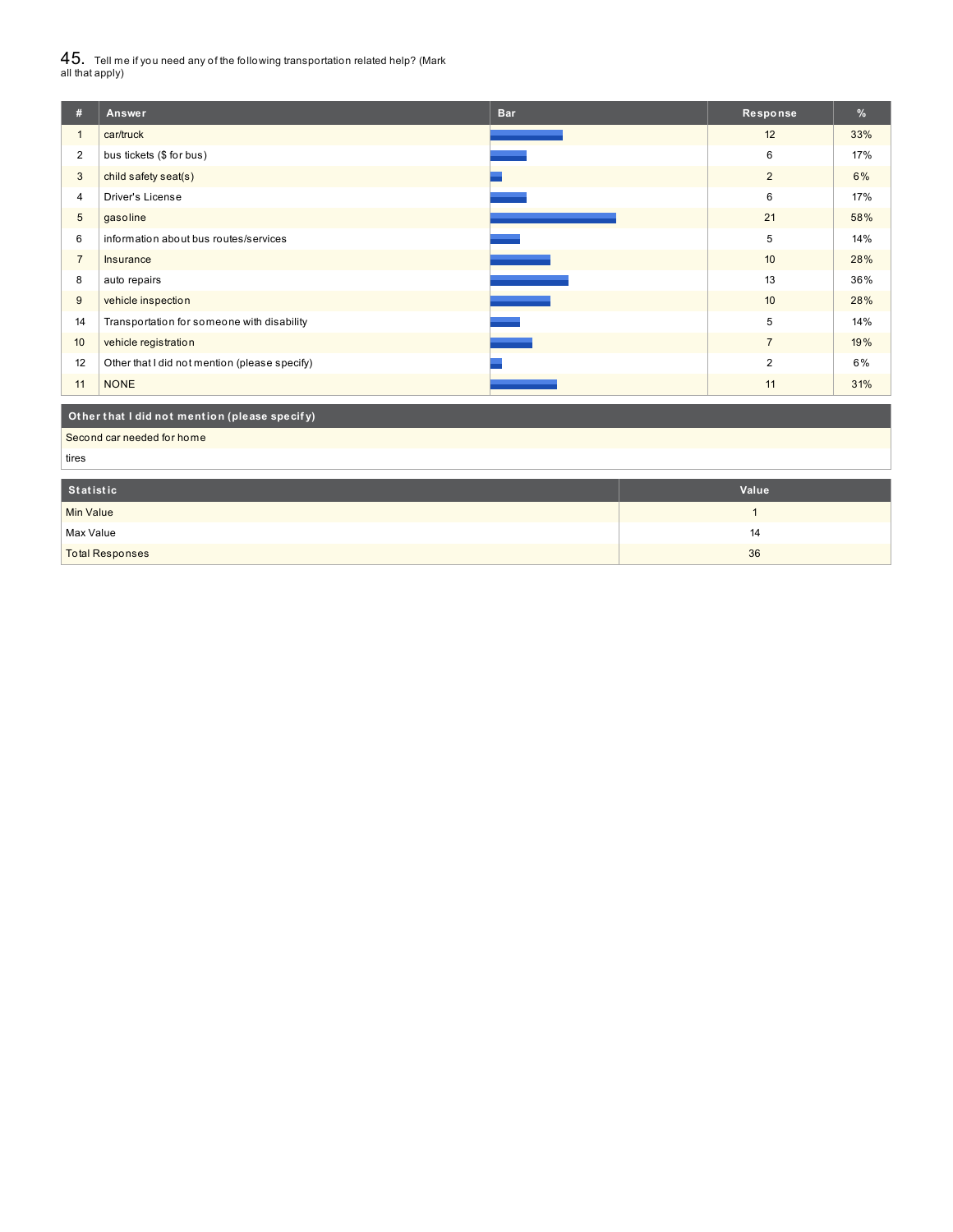$45_\cdot$  Tell me if you need any of the following transportation related help? (Mark<br>all that apply)

| #              | <b>Answer</b>                                 | <b>Bar</b> | Response        | $\%$ |  |
|----------------|-----------------------------------------------|------------|-----------------|------|--|
| $\mathbf{1}$   | car/truck                                     |            | 12              | 33%  |  |
| $\overline{2}$ | bus tickets (\$ for bus)                      |            | 6               | 17%  |  |
| 3              | child safety seat(s)                          |            | $\overline{2}$  | 6%   |  |
| 4              | Driver's License                              |            | 6               | 17%  |  |
| 5              | gasoline                                      |            | 21              | 58%  |  |
| 6              | information about bus routes/services         |            | 5               | 14%  |  |
| $\overline{7}$ | Insurance                                     |            | 10 <sup>°</sup> | 28%  |  |
| 8              | auto repairs                                  |            | 13              | 36%  |  |
| 9              | vehicle inspection                            |            | 10              | 28%  |  |
| 14             | Transportation for someone with disability    |            | 5               | 14%  |  |
| 10             | vehicle registration                          |            | $\overline{7}$  | 19%  |  |
| 12             | Other that I did not mention (please specify) |            | 2               | 6%   |  |
| 11             | <b>NONE</b>                                   |            | 11              | 31%  |  |
|                | Other that I did not mention (please specify) |            |                 |      |  |

Second car needed for home

tires

| Statistic              | Value |
|------------------------|-------|
| <b>Min Value</b>       |       |
| Max Value              | 14    |
| <b>Total Responses</b> | 36    |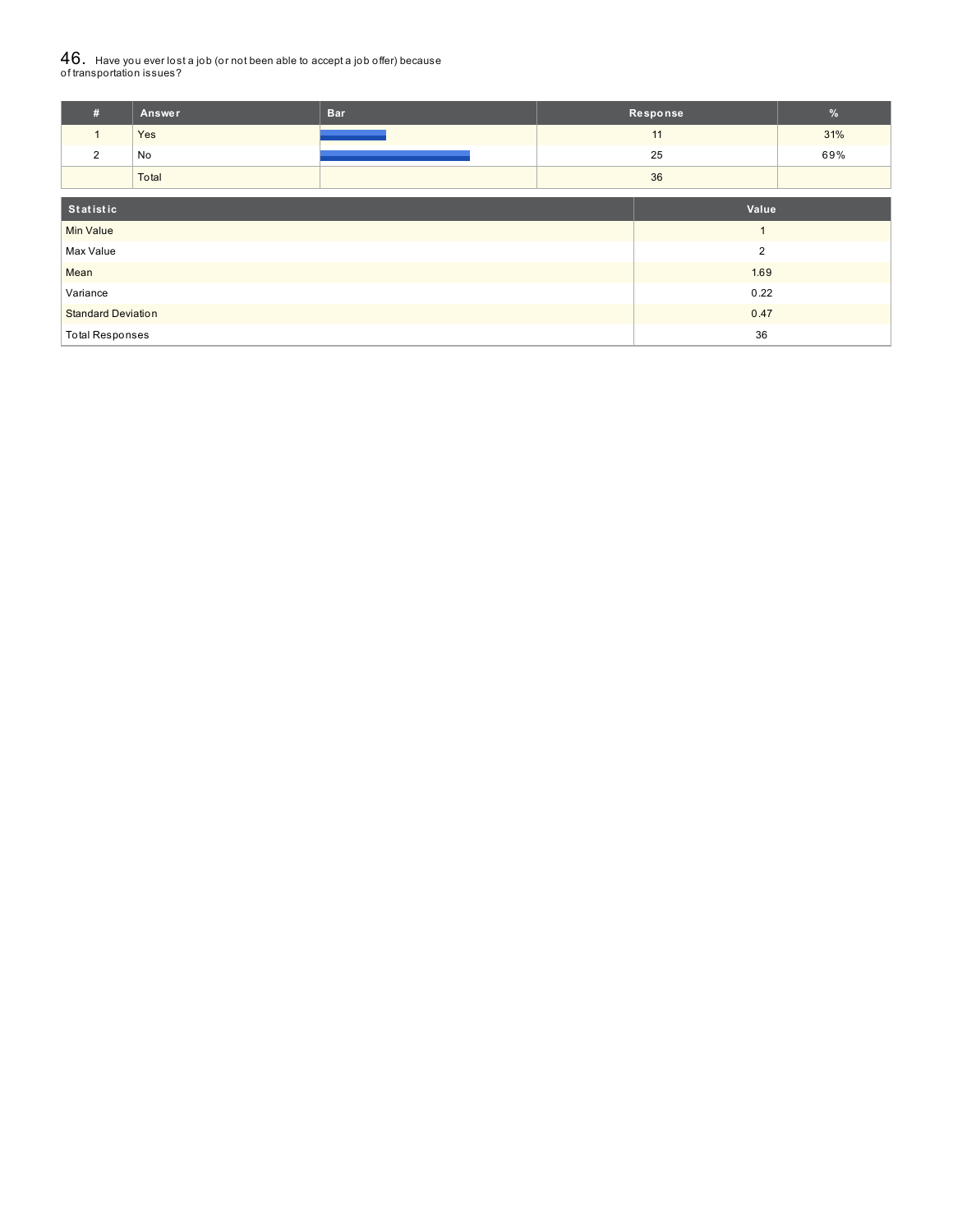# ${\bf 46}_{\cdot}\,$  Have you ever lost a job (or not been able to accept a job offer) because<br>of transportation issues?

| #                            | Answer         | <b>Bar</b> |  | Response | $\%$ |
|------------------------------|----------------|------------|--|----------|------|
|                              | Yes            |            |  | 11       | 31%  |
| 2                            | No             |            |  | 25       | 69%  |
|                              | Total          |            |  | 36       |      |
|                              |                |            |  |          |      |
| Statistic                    |                |            |  | Value    |      |
| <b>Min Value</b>             |                |            |  |          |      |
| Max Value                    | $\overline{2}$ |            |  |          |      |
| Mean                         |                | 1.69       |  |          |      |
| Variance                     |                | 0.22       |  |          |      |
| <b>Standard Deviation</b>    |                | 0.47       |  |          |      |
| 36<br><b>Total Responses</b> |                |            |  |          |      |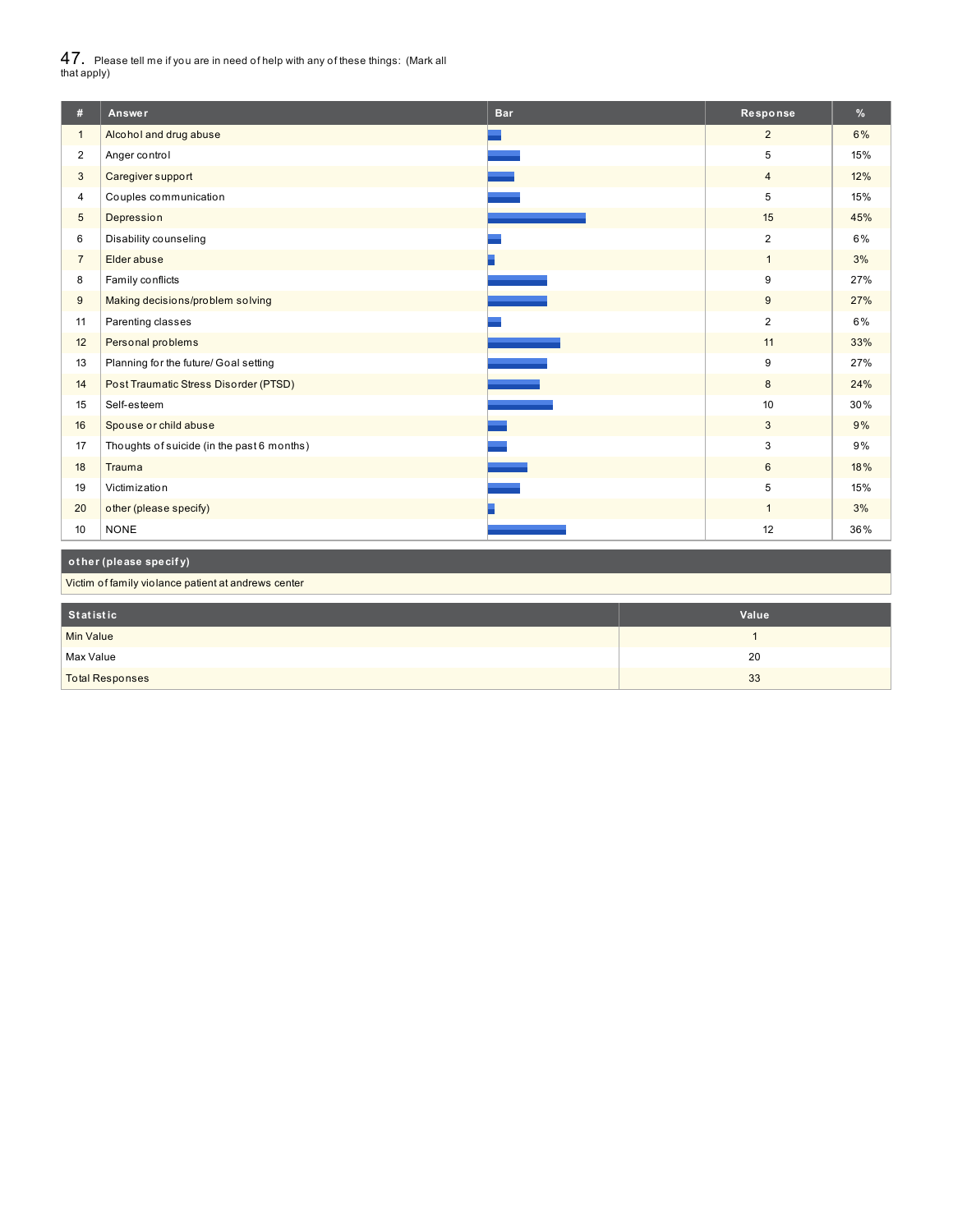$47_\cdot$  Please tell me if you are in need of help with any of these things: (Mark all<br>that apply)

| #                       | Answer                                              | <b>Bar</b> | Response       | %   |  |
|-------------------------|-----------------------------------------------------|------------|----------------|-----|--|
| $\mathbf{1}$            | Alcohol and drug abuse                              |            | $\overline{2}$ | 6%  |  |
| $\overline{\mathbf{c}}$ | Anger control                                       |            | 5              | 15% |  |
| 3                       | Caregiver support                                   |            | $\overline{4}$ | 12% |  |
| $\overline{4}$          | Couples communication                               |            | 5              | 15% |  |
| 5                       | Depression                                          |            | 15             | 45% |  |
| 6                       | Disability counseling                               |            | $\overline{2}$ | 6%  |  |
| $\overline{7}$          | Elder abuse                                         |            | $\overline{1}$ | 3%  |  |
| 8                       | Family conflicts                                    |            | 9              | 27% |  |
| $9\,$                   | Making decisions/problem solving                    |            | 9              | 27% |  |
| 11                      | Parenting classes                                   |            | $\overline{2}$ | 6%  |  |
| 12                      | Personal problems                                   |            | 11             | 33% |  |
| 13                      | Planning for the future/ Goal setting               |            | 9              | 27% |  |
| 14                      | Post Traumatic Stress Disorder (PTSD)               |            | 8              | 24% |  |
| 15                      | Self-esteem                                         |            | 10             | 30% |  |
| 16                      | Spouse or child abuse                               |            | 3              | 9%  |  |
| 17                      | Thoughts of suicide (in the past 6 months)          |            | 3              | 9%  |  |
| 18                      | Trauma                                              |            | 6              | 18% |  |
| 19                      | Victimization                                       |            | 5              | 15% |  |
| 20                      | other (please specify)                              |            | $\overline{1}$ | 3%  |  |
| 10                      | <b>NONE</b>                                         |            | 12             | 36% |  |
|                         | other (please specify)                              |            |                |     |  |
|                         | Victim of family violance patient at andrews center |            |                |     |  |
|                         |                                                     |            |                |     |  |
| <b>Statistic</b>        |                                                     |            | Value          |     |  |

| Statistic              | Value |
|------------------------|-------|
| Min Value              |       |
| Max Value              | 20    |
| <b>Total Responses</b> | 33    |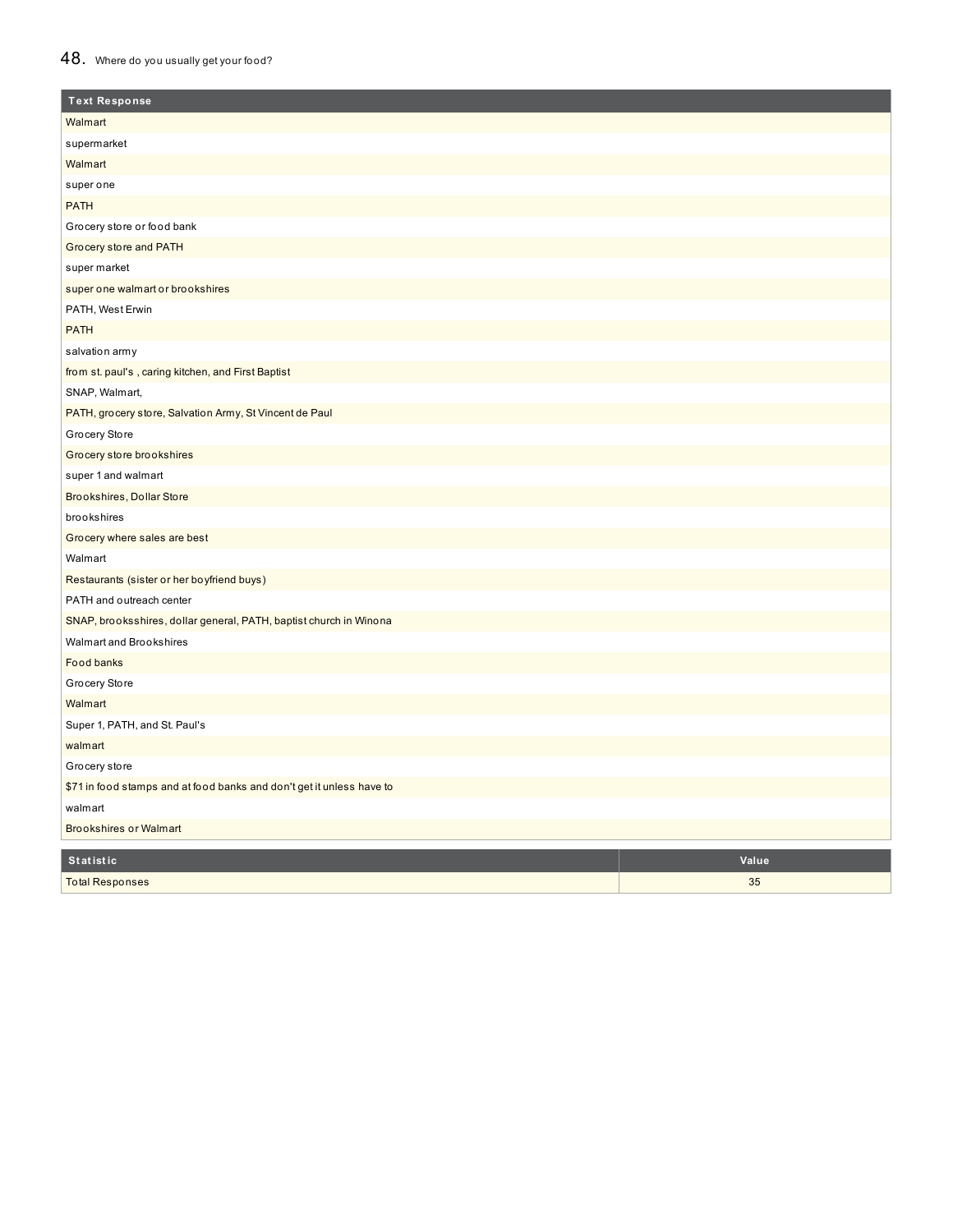# 48. Where do you usually get your food?

| <b>Text Response</b>                                                  |       |
|-----------------------------------------------------------------------|-------|
| Walmart                                                               |       |
| supermarket                                                           |       |
| Walmart                                                               |       |
| super one                                                             |       |
| <b>PATH</b>                                                           |       |
| Grocery store or food bank                                            |       |
| Grocery store and PATH                                                |       |
| super market                                                          |       |
| super one walmart or brookshires                                      |       |
| PATH, West Erwin                                                      |       |
| <b>PATH</b>                                                           |       |
| salvation army                                                        |       |
| from st. paul's, caring kitchen, and First Baptist                    |       |
| SNAP, Walmart,                                                        |       |
| PATH, grocery store, Salvation Army, St Vincent de Paul               |       |
| Grocery Store                                                         |       |
| Grocery store brookshires                                             |       |
| super 1 and walmart                                                   |       |
| Brookshires, Dollar Store                                             |       |
| brookshires                                                           |       |
| Grocery where sales are best                                          |       |
| Walmart                                                               |       |
| Restaurants (sister or her boyfriend buys)                            |       |
| PATH and outreach center                                              |       |
| SNAP, brooksshires, dollar general, PATH, baptist church in Winona    |       |
| Walmart and Brookshires                                               |       |
| <b>Food banks</b>                                                     |       |
| Grocery Store                                                         |       |
| Walmart                                                               |       |
| Super 1, PATH, and St. Paul's                                         |       |
| walmart                                                               |       |
| Grocery store                                                         |       |
| \$71 in food stamps and at food banks and don't get it unless have to |       |
| walmart                                                               |       |
| <b>Brookshires or Walmart</b>                                         |       |
| <b>Statistic</b>                                                      | Value |
| <b>Total Responses</b>                                                | 35    |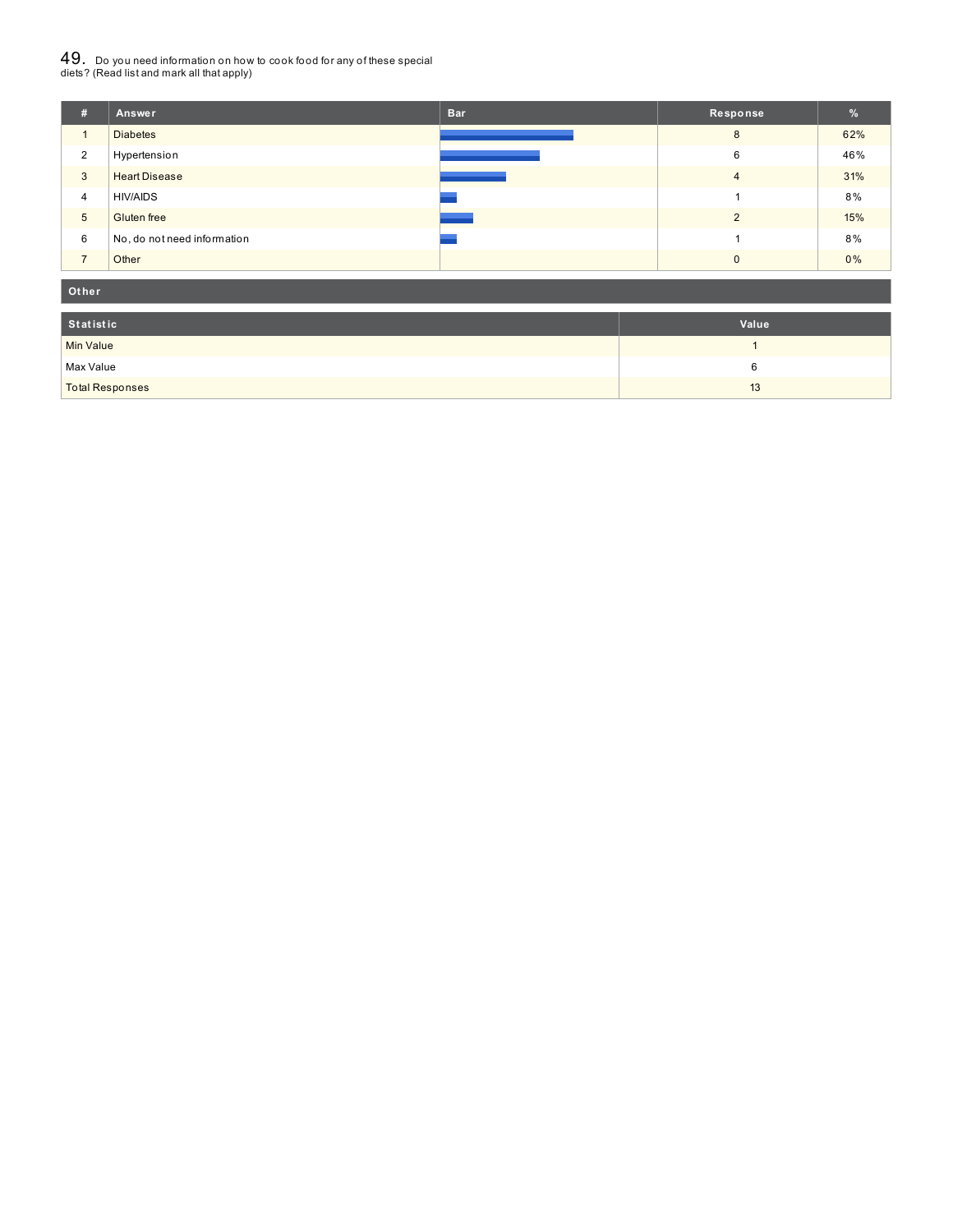# $49_\cdot$  Do you need information on how to cook food for any of these special<br>diets? (Read list and mark all that apply)

| #              | Answer                      | <b>Bar</b> | Response       | %   |
|----------------|-----------------------------|------------|----------------|-----|
| 1              | <b>Diabetes</b>             |            | 8              | 62% |
| $\overline{2}$ | Hypertension                |            | 6              | 46% |
| $\overline{3}$ | <b>Heart Disease</b>        |            | $\overline{4}$ | 31% |
| $\overline{4}$ | <b>HIV/AIDS</b>             |            |                | 8%  |
| 5              | Gluten free                 |            | $\Omega$       | 15% |
| 6              | No, do not need information |            |                | 8%  |
| $\overline{ }$ | Other                       |            | $\Omega$       | 0%  |

#### **Ot her**

| Statistic              | Value |
|------------------------|-------|
| <b>Min Value</b>       |       |
| Max Value              |       |
| <b>Total Responses</b> | 13    |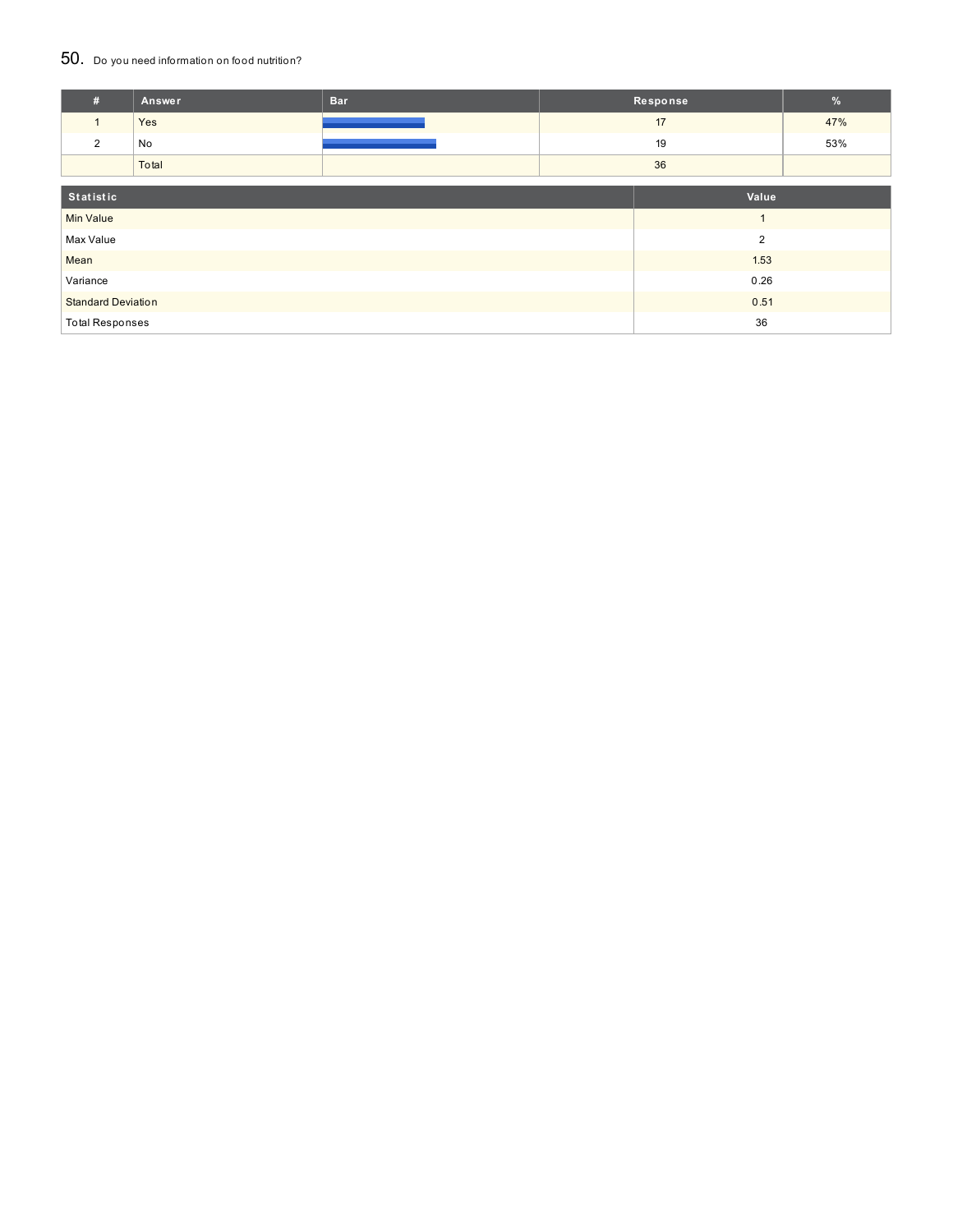### 50. Do you need information on food nutrition?

| #                         | Answer | <b>Bar</b>     | Response       |      | $\%$ |
|---------------------------|--------|----------------|----------------|------|------|
| $\mathbf{1}$              | Yes    |                |                | 17   | 47%  |
| $\overline{2}$            | No     |                |                | 19   | 53%  |
|                           | Total  |                |                | 36   |      |
| Statistic<br>Value        |        |                |                |      |      |
|                           |        |                |                |      |      |
| <b>Min Value</b>          |        |                | $\overline{A}$ |      |      |
| Max Value                 |        | $\overline{2}$ |                |      |      |
| Mean                      |        |                |                | 1.53 |      |
| Variance                  |        |                | 0.26           |      |      |
| <b>Standard Deviation</b> |        |                | 0.51           |      |      |
| <b>Total Responses</b>    |        |                | 36             |      |      |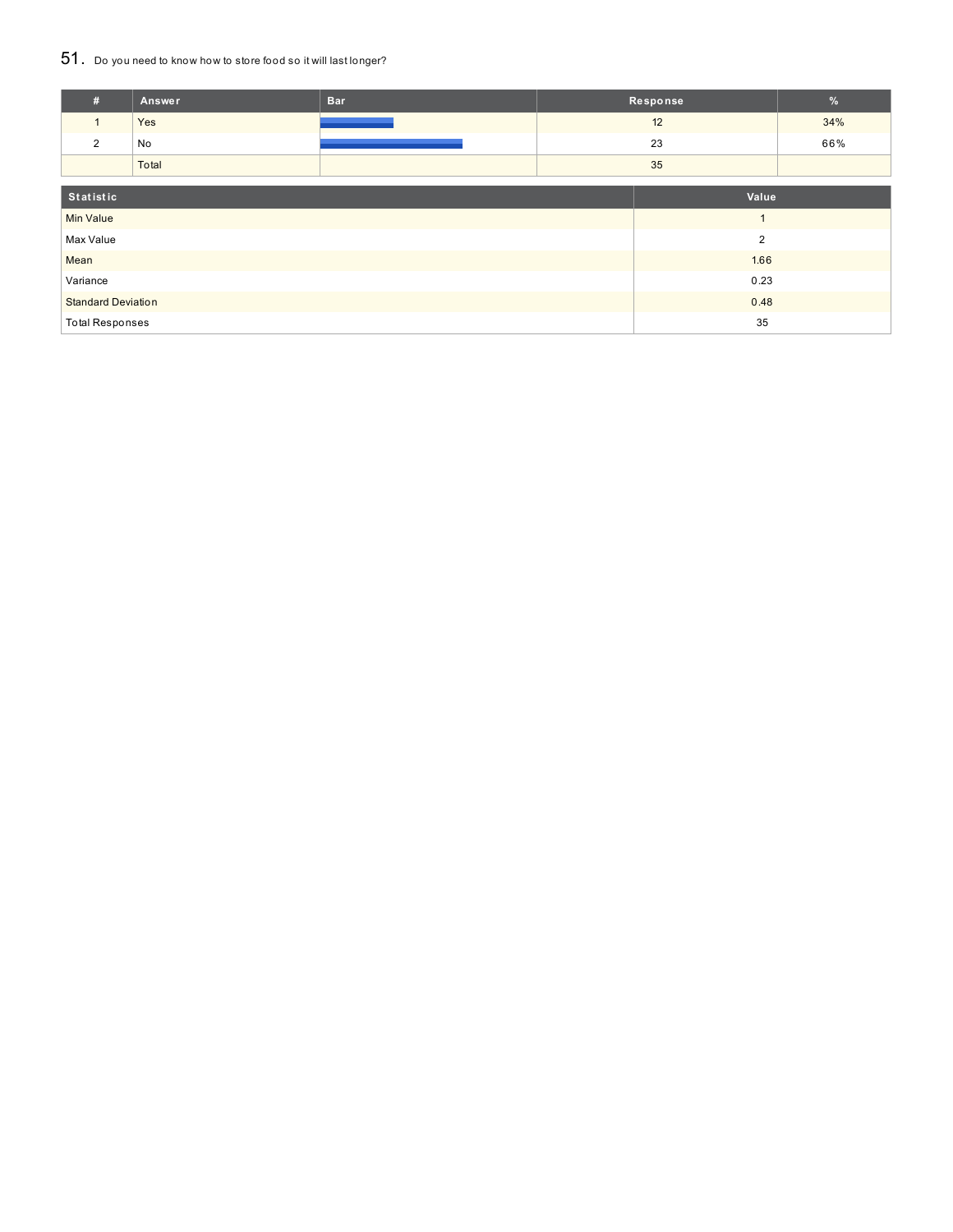## 51. Do you need to know how to store food so it will last longer?

| #                           | Answer | <b>Bar</b> |      | Response | $\%$ |
|-----------------------------|--------|------------|------|----------|------|
| $\mathbf{1}$                | Yes    |            | 12   |          | 34%  |
| 2                           | No     |            |      | 23       | 66%  |
|                             | Total  |            |      | 35       |      |
|                             |        |            |      |          |      |
| Statistic                   |        |            |      | Value    |      |
| <b>Min Value</b>            |        |            |      |          |      |
| $\overline{2}$<br>Max Value |        |            |      |          |      |
| Mean                        |        |            | 1.66 |          |      |
| Variance                    |        |            | 0.23 |          |      |
| <b>Standard Deviation</b>   |        |            | 0.48 |          |      |
| <b>Total Responses</b>      |        |            |      | 35       |      |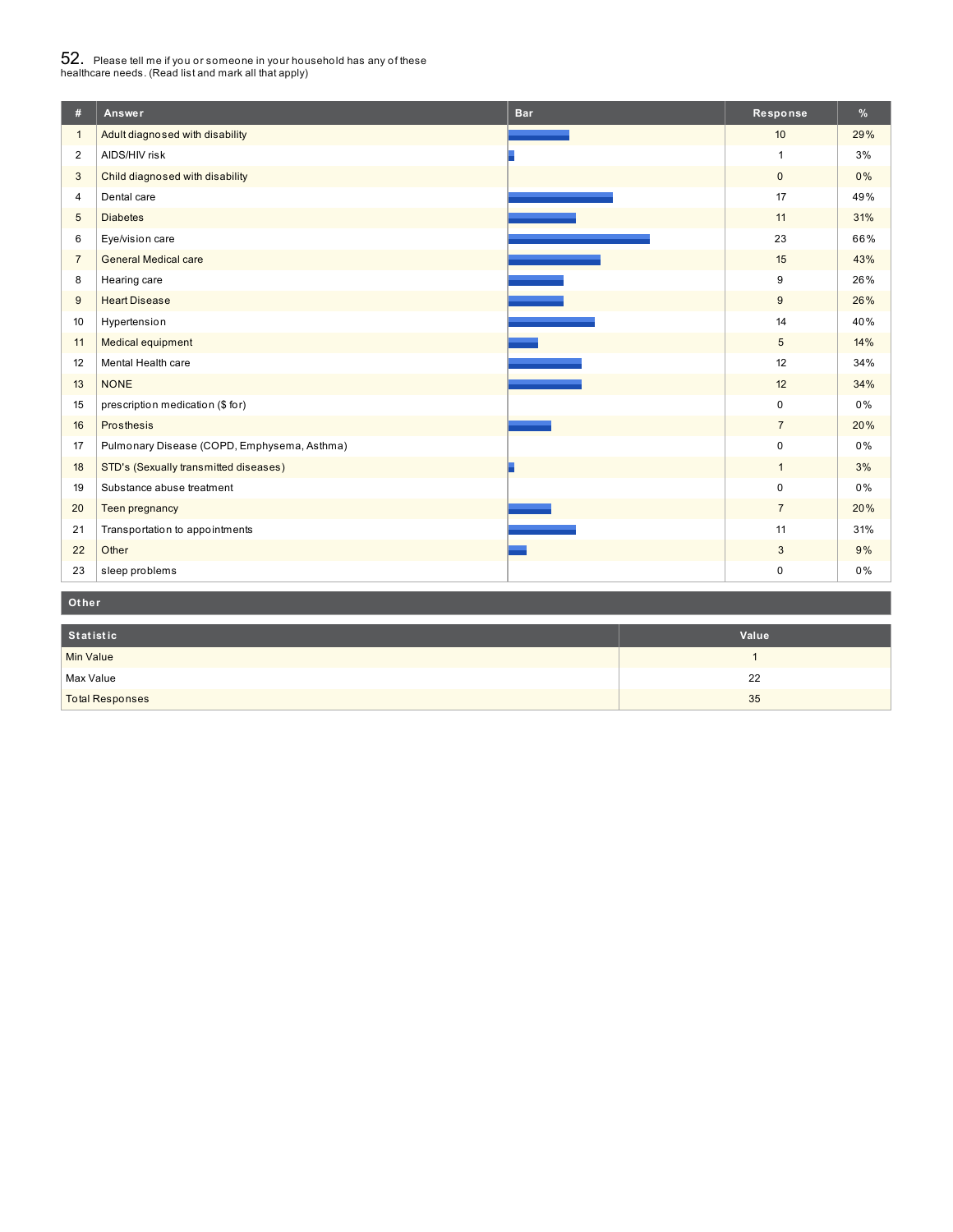# $52_\cdot$  Please tell me if you or someone in your household has any of these<br>healthcare needs. (Read list and mark all that apply)

| #               | Answer                                      | <b>Bar</b> | Response        | %   |
|-----------------|---------------------------------------------|------------|-----------------|-----|
| $\mathbf{1}$    | Adult diagnosed with disability             |            | 10              | 29% |
| $\overline{2}$  | AIDS/HIV risk                               |            | $\mathbf{1}$    | 3%  |
| 3               | Child diagnosed with disability             |            | $\mathbf{0}$    | 0%  |
| 4               | Dental care                                 |            | 17              | 49% |
| $5\phantom{.0}$ | <b>Diabetes</b>                             |            | 11              | 31% |
| 6               | Eye/vision care                             |            | 23              | 66% |
| $\overline{7}$  | <b>General Medical care</b>                 |            | 15              | 43% |
| 8               | Hearing care                                |            | 9               | 26% |
| 9               | <b>Heart Disease</b>                        |            | 9               | 26% |
| 10              | Hypertension                                |            | 14              | 40% |
| 11              | Medical equipment                           |            | $5\phantom{.0}$ | 14% |
| 12              | Mental Health care                          |            | 12              | 34% |
| 13              | <b>NONE</b>                                 |            | 12              | 34% |
| 15              | prescription medication (\$ for)            |            | $\mathbf 0$     | 0%  |
| 16              | Prosthesis                                  |            | $\overline{7}$  | 20% |
| 17              | Pulmonary Disease (COPD, Emphysema, Asthma) |            | $\mathbf 0$     | 0%  |
| 18              | STD's (Sexually transmitted diseases)       |            | $\mathbf{1}$    | 3%  |
| 19              | Substance abuse treatment                   |            | $\mathbf 0$     | 0%  |
| 20              | Teen pregnancy                              |            | $\overline{7}$  | 20% |
| 21              | Transportation to appointments              |            | 11              | 31% |
| 22              | Other                                       |            | 3               | 9%  |
| 23              | sleep problems                              |            | $\mathbf 0$     | 0%  |

### **Ot her**

| Statistic              | Value |
|------------------------|-------|
| <b>Min Value</b>       |       |
| Max Value              | 22    |
| <b>Total Responses</b> | 35    |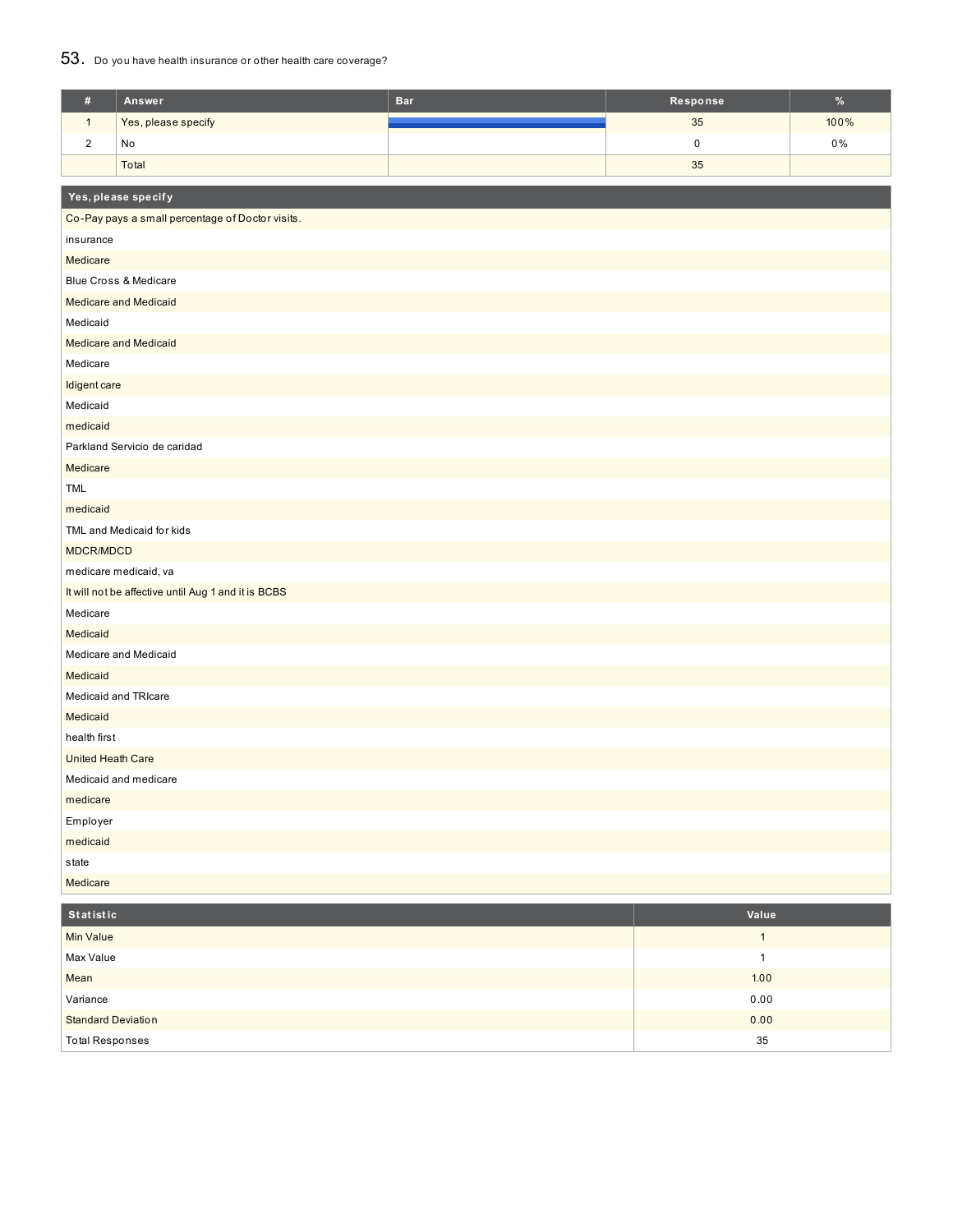## 53. Do you have health insurance or other health care coverage?

| $\#$                     | Answer                                              | <b>Bar</b> | Response  | $\%$  |
|--------------------------|-----------------------------------------------------|------------|-----------|-------|
| $\mathbf{1}$             | Yes, please specify                                 |            | 35        | 100%  |
| $\boldsymbol{2}$         | No                                                  |            | $\pmb{0}$ | $0\%$ |
|                          | Total                                               |            | 35        |       |
|                          | Yes, please specify                                 |            |           |       |
|                          | Co-Pay pays a small percentage of Doctor visits.    |            |           |       |
| insurance                |                                                     |            |           |       |
| Medicare                 |                                                     |            |           |       |
|                          | Blue Cross & Medicare                               |            |           |       |
|                          | <b>Medicare and Medicaid</b>                        |            |           |       |
| Medicaid                 |                                                     |            |           |       |
|                          | <b>Medicare and Medicaid</b>                        |            |           |       |
| Medicare                 |                                                     |            |           |       |
| Idigent care             |                                                     |            |           |       |
| Medicaid                 |                                                     |            |           |       |
| medicaid                 |                                                     |            |           |       |
|                          | Parkland Servicio de caridad                        |            |           |       |
| Medicare                 |                                                     |            |           |       |
| <b>TML</b>               |                                                     |            |           |       |
| medicaid                 |                                                     |            |           |       |
|                          | TML and Medicaid for kids                           |            |           |       |
| MDCR/MDCD                |                                                     |            |           |       |
|                          | medicare medicaid, va                               |            |           |       |
|                          | It will not be affective until Aug 1 and it is BCBS |            |           |       |
| Medicare                 |                                                     |            |           |       |
| Medicaid                 |                                                     |            |           |       |
|                          | Medicare and Medicaid                               |            |           |       |
| Medicaid                 |                                                     |            |           |       |
|                          | Medicaid and TRIcare                                |            |           |       |
| Medicaid                 |                                                     |            |           |       |
| health first             |                                                     |            |           |       |
| <b>United Heath Care</b> |                                                     |            |           |       |
|                          | Medicaid and medicare                               |            |           |       |
| medicare                 |                                                     |            |           |       |
| Employer                 |                                                     |            |           |       |
| medicaid                 |                                                     |            |           |       |
| state                    |                                                     |            |           |       |
| Medicare                 |                                                     |            |           |       |

| Statistic                 | Value |
|---------------------------|-------|
| <b>Min Value</b>          |       |
| Max Value                 |       |
| Mean                      | 1.00  |
| Variance                  | 0.00  |
| <b>Standard Deviation</b> | 0.00  |
| <b>Total Responses</b>    | 35    |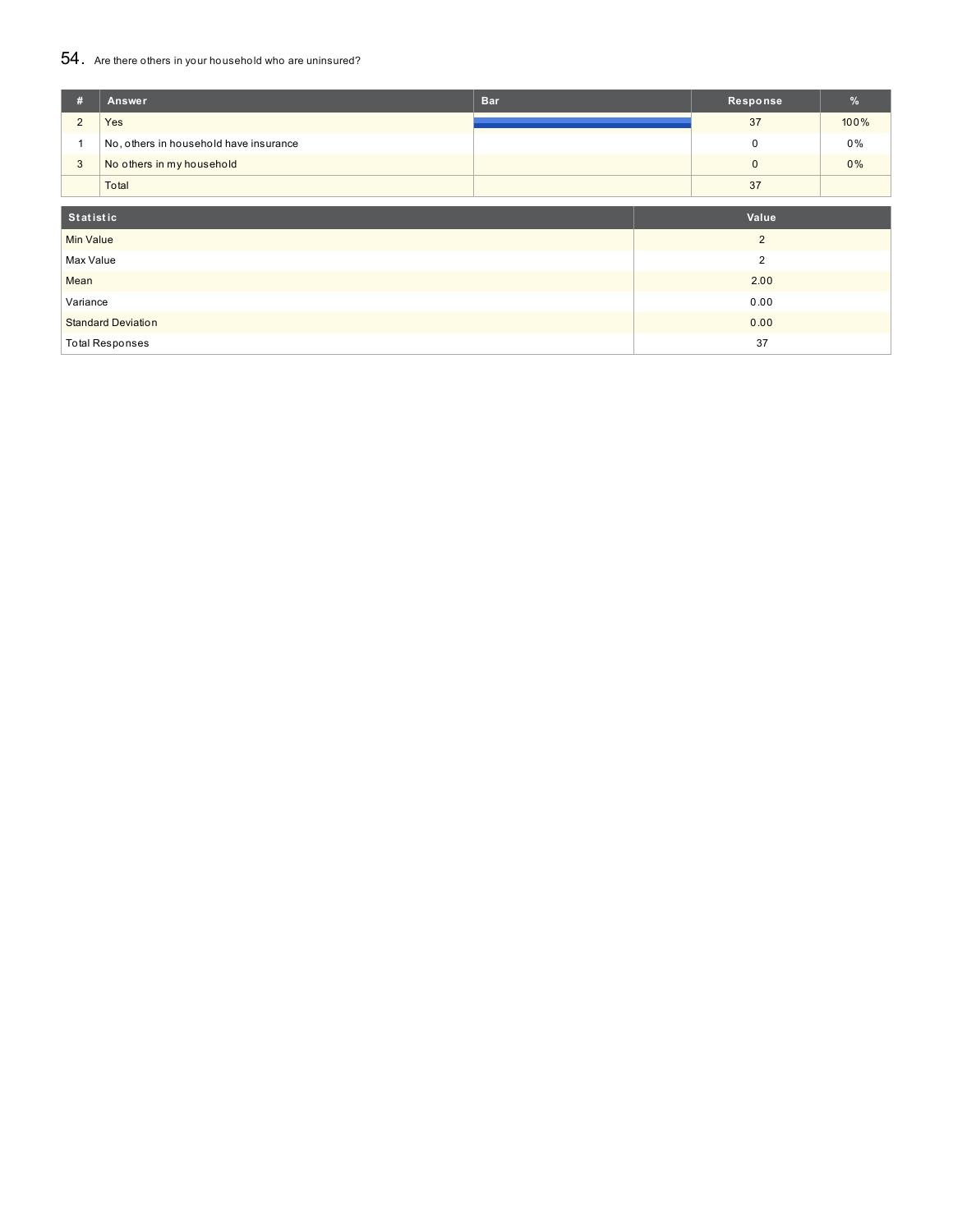# 54. Are there others in your household who are uninsured?

| #                | Answer                                 | <b>Bar</b> |      | Response       | $\frac{9}{6}$ |
|------------------|----------------------------------------|------------|------|----------------|---------------|
| $\overline{2}$   | Yes                                    |            |      | 37             | 100%          |
|                  | No, others in household have insurance |            |      | $\mathbf 0$    | $0\%$         |
| 3                | No others in my household              |            |      | $\pmb{0}$      | $0\%$         |
|                  | Total                                  |            |      | 37             |               |
| Statistic        |                                        |            |      | Value          |               |
| <b>Min Value</b> |                                        |            |      | $\overline{2}$ |               |
| Max Value        |                                        |            |      | $\overline{2}$ |               |
| Mean             |                                        |            | 2.00 |                |               |
| Variance         |                                        |            |      | 0.00           |               |
|                  | <b>Standard Deviation</b>              |            |      | 0.00           |               |
|                  | <b>Total Responses</b>                 |            |      | 37             |               |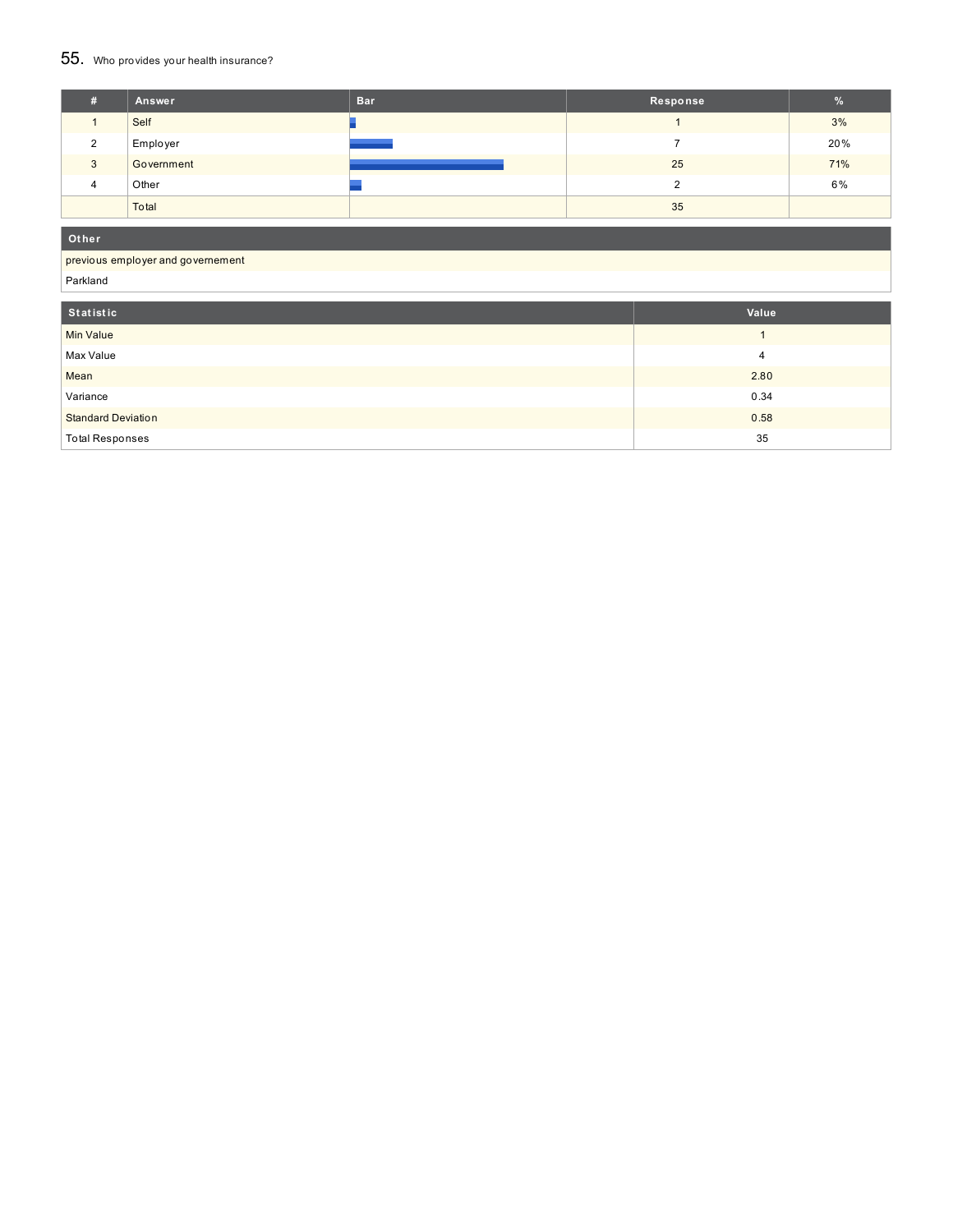## 55. Who provides your health insurance?

| # | Answer     | <b>Bar</b> | Response | %   |
|---|------------|------------|----------|-----|
|   | Self       |            |          | 3%  |
| ົ | Employer   |            |          | 20% |
| 3 | Government |            | 25       | 71% |
| 4 | Other      |            |          | 6%  |
|   | Total      |            | 35       |     |

**Ot her**

#### previous employer and governement

Parkland

| Statistic                 | Value |
|---------------------------|-------|
| <b>Min Value</b>          |       |
| Max Value                 | 4     |
| Mean                      | 2.80  |
| Variance                  | 0.34  |
| <b>Standard Deviation</b> | 0.58  |
| <b>Total Responses</b>    | 35    |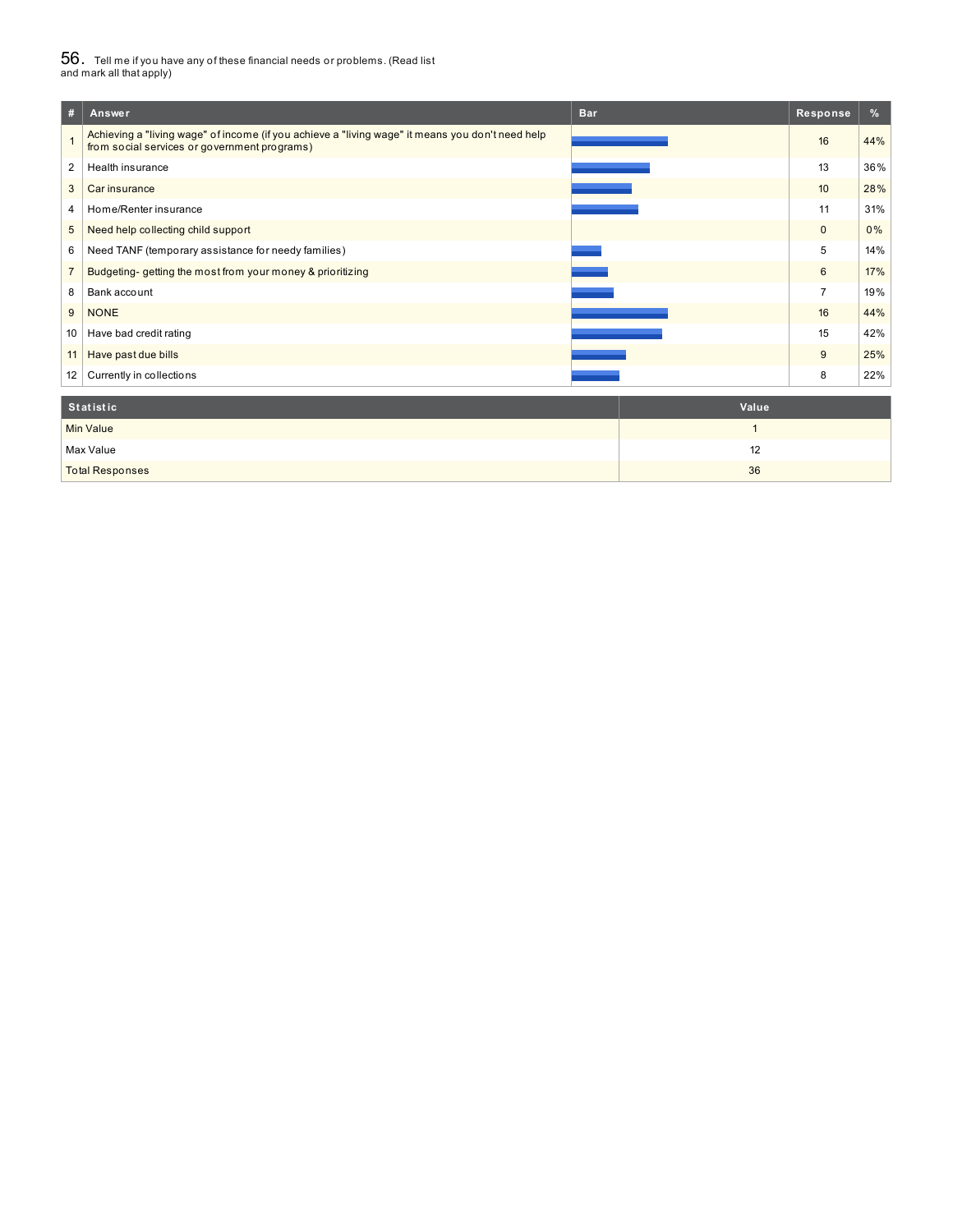# $56_\cdot$  Tell me if you have any of these financial needs or problems. (Read list<br>and mark all that apply)

| #              | <b>Bar</b><br>Answer                                                                                                                             | Response       | %   |
|----------------|--------------------------------------------------------------------------------------------------------------------------------------------------|----------------|-----|
|                | Achieving a "living wage" of income (if you achieve a "living wage" it means you don't need help<br>from social services or government programs) | 16             | 44% |
| 2              | Health insurance                                                                                                                                 | 13             | 36% |
| 3              | Car insurance                                                                                                                                    | 10             | 28% |
| 4              | Home/Renter insurance                                                                                                                            | 11             | 31% |
| 5              | Need help collecting child support                                                                                                               | $\mathbf{0}$   | 0%  |
| 6              | Need TANF (temporary assistance for needy families)                                                                                              | 5              | 14% |
| $\overline{7}$ | Budgeting-getting the most from your money & prioritizing                                                                                        | 6              | 17% |
| 8              | Bank account                                                                                                                                     | $\overline{7}$ | 19% |
| 9              | <b>NONE</b>                                                                                                                                      | 16             | 44% |
| 10             | Have bad credit rating                                                                                                                           | 15             | 42% |
| 11             | Have past due bills                                                                                                                              | 9              | 25% |
| 12             | Currently in collections                                                                                                                         | 8              | 22% |
|                | <b>Statistic</b><br>Value                                                                                                                        |                |     |

| Min Value              |    |
|------------------------|----|
| Max Value              |    |
| <b>Total Responses</b> | 36 |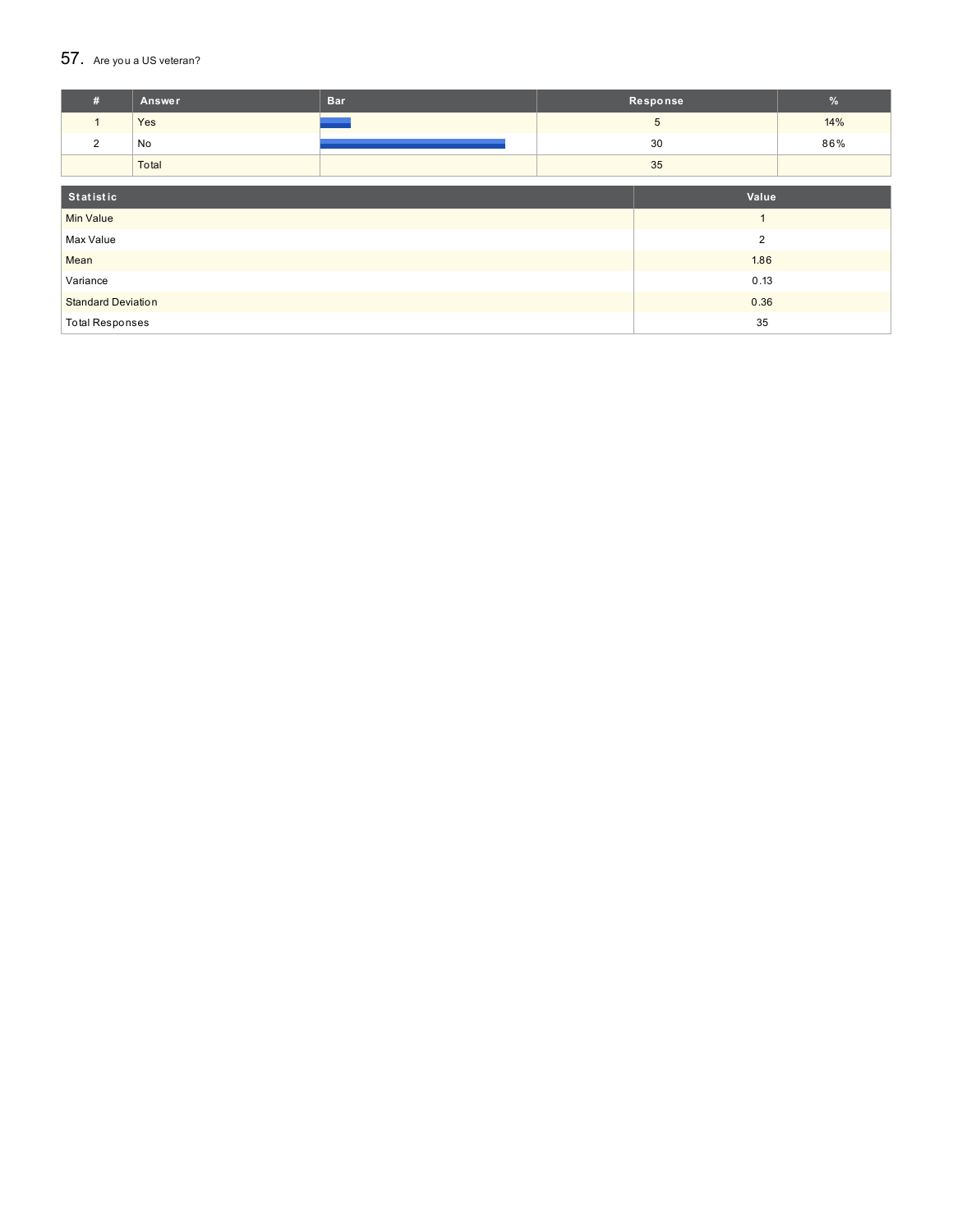## 57. Are you a US veteran?

| #                                 | Answer | <b>Bar</b> |    | Response   |     |
|-----------------------------------|--------|------------|----|------------|-----|
| $\mathbf{1}$                      | Yes    |            |    | $\sqrt{5}$ | 14% |
| 2                                 | No     |            |    | 30         | 86% |
|                                   | Total  |            | 35 |            |     |
|                                   |        |            |    |            |     |
| Statistic                         |        | Value      |    |            |     |
| <b>Min Value</b>                  |        |            |    | и          |     |
| 2<br>Max Value                    |        |            |    |            |     |
| Mean                              |        |            |    | 1.86       |     |
| Variance                          |        | 0.13       |    |            |     |
| <b>Standard Deviation</b><br>0.36 |        |            |    |            |     |
| <b>Total Responses</b>            |        |            | 35 |            |     |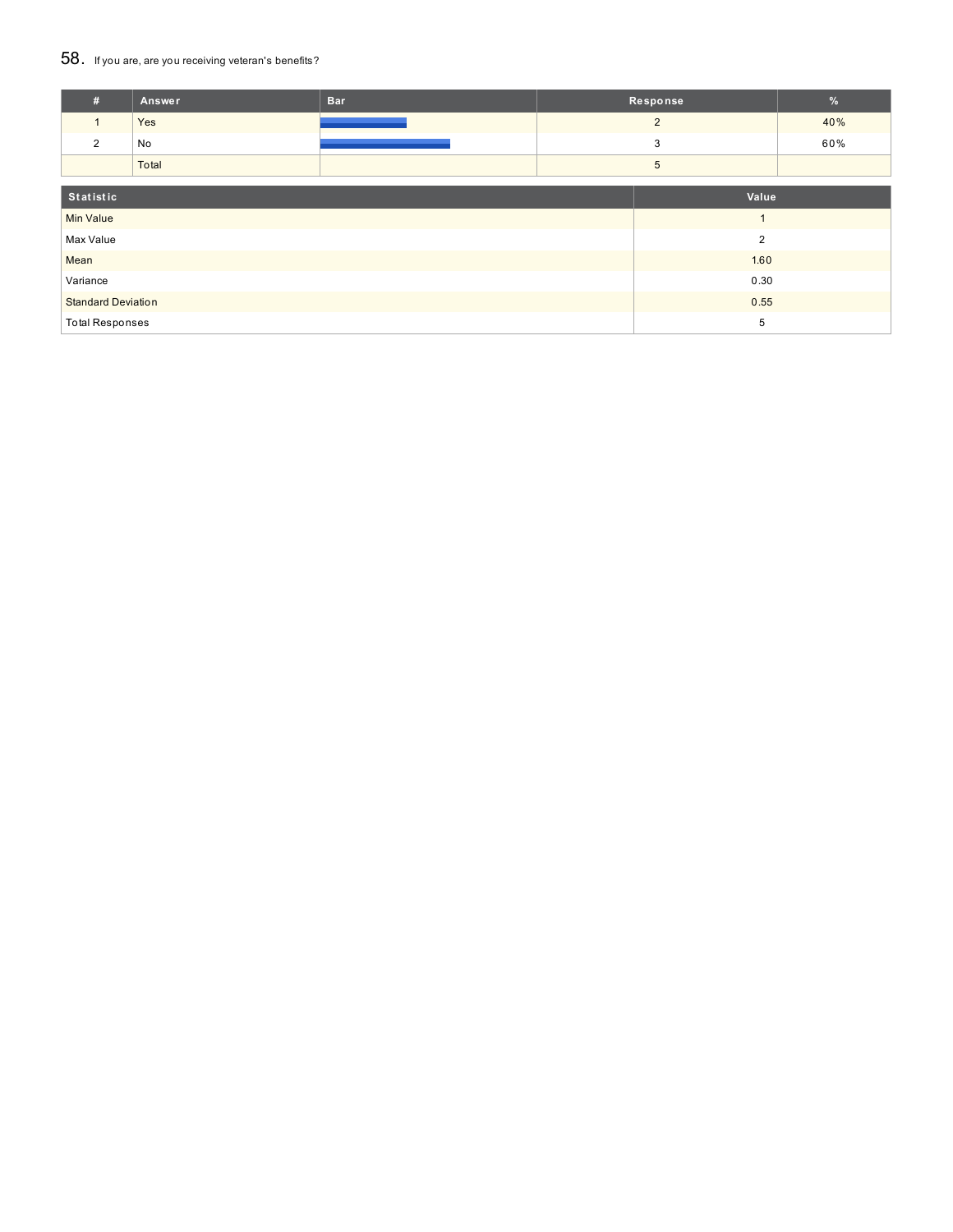### 58. If you are, are you receiving veteran's benefits?

| #                         | <b>Answer</b> | <b>Bar</b>     | Response   |                | $\%$ |
|---------------------------|---------------|----------------|------------|----------------|------|
| 1                         | Yes           |                |            | $\overline{2}$ | 40%  |
| 2                         | No            |                |            | 3              | 60%  |
|                           | Total         |                | $\sqrt{5}$ |                |      |
| Statistic                 |               |                | Value      |                |      |
| <b>Min Value</b>          |               |                |            | $\overline{ }$ |      |
| Max Value                 |               | $\overline{2}$ |            |                |      |
| Mean                      |               |                |            | 1.60           |      |
| Variance                  |               | 0.30           |            |                |      |
| <b>Standard Deviation</b> |               | 0.55           |            |                |      |
| <b>Total Responses</b>    |               |                |            | 5              |      |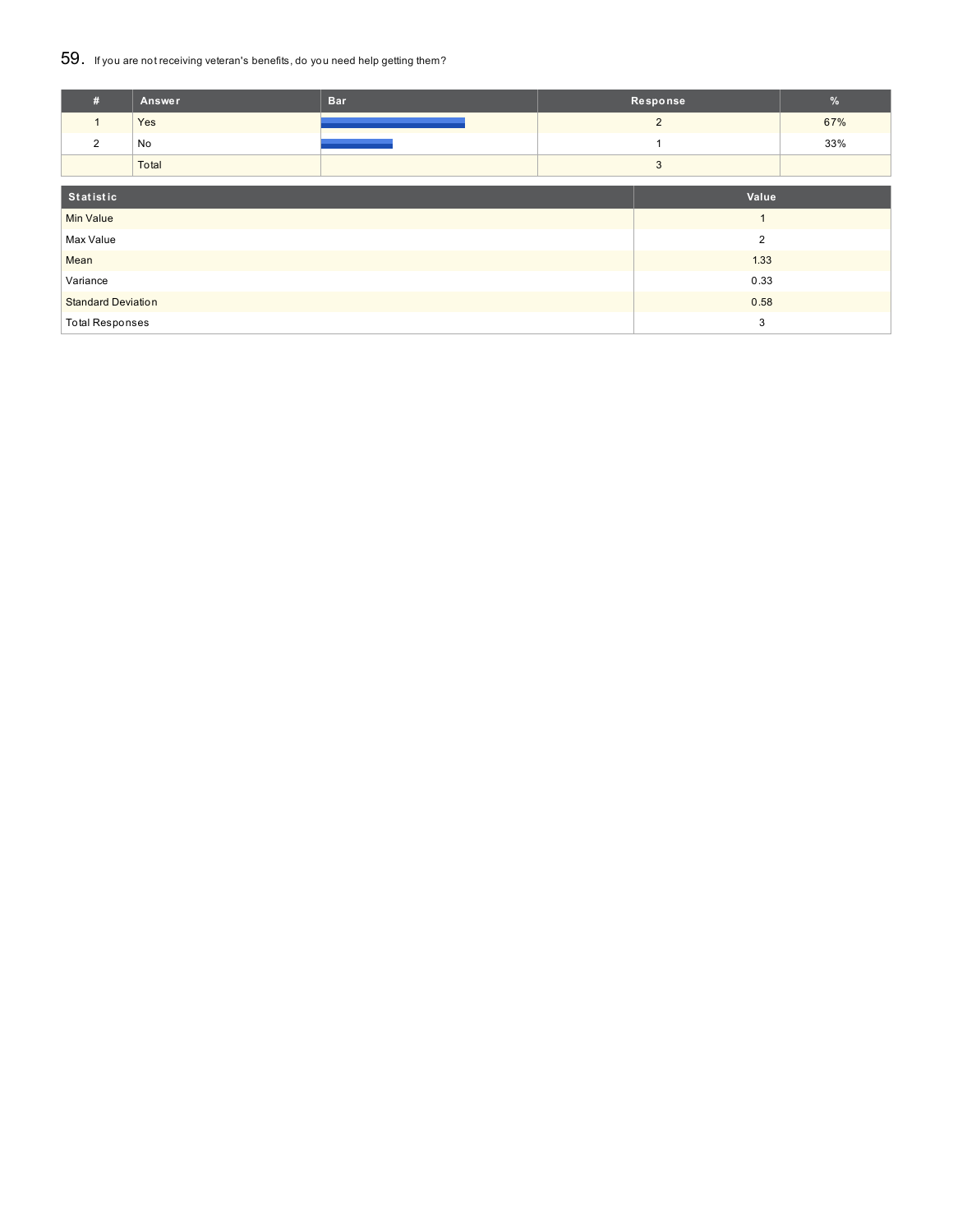### 59. If you are not receiving veteran's benefits, do you need help getting them?

| #                                 | <b>Answer</b> | <b>Bar</b> | Response       |                | $\frac{9}{6}$ |
|-----------------------------------|---------------|------------|----------------|----------------|---------------|
| 1                                 | Yes           |            |                | $\overline{2}$ | 67%           |
| 2                                 | No            |            |                |                | 33%           |
|                                   | Total         |            | 3              |                |               |
|                                   |               |            |                |                |               |
| Statistic                         |               | Value      |                |                |               |
| <b>Min Value</b>                  |               |            |                |                |               |
| Max Value                         |               |            | $\overline{2}$ |                |               |
| Mean                              |               |            |                | 1.33           |               |
| Variance                          |               | 0.33       |                |                |               |
| 0.58<br><b>Standard Deviation</b> |               |            |                |                |               |
| <b>Total Responses</b>            |               |            |                | 3              |               |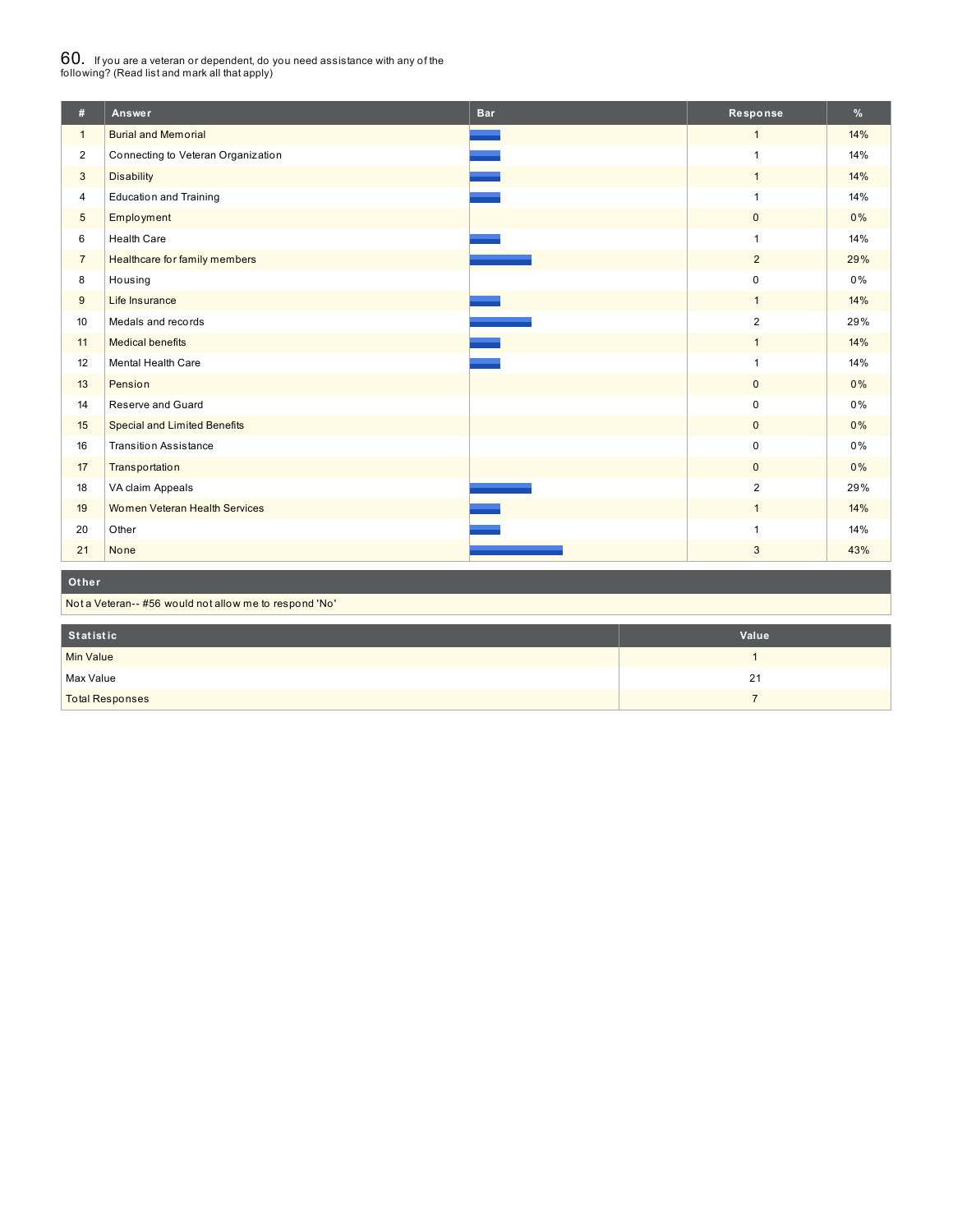# $60_\cdot$  If you are a veteran or dependent, do you need assistance with any of the<br>following? (Read list and mark all that apply)

| #              | Answer                                                 | <b>Bar</b> | Response                | %     |  |  |
|----------------|--------------------------------------------------------|------------|-------------------------|-------|--|--|
| $\mathbf{1}$   | <b>Burial and Memorial</b>                             |            | $\mathbf{1}$            | 14%   |  |  |
| $\overline{2}$ | Connecting to Veteran Organization                     |            | 1                       | 14%   |  |  |
| 3              | <b>Disability</b>                                      |            | $\mathbf{1}$            | 14%   |  |  |
| $\overline{4}$ | <b>Education and Training</b>                          |            | 1                       | 14%   |  |  |
| $\sqrt{5}$     | Employment                                             |            | $\mathbf 0$             | 0%    |  |  |
| 6              | <b>Health Care</b>                                     |            | 1                       | 14%   |  |  |
| $\overline{7}$ | Healthcare for family members                          |            | $\overline{2}$          | 29%   |  |  |
| 8              | Housing                                                |            | $\mathbf 0$             | 0%    |  |  |
| 9              | Life Insurance                                         |            | $\mathbf{1}$            | 14%   |  |  |
| 10             | Medals and records                                     |            | $\overline{2}$          | 29%   |  |  |
| 11             | <b>Medical benefits</b>                                |            | $\mathbf{1}$            | 14%   |  |  |
| 12             | Mental Health Care                                     |            |                         | 14%   |  |  |
| 13             | Pension                                                |            | $\mathbf 0$             | 0%    |  |  |
| 14             | Reserve and Guard                                      |            | $\pmb{0}$               | 0%    |  |  |
| 15             | <b>Special and Limited Benefits</b>                    |            | $\mathbf 0$             | 0%    |  |  |
| 16             | <b>Transition Assistance</b>                           |            | $\pmb{0}$               | $0\%$ |  |  |
| 17             | <b>Transportation</b>                                  |            | $\mathbf{0}$            | 0%    |  |  |
| 18             | VA claim Appeals                                       |            | $\overline{\mathbf{c}}$ | 29%   |  |  |
| 19             | Women Veteran Health Services                          |            | $\mathbf{1}$            | 14%   |  |  |
| 20             | Other                                                  |            | 1                       | 14%   |  |  |
| 21             | None                                                   |            | 3                       | 43%   |  |  |
| Other          |                                                        |            |                         |       |  |  |
|                | Not a Veteran-- #56 would not allow me to respond 'No' |            |                         |       |  |  |

| Statistic              | Value |
|------------------------|-------|
| Min Value              |       |
| Max Value              | 21    |
| <b>Total Responses</b> |       |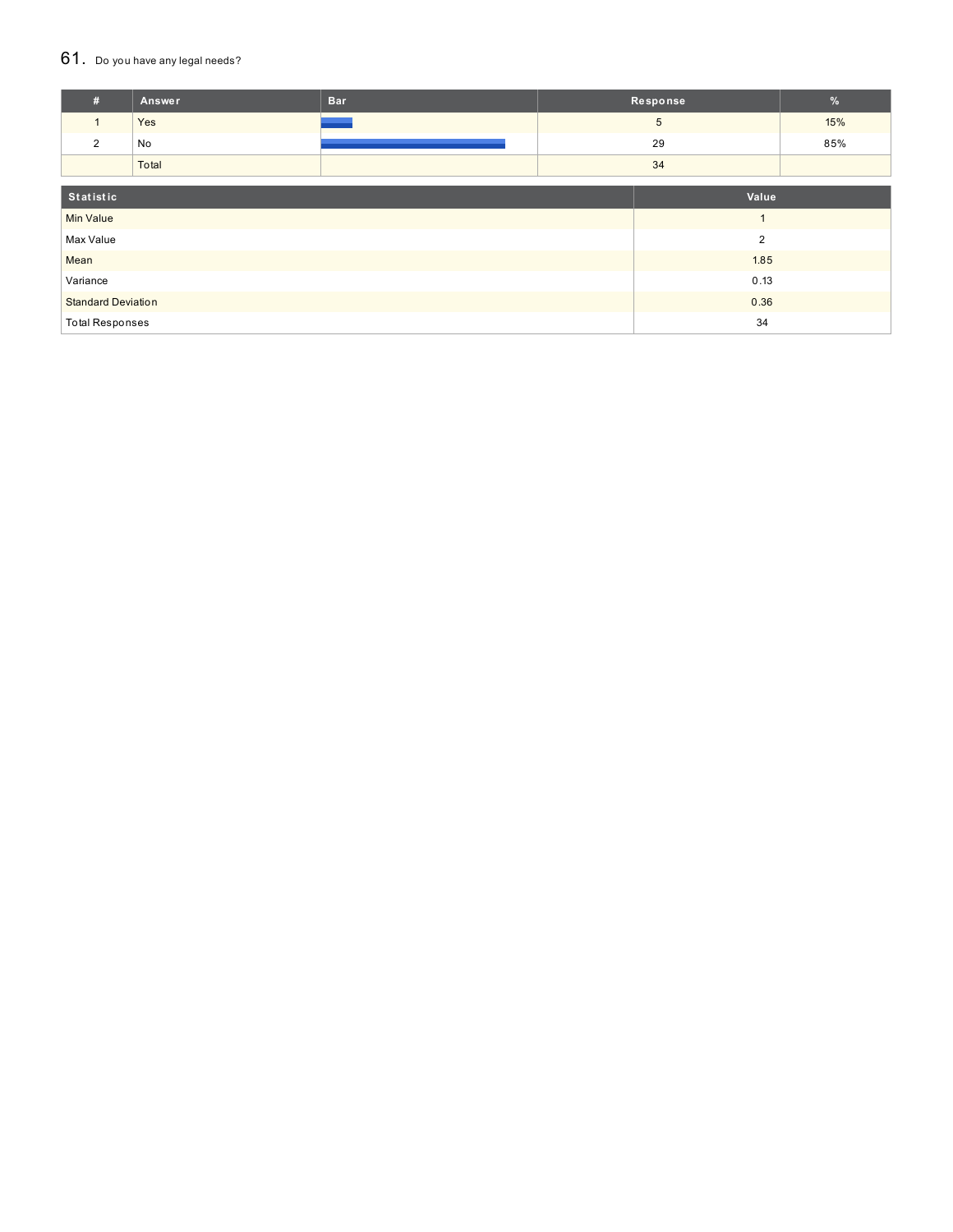### 61. Do you have any legal needs?

| #                         | Answer | <b>Bar</b> | Response       |                 | $\%$ |
|---------------------------|--------|------------|----------------|-----------------|------|
| $\mathbf{1}$              | Yes    |            |                | $5\overline{)}$ | 15%  |
| 2                         | No     |            |                | 29              | 85%  |
|                           | Total  |            | 34             |                 |      |
| Statistic<br>Value        |        |            |                |                 |      |
| <b>Min Value</b>          |        |            |                | $\overline{ }$  |      |
| Max Value                 |        |            | $\overline{2}$ |                 |      |
| Mean                      |        |            |                | 1.85            |      |
| Variance                  |        |            | 0.13           |                 |      |
| <b>Standard Deviation</b> |        | 0.36       |                |                 |      |
| <b>Total Responses</b>    |        |            |                | 34              |      |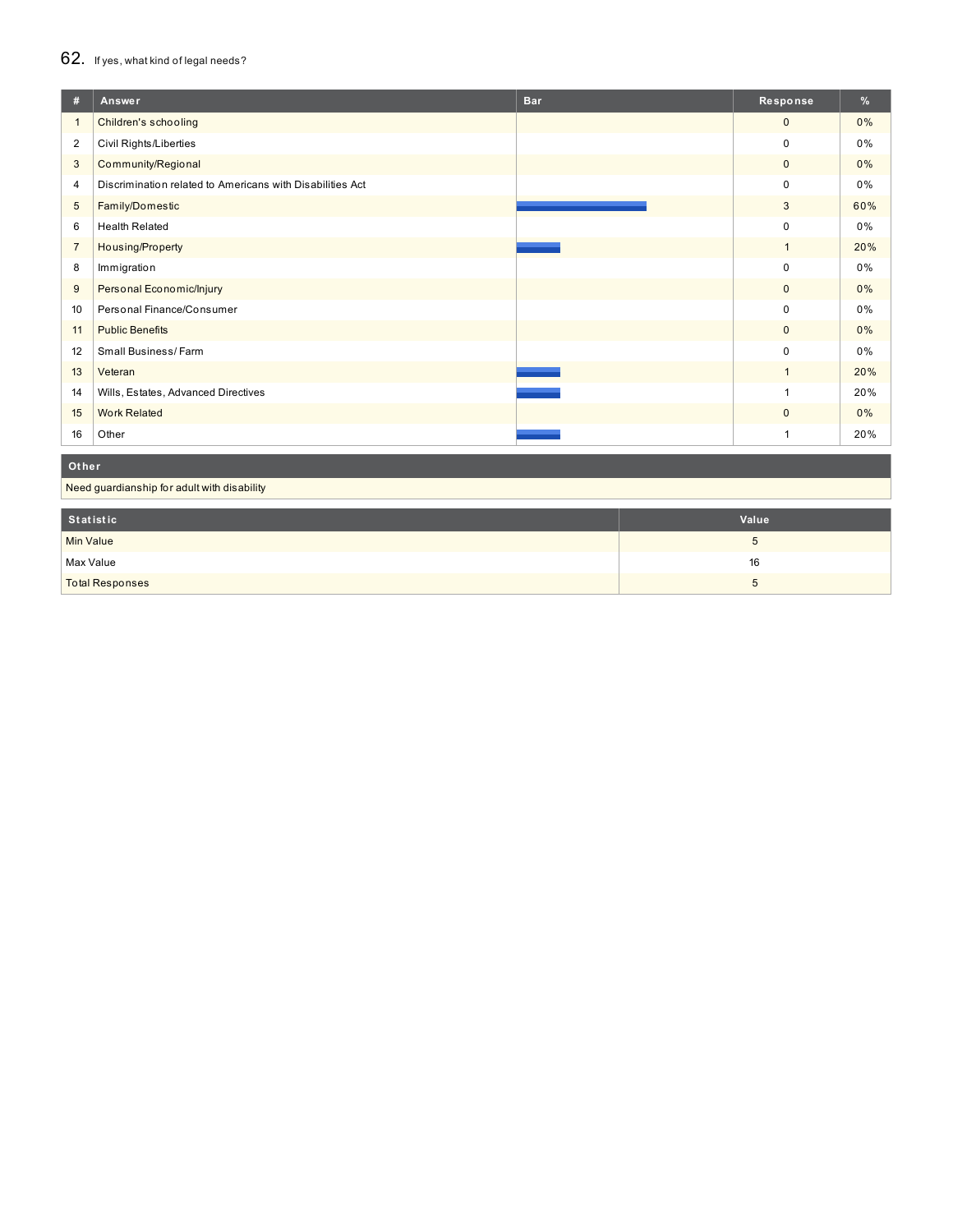## 62. If yes, what kind of legal needs?

| #               | Answer                                                    | <b>Bar</b> | Response     | %     |
|-----------------|-----------------------------------------------------------|------------|--------------|-------|
| $\mathbf{1}$    | Children's schooling                                      |            | $\mathbf{0}$ | $0\%$ |
| $\overline{2}$  | Civil Rights/Liberties                                    |            | $\mathbf 0$  | 0%    |
| 3               | Community/Regional                                        |            | $\mathbf 0$  | $0\%$ |
| 4               | Discrimination related to Americans with Disabilities Act |            | 0            | 0%    |
| $5\phantom{.0}$ | Family/Domestic                                           |            | 3            | 60%   |
| 6               | <b>Health Related</b>                                     |            | $\mathbf 0$  | 0%    |
| $\overline{7}$  | Housing/Property                                          |            | $\mathbf{1}$ | 20%   |
| 8               | Immigration                                               |            | $\mathbf 0$  | 0%    |
| 9               | Personal Economic/Injury                                  |            | $\mathbf{0}$ | $0\%$ |
| 10              | Personal Finance/Consumer                                 |            | 0            | 0%    |
| 11              | <b>Public Benefits</b>                                    |            | $\mathbf{0}$ | $0\%$ |
| 12              | Small Business/Farm                                       |            | $\mathbf 0$  | 0%    |
| 13              | Veteran                                                   |            |              | 20%   |
| 14              | Wills, Estates, Advanced Directives                       |            | 1            | 20%   |
| 15              | <b>Work Related</b>                                       |            | $\mathbf{0}$ | 0%    |
| 16              | Other                                                     |            |              | 20%   |

### **Ot her**

Need guardianship for adult with disability

| Statistic              | Value |
|------------------------|-------|
| Min Value              | ◡     |
| Max Value              | 16    |
| <b>Total Responses</b> | ◡     |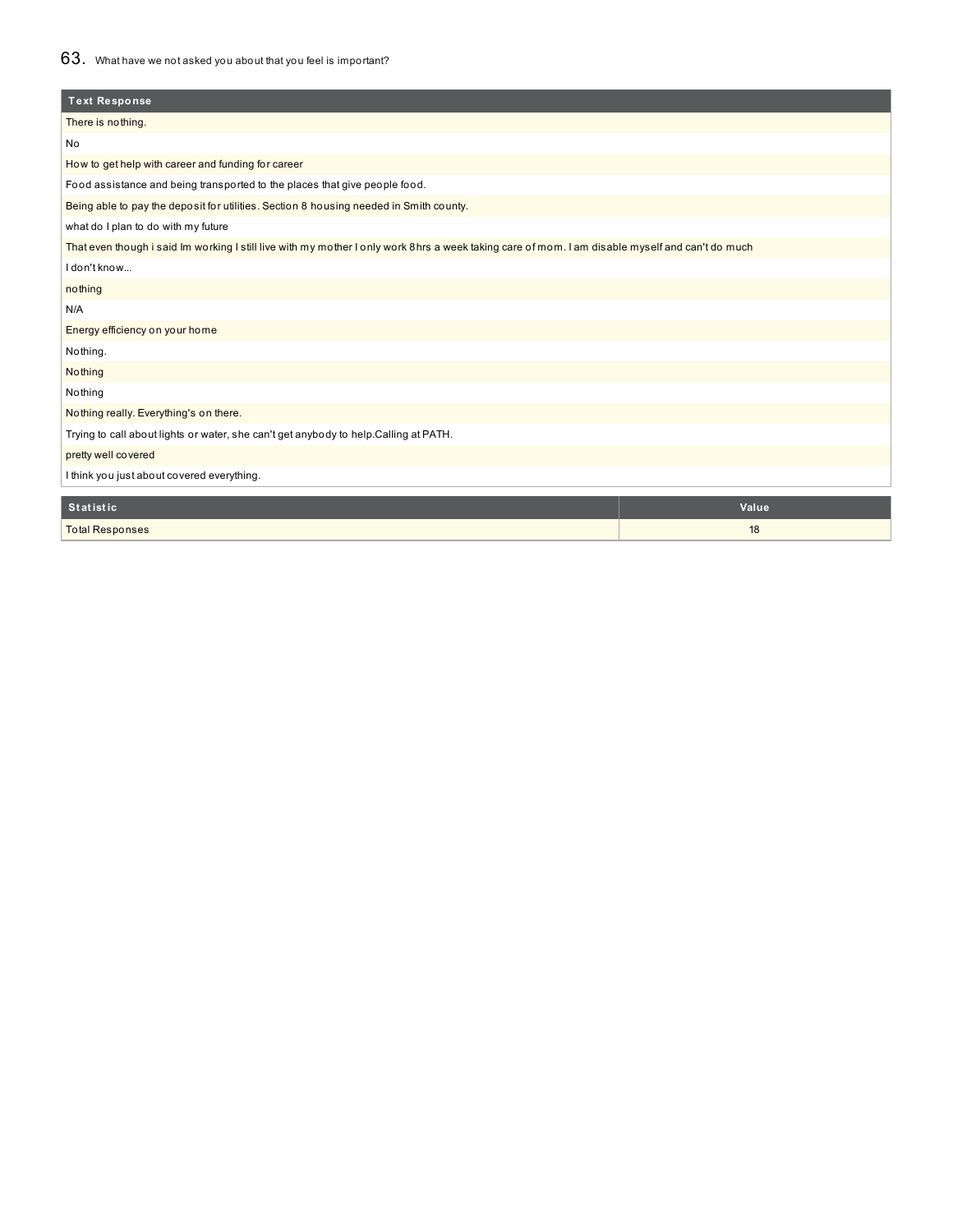### 63. What have we not asked you about that you feel is important?

| <b>Text Response</b>                                                                                                                             |       |  |  |  |  |
|--------------------------------------------------------------------------------------------------------------------------------------------------|-------|--|--|--|--|
| There is nothing.                                                                                                                                |       |  |  |  |  |
| No                                                                                                                                               |       |  |  |  |  |
| How to get help with career and funding for career                                                                                               |       |  |  |  |  |
| Food assistance and being transported to the places that give people food.                                                                       |       |  |  |  |  |
| Being able to pay the deposit for utilities. Section 8 housing needed in Smith county.                                                           |       |  |  |  |  |
| what do I plan to do with my future                                                                                                              |       |  |  |  |  |
| That even though i said Im working I still live with my mother I only work 8hrs a week taking care of mom. I am disable myself and can't do much |       |  |  |  |  |
| I don't know                                                                                                                                     |       |  |  |  |  |
| nothing                                                                                                                                          |       |  |  |  |  |
| N/A                                                                                                                                              |       |  |  |  |  |
| Energy efficiency on your home                                                                                                                   |       |  |  |  |  |
| Nothing.                                                                                                                                         |       |  |  |  |  |
| Nothing                                                                                                                                          |       |  |  |  |  |
| Nothing                                                                                                                                          |       |  |  |  |  |
| Nothing really. Everything's on there.                                                                                                           |       |  |  |  |  |
| Trying to call about lights or water, she can't get anybody to help.Calling at PATH.                                                             |       |  |  |  |  |
| pretty well covered                                                                                                                              |       |  |  |  |  |
| I think you just about covered everything.                                                                                                       |       |  |  |  |  |
| <b>Statistic</b>                                                                                                                                 | Value |  |  |  |  |
|                                                                                                                                                  | 18    |  |  |  |  |
| <b>Total Responses</b>                                                                                                                           |       |  |  |  |  |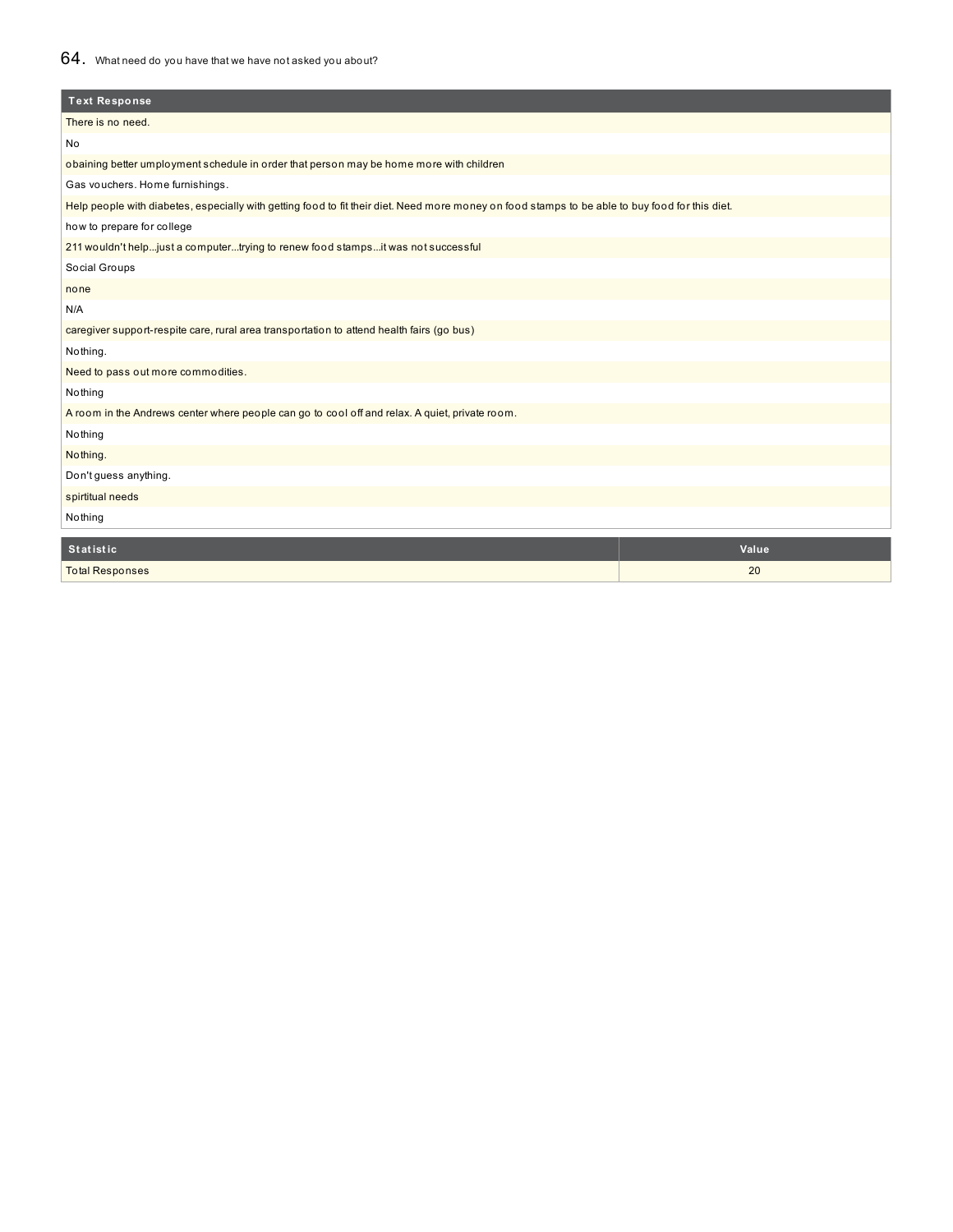### 64. What need do you have that we have not asked you about?

| <b>Text Response</b>                                                                                                                            |       |  |  |  |
|-------------------------------------------------------------------------------------------------------------------------------------------------|-------|--|--|--|
| There is no need.                                                                                                                               |       |  |  |  |
| No                                                                                                                                              |       |  |  |  |
| obaining better umployment schedule in order that person may be home more with children                                                         |       |  |  |  |
| Gas vouchers. Home furnishings.                                                                                                                 |       |  |  |  |
| Help people with diabetes, especially with getting food to fit their diet. Need more money on food stamps to be able to buy food for this diet. |       |  |  |  |
| how to prepare for college                                                                                                                      |       |  |  |  |
| 211 wouldn't helpjust a computertrying to renew food stampsit was not successful                                                                |       |  |  |  |
| Social Groups                                                                                                                                   |       |  |  |  |
| none                                                                                                                                            |       |  |  |  |
| N/A                                                                                                                                             |       |  |  |  |
| caregiver support-respite care, rural area transportation to attend health fairs (go bus)                                                       |       |  |  |  |
| Nothing.                                                                                                                                        |       |  |  |  |
| Need to pass out more commodities.                                                                                                              |       |  |  |  |
| Nothing                                                                                                                                         |       |  |  |  |
| A room in the Andrews center where people can go to cool off and relax. A quiet, private room.                                                  |       |  |  |  |
| Nothing                                                                                                                                         |       |  |  |  |
| Nothing.                                                                                                                                        |       |  |  |  |
| Don't guess anything.                                                                                                                           |       |  |  |  |
| spirtitual needs                                                                                                                                |       |  |  |  |
| Nothing                                                                                                                                         |       |  |  |  |
| <b>Statistic</b>                                                                                                                                | Value |  |  |  |
| <b>Total Responses</b>                                                                                                                          | 20    |  |  |  |